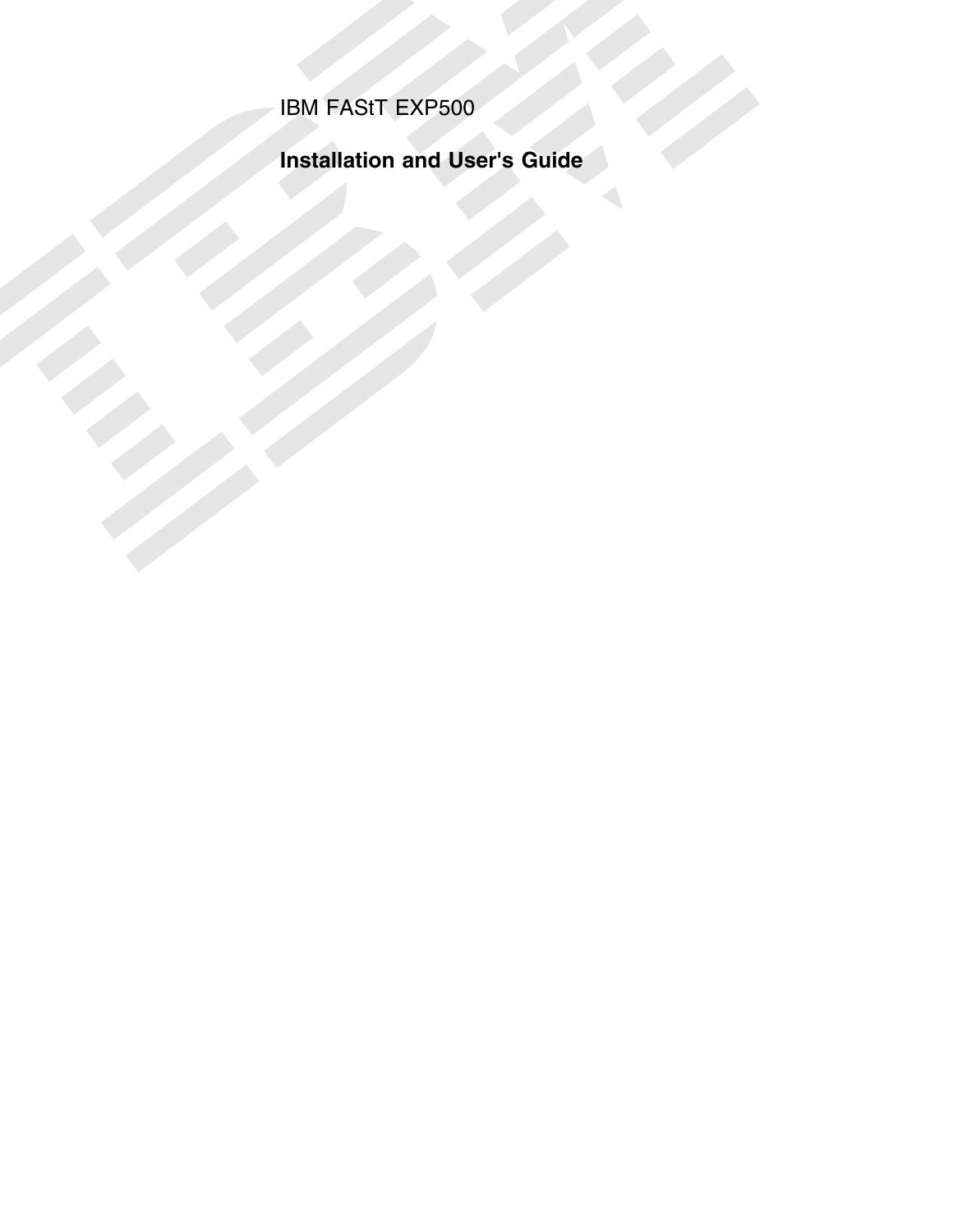IBM FAStT EXP500

IBM FASIT EXP500<br>Installation and User's Guide<br>Allen Control of the Suite<br>Allen Control of the Suite<br>Allen Control of the Suite<br>Allen Control of the Suite<br>Allen Control of the Suite<br>Allen Control of the Suite<br>Allen Control **Installation and User's Guide**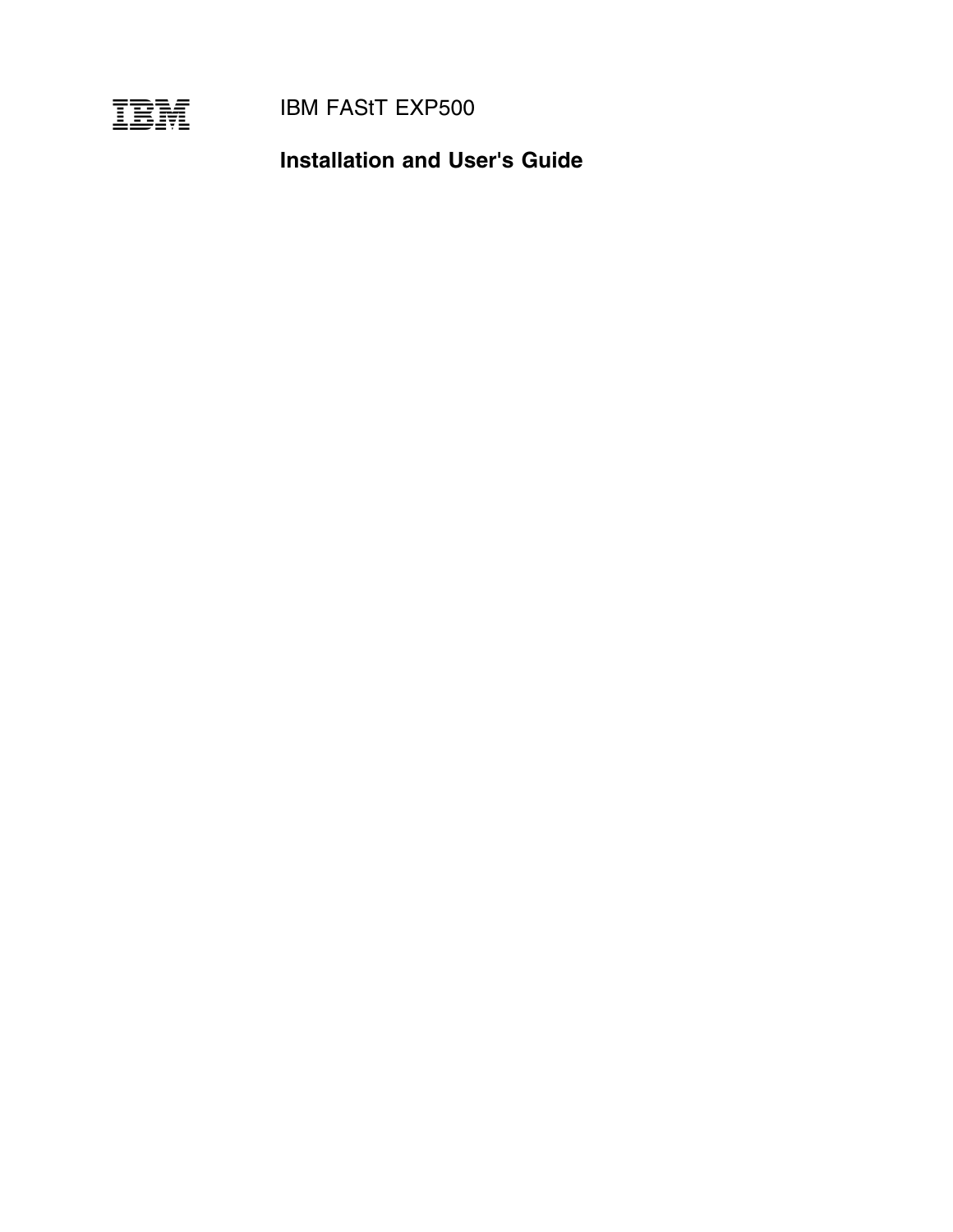

**IBM FAStT EXP500** 

**Installation and User's Guide**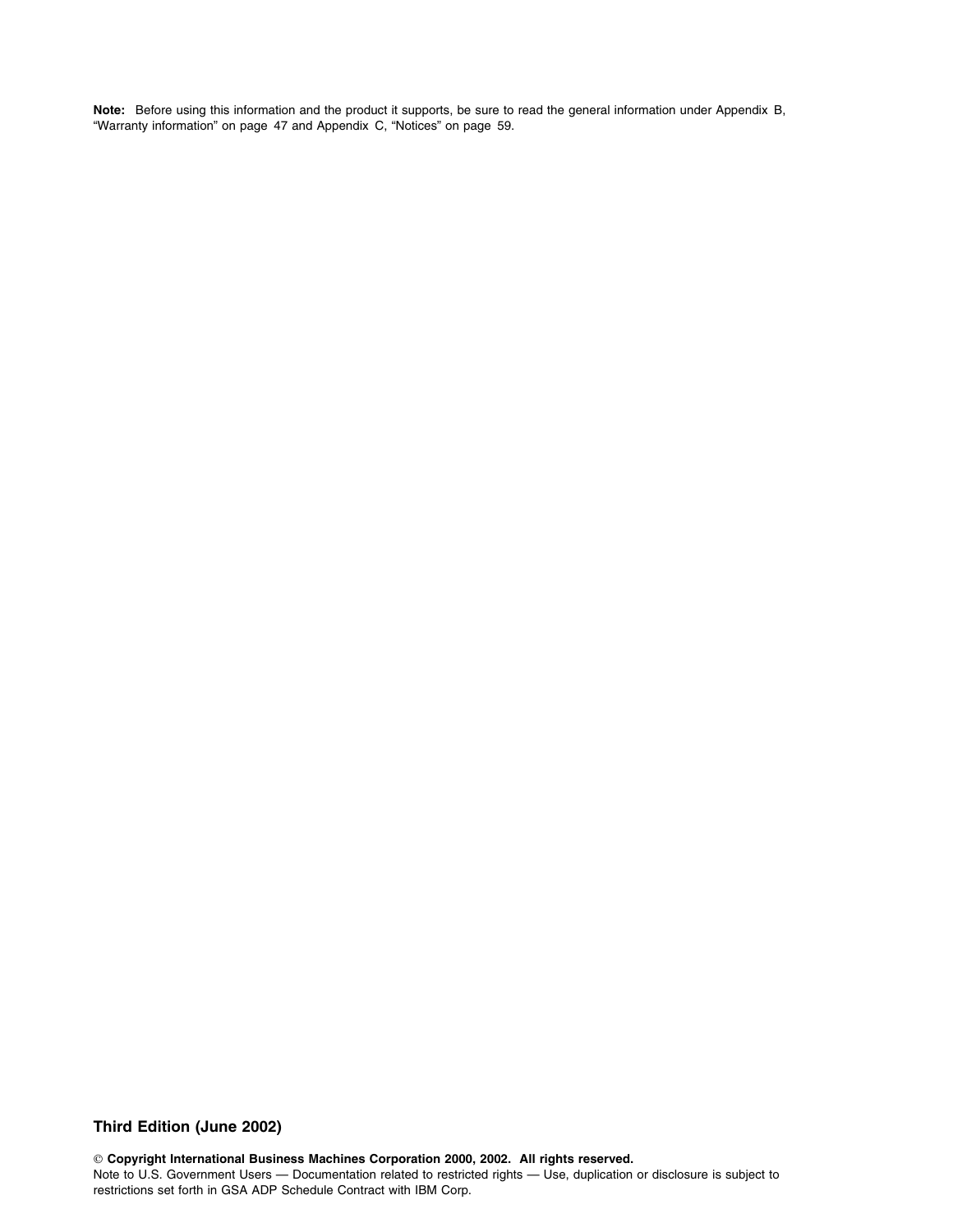**Note:** Before using this information and the product it supports, be sure to read the general information under Appendix B, "Warranty information" on page 47 and Appendix C, "Notices" on page 59.

### **Third Edition (June 2002)**

 **Copyright International Business Machines Corporation 2000, 2002. All rights reserved.** Note to U.S. Government Users — Documentation related to restricted rights — Use, duplication or disclosure is subject to restrictions set forth in GSA ADP Schedule Contract with IBM Corp.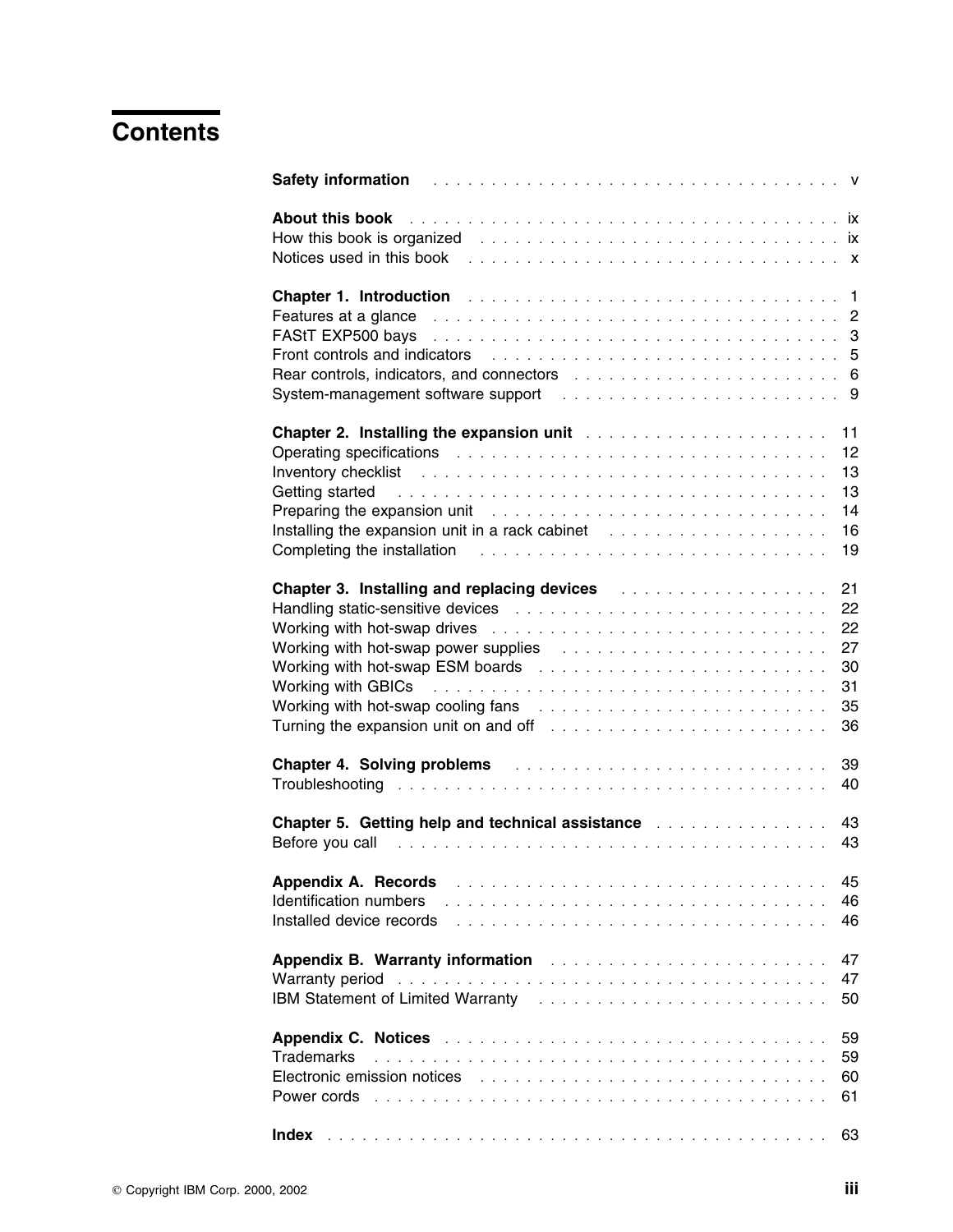# **Contents**

| About this book enterpreterment of the state of the state of the state of the state of the state of the state of the state of the state of the state of the state of the state of the state of the state of the state of the s<br>How this book is organized response to the contract of the contract of the contract of the contract of the contract of the contract of the contract of the contract of the contract of the contract of the contract of the con<br>Notices used in this book response to the contract of the server of the server of the server of the server of the server of the server of the server of the server of the server of the server of the server of the server of                                                                                                                                                                                                                                                                                                                                                                                                                                                                                                                                                                                                                                                                                                                                                       |
|---------------------------------------------------------------------------------------------------------------------------------------------------------------------------------------------------------------------------------------------------------------------------------------------------------------------------------------------------------------------------------------------------------------------------------------------------------------------------------------------------------------------------------------------------------------------------------------------------------------------------------------------------------------------------------------------------------------------------------------------------------------------------------------------------------------------------------------------------------------------------------------------------------------------------------------------------------------------------------------------------------------------------------------------------------------------------------------------------------------------------------------------------------------------------------------------------------------------------------------------------------------------------------------------------------------------------------------------------------------------------------------------------------------------------------------------------------|
| Chapter 1. Introduction <b>Chapter 1. Introduction 1. Interview Chapter 1. Intervention</b><br>Features at a glance entertainment of the state of the state of the state of the state of the state of the state of the state of the state of the state of the state of the state of the state of the state of the state of th<br>FAStT EXP500 bays entertainment in the contract of the contract of the contract of the CAST Contract of the CAST CONTROLLER STATE $3$<br>Front controls and indicators enterstational control of the control of the control of the control of the control of the control of the control of the control of the control of the control of the control of the control of t<br>Rear controls, indicators, and connectors enters in the state of the state of 6                                                                                                                                                                                                                                                                                                                                                                                                                                                                                                                                                                                                                                                             |
| Chapter 2. Installing the expansion unit <b>Chapter 2. Installation</b> of the expansion unit of the context of the chapter of the chapter of the chapter of the chapter of the chapter of the chapter of the chapter of the chapte<br>11<br>12<br>Operating specifications entertainment of the contract of the contract of the contract of the contract of the contract of the contract of the contract of the contract of the contract of the contract of the contract of the<br>13<br>Inventory checklist enterprise in the contract of the contract of the contract of the contract of the contract of the contract of the contract of the contract of the contract of the contract of the contract of the contract<br>13<br>Getting started resources and such a series and series and series and series and series and series and series and series and series and series and series and series and series and series and series and series and series an<br>14<br>Preparing the expansion unit contained and such a contact the expansion unit contains a contact the expansion<br>Installing the expansion unit in a rack cabinet contained and contained the expansion unit in a rack cabinet contained and contained the expansion unit in a rack cabinet contained and contained the expansion unit of the ex<br>16<br>Completing the installation enterstanding to the contract of the internal contract of the internal contract of<br>19 |
| 21<br>Chapter 3. Installing and replacing devices <b>Chapter 3. Installing and replacing devices</b><br>22<br>22<br>27<br>Working with hot-swap power supplies contained and account of the substitution of the substitution of the substitution of the substitution of the substitution of the substitution of the substitution of the substitution of<br>30<br>Working with GBICs resources and contact the contract of the contract of the contract of the contract of the contract of the contract of the contract of the contract of the contract of the contract of the contract of the c<br>31<br>Working with hot-swap cooling fans results and such a series of the series of the series of the series of the s<br>35<br>Turning the expansion unit on and off contained and set of the set of the set of the set of the set of the set of the set of the set of the set of the set of the set of the set of the set of the set of the set of the set o<br>36                                                                                                                                                                                                                                                                                                                                                                                                                                                                                  |
| Chapter 4. Solving problems and all and the contract of the state of the Chapter 4.<br>39<br>40                                                                                                                                                                                                                                                                                                                                                                                                                                                                                                                                                                                                                                                                                                                                                                                                                                                                                                                                                                                                                                                                                                                                                                                                                                                                                                                                                         |
| 43<br><b>Chapter 5. Getting help and technical assistance containing the contract of the Chapter</b><br>Before you call recommended and the service of the service of the service of the service of the service of the service of the service of the service of the service of the service of the service of the service of the servic<br>43                                                                                                                                                                                                                                                                                                                                                                                                                                                                                                                                                                                                                                                                                                                                                                                                                                                                                                                                                                                                                                                                                                            |
| 45<br>Appendix A. Records<br>Identification numbers<br>46<br>Installed device records<br>46                                                                                                                                                                                                                                                                                                                                                                                                                                                                                                                                                                                                                                                                                                                                                                                                                                                                                                                                                                                                                                                                                                                                                                                                                                                                                                                                                             |
| <b>Appendix B. Warranty information Action Activities</b> 2014 11:00 12:00 12:00 12:00 12:00 12:00 12:00 12:00 12:00 12:00 12:00 12:00 12:00 12:00 12:00 12:00 12:00 12:00 12:00 12:00 12:00 12:00 12:00 12:00 12:00 12:00 12:00<br>47<br>47<br>Warranty period enterpreteration and the contract of the contract of the contract of the contract of the contract of the contract of the contract of the contract of the contract of the contract of the contract of the contr<br>50                                                                                                                                                                                                                                                                                                                                                                                                                                                                                                                                                                                                                                                                                                                                                                                                                                                                                                                                                                    |
| 59<br>59<br>Trademarks<br>Electronic emission notices enterpreterate and and an article contract the contract of the contract of the contract of the contract of the contract of the contract of the contract of the contract of the contract of the con<br>60<br>Power cords enterprise and a series and a series and a series and a series and a series of the series of the series of the series of the series of the series of the series of the series of the series of the series of the s<br>61                                                                                                                                                                                                                                                                                                                                                                                                                                                                                                                                                                                                                                                                                                                                                                                                                                                                                                                                                  |
| 63                                                                                                                                                                                                                                                                                                                                                                                                                                                                                                                                                                                                                                                                                                                                                                                                                                                                                                                                                                                                                                                                                                                                                                                                                                                                                                                                                                                                                                                      |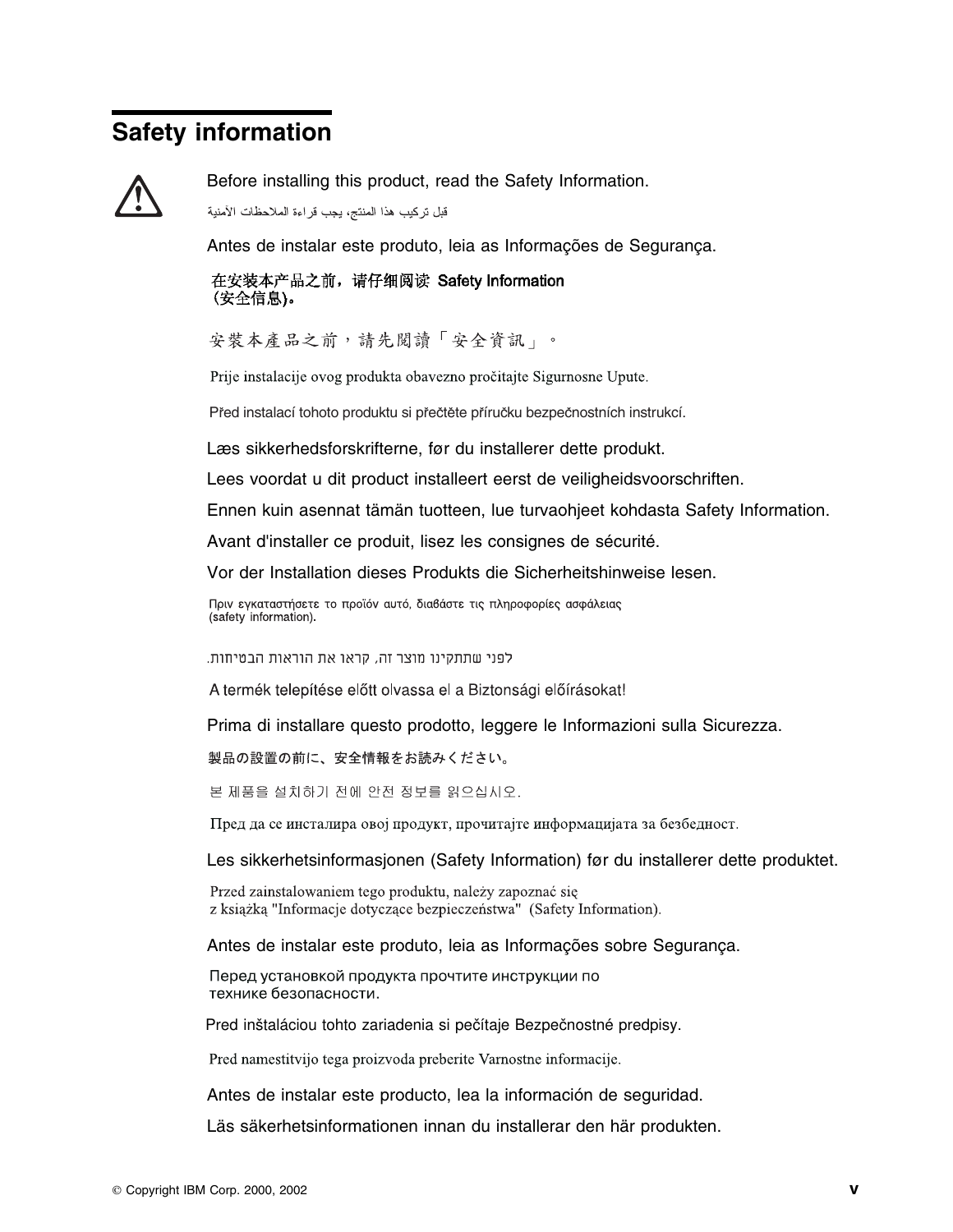# **Safety information**



Before installing this product, read the Safety Information.

قبل تركيب هذا المنتج، يجب قراءة الملاحظات الأمنية

Antes de instalar este produto, leia as Informações de Segurança.

在安装本产品之前, 请仔细阅读 Safety Information (安全信息)。

安裝本產品之前,請先閱讀「安全資訊」。

Prije instalacije ovog produkta obavezno pročitajte Sigurnosne Upute.

Před instalací tohoto produktu si přečtěte příručku bezpečnostních instrukcí.

Læs sikkerhedsforskrifterne, før du installerer dette produkt.

Lees voordat u dit product installeert eerst de veiligheidsvoorschriften.

Ennen kuin asennat tämän tuotteen, lue turvaohjeet kohdasta Safety Information.

Avant d'installer ce produit, lisez les consignes de sécurité.

Vor der Installation dieses Produkts die Sicherheitshinweise lesen.

Πριν εγκαταστήσετε το προϊόν αυτό, διαβάστε τις πληροφορίες ασφάλειας (safety information)

לפני שתתקינו מוצר זה, קראו את הוראות הבטיחות.

A termék telepítése előtt olvassa el a Biztonsági előírásokat!

Prima di installare questo prodotto, leggere le Informazioni sulla Sicurezza.

製品の設置の前に、安全情報をお読みください。

본 제품을 설치하기 전에 안전 정보를 읽으십시오.

Пред да се инсталира овој продукт, прочитајте информацијата за безбедност.

Les sikkerhetsinformasjonen (Safety Information) før du installerer dette produktet.

Przed zainstalowaniem tego produktu, należy zapoznać się z książką "Informacje dotyczące bezpieczeństwa" (Safety Information).

Antes de instalar este produto, leia as Informações sobre Segurança.

Перед установкой продукта прочтите инструкции по технике безопасности.

Pred inštaláciou tohto zariadenia si pečítaje Bezpečnostné predpisy.

Pred namestitvijo tega proizvoda preberite Varnostne informacije.

Antes de instalar este producto, lea la información de seguridad.

Läs säkerhetsinformationen innan du installerar den här produkten.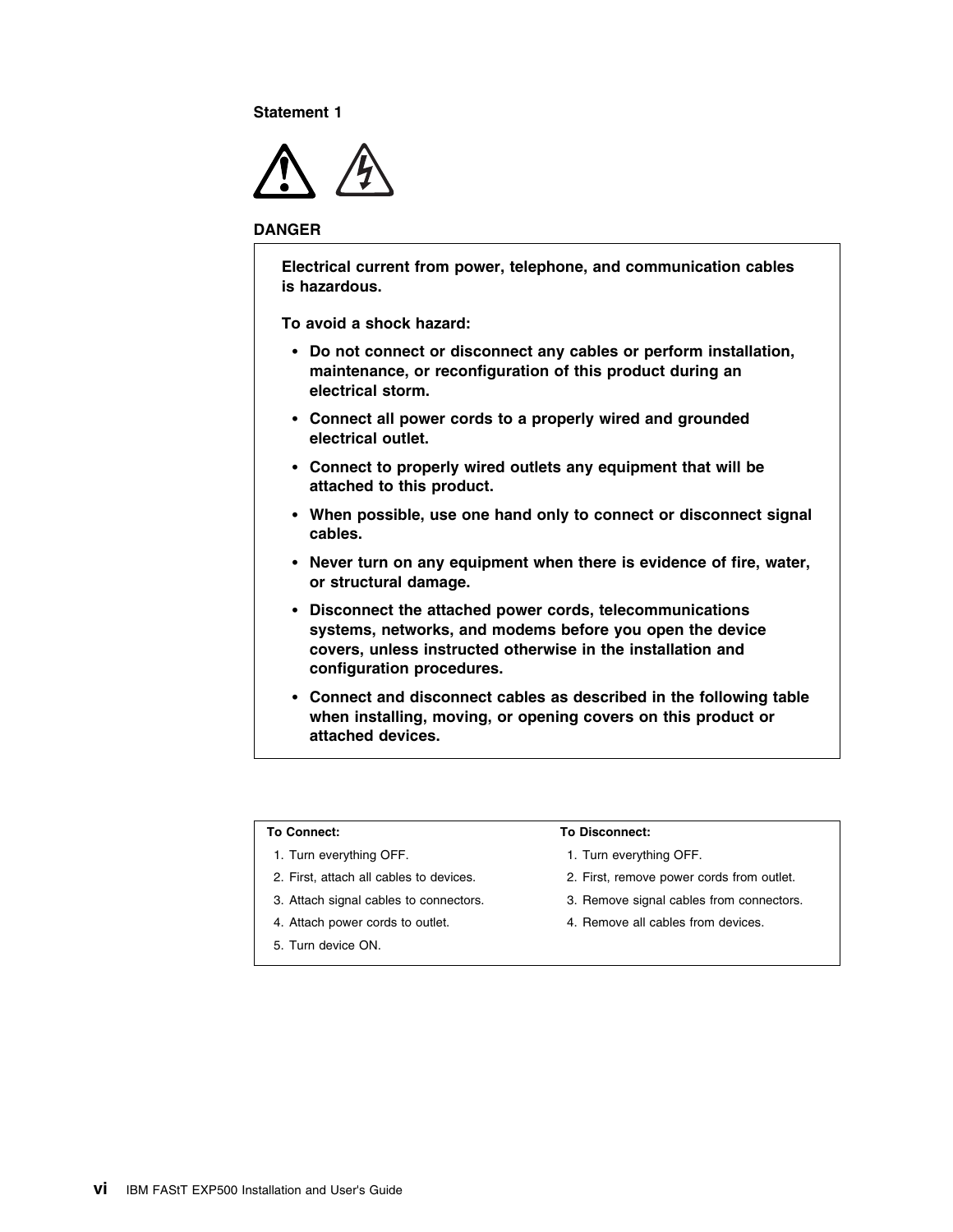**Statement 1**



#### **DANGER**

**Electrical current from power, telephone, and communication cables is hazardous.**

**To avoid a shock hazard:**

- **Do not connect or disconnect any cables or perform installation, maintenance, or reconfiguration of this product during an electrical storm.**
- **Connect all power cords to a properly wired and grounded electrical outlet.**
- **Connect to properly wired outlets any equipment that will be attached to this product.**
- **When possible, use one hand only to connect or disconnect signal cables.**
- **Never turn on any equipment when there is evidence of fire, water, or structural damage.**
- **Disconnect the attached power cords, telecommunications systems, networks, and modems before you open the device covers, unless instructed otherwise in the installation and configuration procedures.**
- **Connect and disconnect cables as described in the following table when installing, moving, or opening covers on this product or attached devices.**

#### **To Connect:**

- 1. Turn everything OFF.
- 2. First, attach all cables to devices.
- 3. Attach signal cables to connectors.
- 4. Attach power cords to outlet.
- 5. Turn device ON.

#### **To Disconnect:**

- 1. Turn everything OFF.
- 2. First, remove power cords from outlet.
- 3. Remove signal cables from connectors.
- 4. Remove all cables from devices.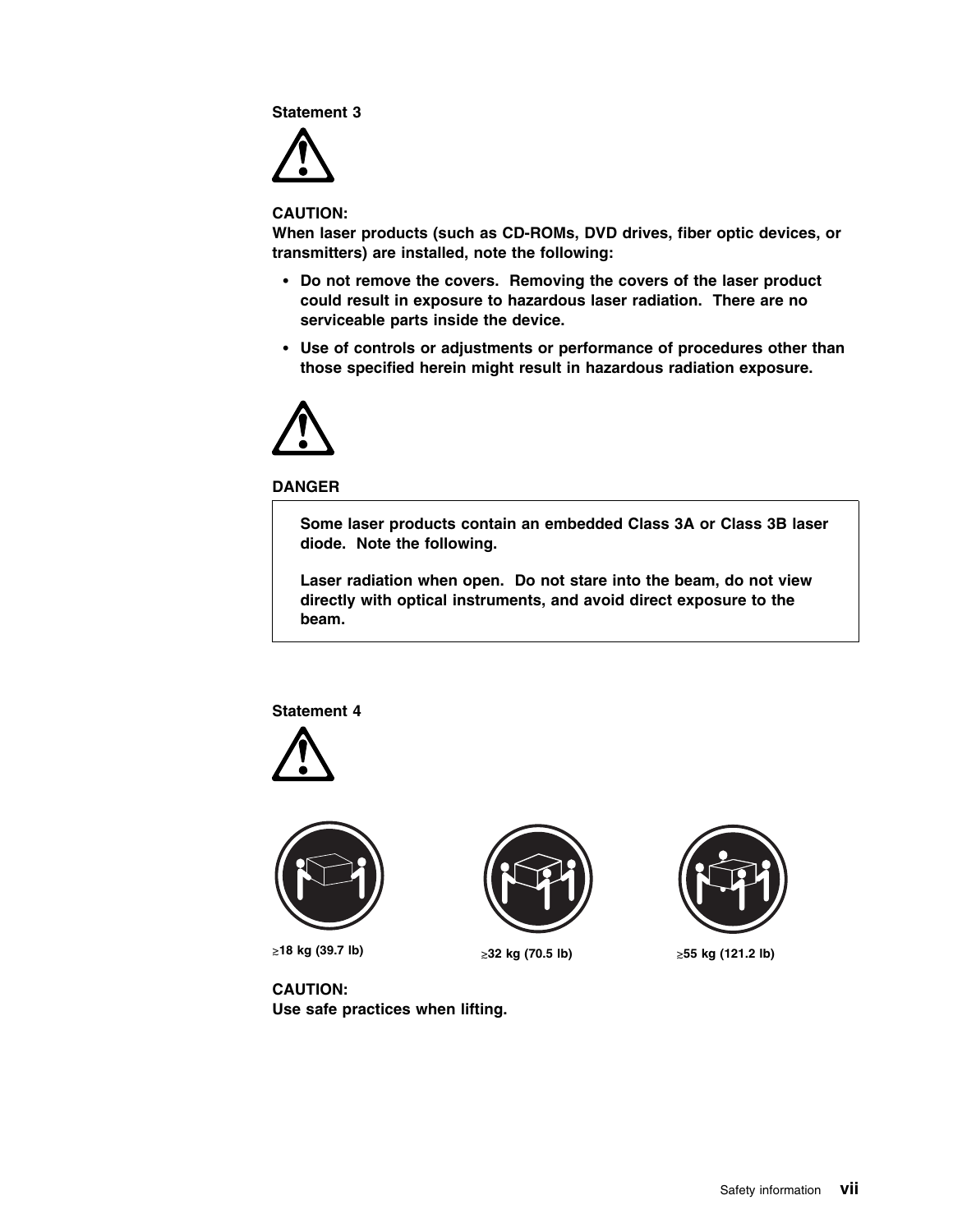**Statement 3**



**CAUTION:**

**When laser products (such as CD-ROMs, DVD drives, fiber optic devices, or transmitters) are installed, note the following:**

- **Do not remove the covers. Removing the covers of the laser product could result in exposure to hazardous laser radiation. There are no serviceable parts inside the device.**
- **Use of controls or adjustments or performance of procedures other than those specified herein might result in hazardous radiation exposure.**



**DANGER**

**Some laser products contain an embedded Class 3A or Class 3B laser diode. Note the following.**

**Laser radiation when open. Do not stare into the beam, do not view directly with optical instruments, and avoid direct exposure to the beam.**

**Statement 4**





-**18 kg (39.7 lb)** -



≥32 kg (70.5 lb)



**55 kg (121.2 lb)**

**CAUTION: Use safe practices when lifting.**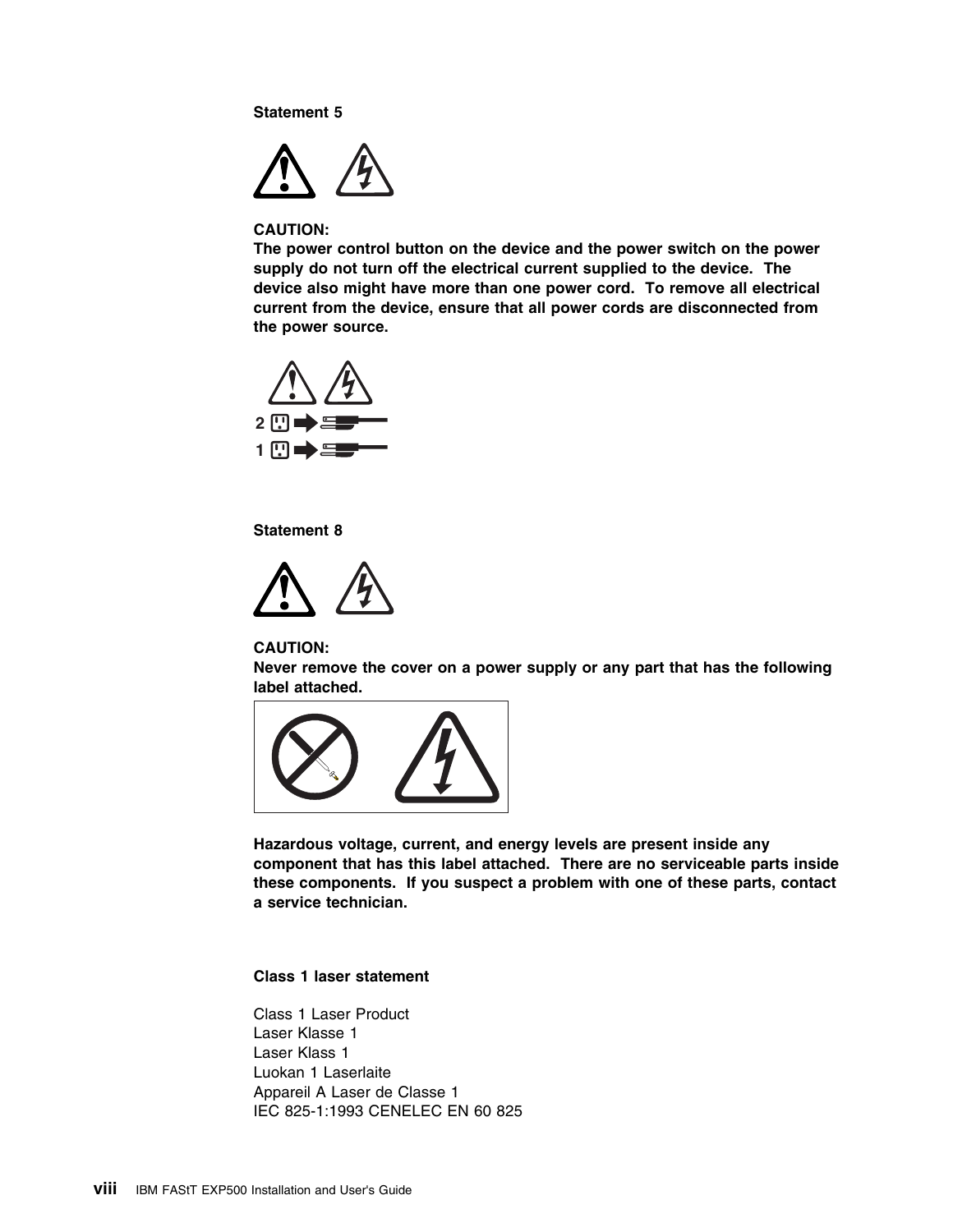**Statement 5**



#### **CAUTION:**

**The power control button on the device and the power switch on the power supply do not turn off the electrical current supplied to the device. The device also might have more than one power cord. To remove all electrical current from the device, ensure that all power cords are disconnected from the power source.**



**Statement 8**



#### **CAUTION:**

**Never remove the cover on a power supply or any part that has the following label attached.**



**Hazardous voltage, current, and energy levels are present inside any component that has this label attached. There are no serviceable parts inside these components. If you suspect a problem with one of these parts, contact a service technician.**

### **Class 1 laser statement**

Class 1 Laser Product Laser Klasse 1 Laser Klass 1 Luokan 1 Laserlaite Appareil A Laser de Classe 1 IEC 825-1:1993 CENELEC EN 60 825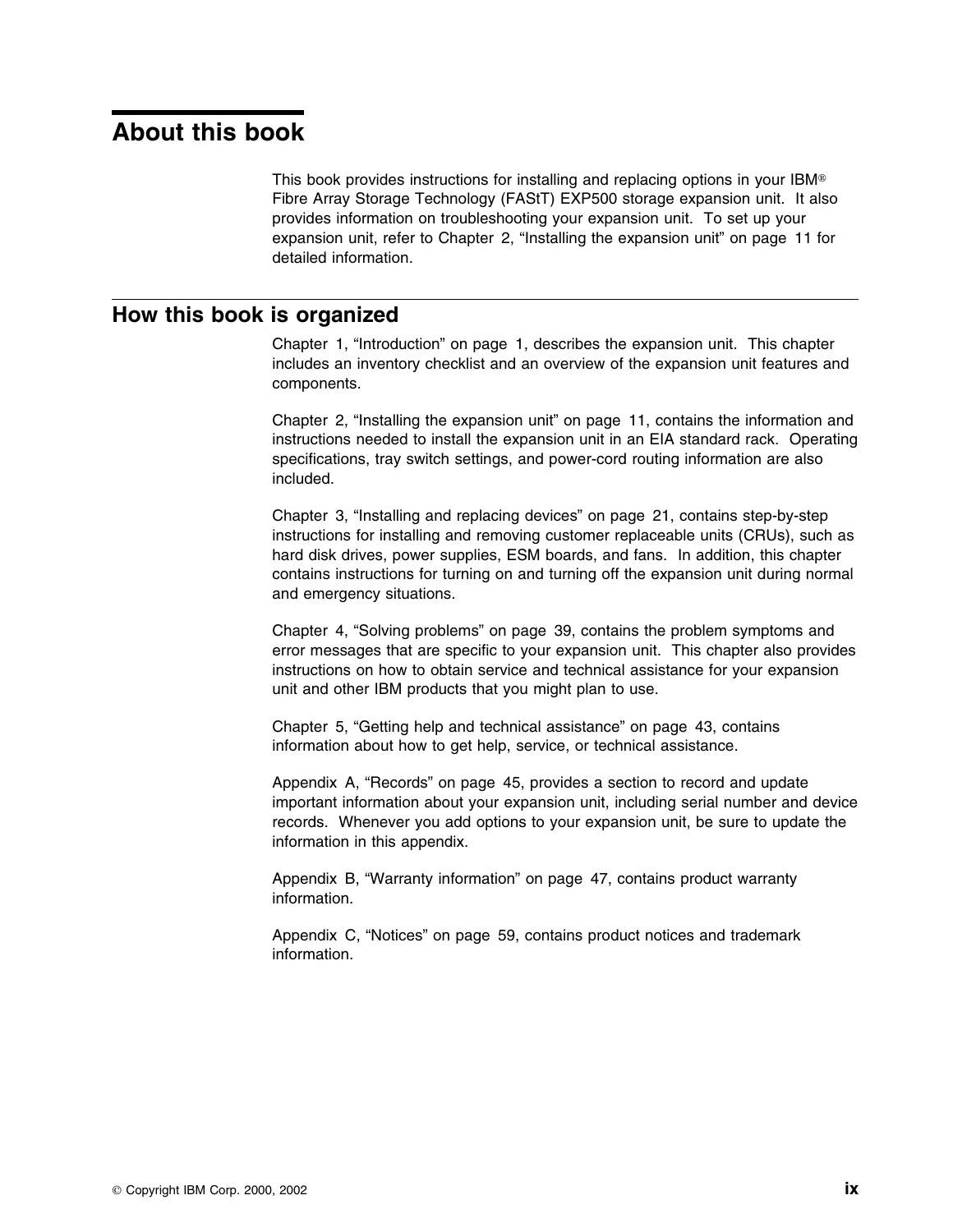# **About this book**

This book provides instructions for installing and replacing options in your IBM® Fibre Array Storage Technology (FAStT) EXP500 storage expansion unit. It also provides information on troubleshooting your expansion unit. To set up your expansion unit, refer to Chapter 2, "Installing the expansion unit" on page 11 for detailed information.

## **How this book is organized**

Chapter 1, "Introduction" on page 1, describes the expansion unit. This chapter includes an inventory checklist and an overview of the expansion unit features and components.

Chapter 2, "Installing the expansion unit" on page 11, contains the information and instructions needed to install the expansion unit in an EIA standard rack. Operating specifications, tray switch settings, and power-cord routing information are also included.

Chapter 3, "Installing and replacing devices" on page 21, contains step-by-step instructions for installing and removing customer replaceable units (CRUs), such as hard disk drives, power supplies, ESM boards, and fans. In addition, this chapter contains instructions for turning on and turning off the expansion unit during normal and emergency situations.

Chapter 4, "Solving problems" on page 39, contains the problem symptoms and error messages that are specific to your expansion unit. This chapter also provides instructions on how to obtain service and technical assistance for your expansion unit and other IBM products that you might plan to use.

Chapter 5, "Getting help and technical assistance" on page 43, contains information about how to get help, service, or technical assistance.

Appendix A, "Records" on page 45, provides a section to record and update important information about your expansion unit, including serial number and device records. Whenever you add options to your expansion unit, be sure to update the information in this appendix.

Appendix B, "Warranty information" on page 47, contains product warranty information.

Appendix C, "Notices" on page 59, contains product notices and trademark information.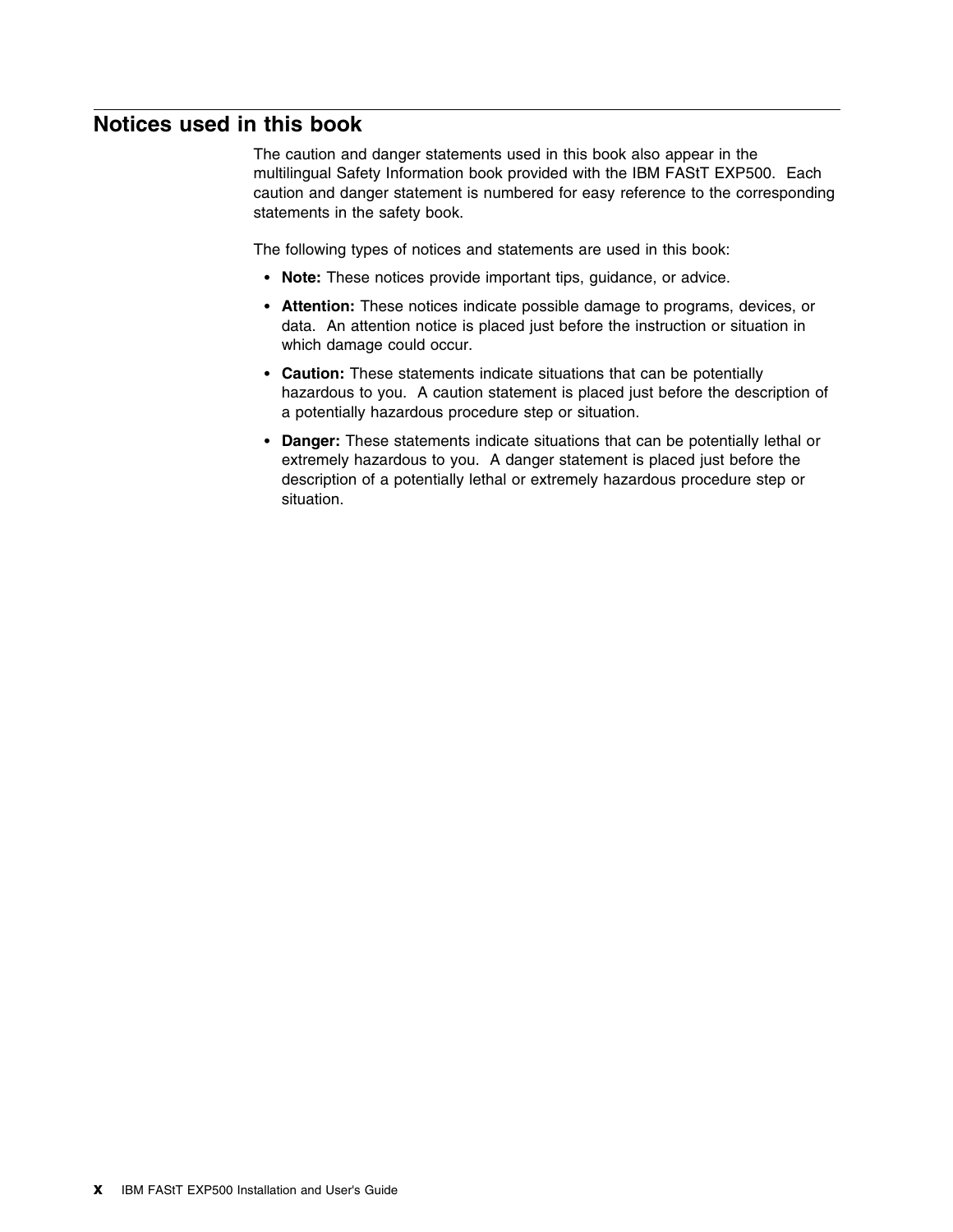## **Notices used in this book**

The caution and danger statements used in this book also appear in the multilingual Safety Information book provided with the IBM FAStT EXP500. Each caution and danger statement is numbered for easy reference to the corresponding statements in the safety book.

The following types of notices and statements are used in this book:

- **Note:** These notices provide important tips, guidance, or advice.
- **Attention:** These notices indicate possible damage to programs, devices, or data. An attention notice is placed just before the instruction or situation in which damage could occur.
- **Caution:** These statements indicate situations that can be potentially hazardous to you. A caution statement is placed just before the description of a potentially hazardous procedure step or situation.
- **Danger:** These statements indicate situations that can be potentially lethal or extremely hazardous to you. A danger statement is placed just before the description of a potentially lethal or extremely hazardous procedure step or situation.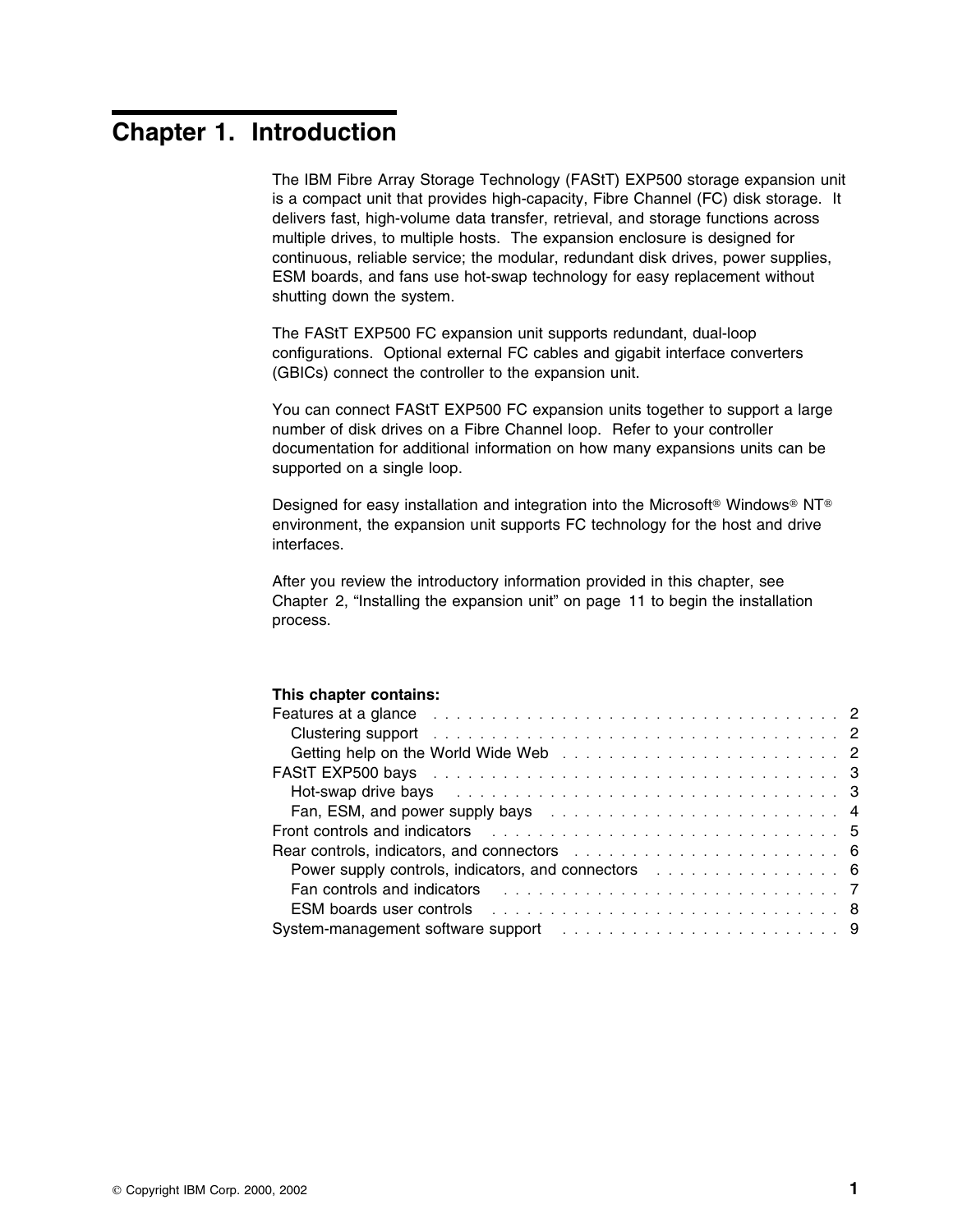# **Chapter 1. Introduction**

The IBM Fibre Array Storage Technology (FAStT) EXP500 storage expansion unit is a compact unit that provides high-capacity, Fibre Channel (FC) disk storage. It delivers fast, high-volume data transfer, retrieval, and storage functions across multiple drives, to multiple hosts. The expansion enclosure is designed for continuous, reliable service; the modular, redundant disk drives, power supplies, ESM boards, and fans use hot-swap technology for easy replacement without shutting down the system.

The FAStT EXP500 FC expansion unit supports redundant, dual-loop configurations. Optional external FC cables and gigabit interface converters (GBICs) connect the controller to the expansion unit.

You can connect FAStT EXP500 FC expansion units together to support a large number of disk drives on a Fibre Channel loop. Refer to your controller documentation for additional information on how many expansions units can be supported on a single loop.

Designed for easy installation and integration into the Microsoft<sup>®</sup> Windows<sup>®</sup> NT<sup>®</sup> environment, the expansion unit supports FC technology for the host and drive interfaces.

After you review the introductory information provided in this chapter, see Chapter 2, "Installing the expansion unit" on page 11 to begin the installation process.

#### **This chapter contains:**

| Features at a glance entertainment of the contract of the contract of the contract of the contract of the contract of the contract of the contract of the contract of the contract of the contract of the contract of the cont      |  |
|-------------------------------------------------------------------------------------------------------------------------------------------------------------------------------------------------------------------------------------|--|
| Clustering support entering the service of the contract of the contract of the contract of the contract of the contract of the contract of the contract of the contract of the contract of the contract of the contract of the      |  |
|                                                                                                                                                                                                                                     |  |
|                                                                                                                                                                                                                                     |  |
| Hot-swap drive bays received and the service of the service of the service of the service of the service of the                                                                                                                     |  |
| Fan, ESM, and power supply bays entertainment in the state of the state of the state of the state of the state of the state of the state of the state of the state of the state of the state of the state of the state of the       |  |
| <b>Front controls and indicators</b> entering the series of the series of the series of the series of the series of the series of the series of the series of the series of the series of the series of the series of the series of |  |
| Rear controls, indicators, and connectors enters and the control of the control of the control of the control o                                                                                                                     |  |
| Power supply controls, indicators, and connectors entertainment is a set of the Soverian of Sovering Control o                                                                                                                      |  |
| <b>Fan controls and indicators</b> expression in the set of the set of the set of the set of the set of the set of the set of the set of the set of the set of the set of the set of the set of the set of the set of the set of th |  |
| <b>ESM boards user controls</b> entertainment is a series of the series of the series of the series of the series of the series of the series of the series of the series of the series of the series of the series of the series o |  |
| System-management software support enterprise in the series of the system management software support enterprise in the system of the system of the System management system of the system of the System management of the Sys      |  |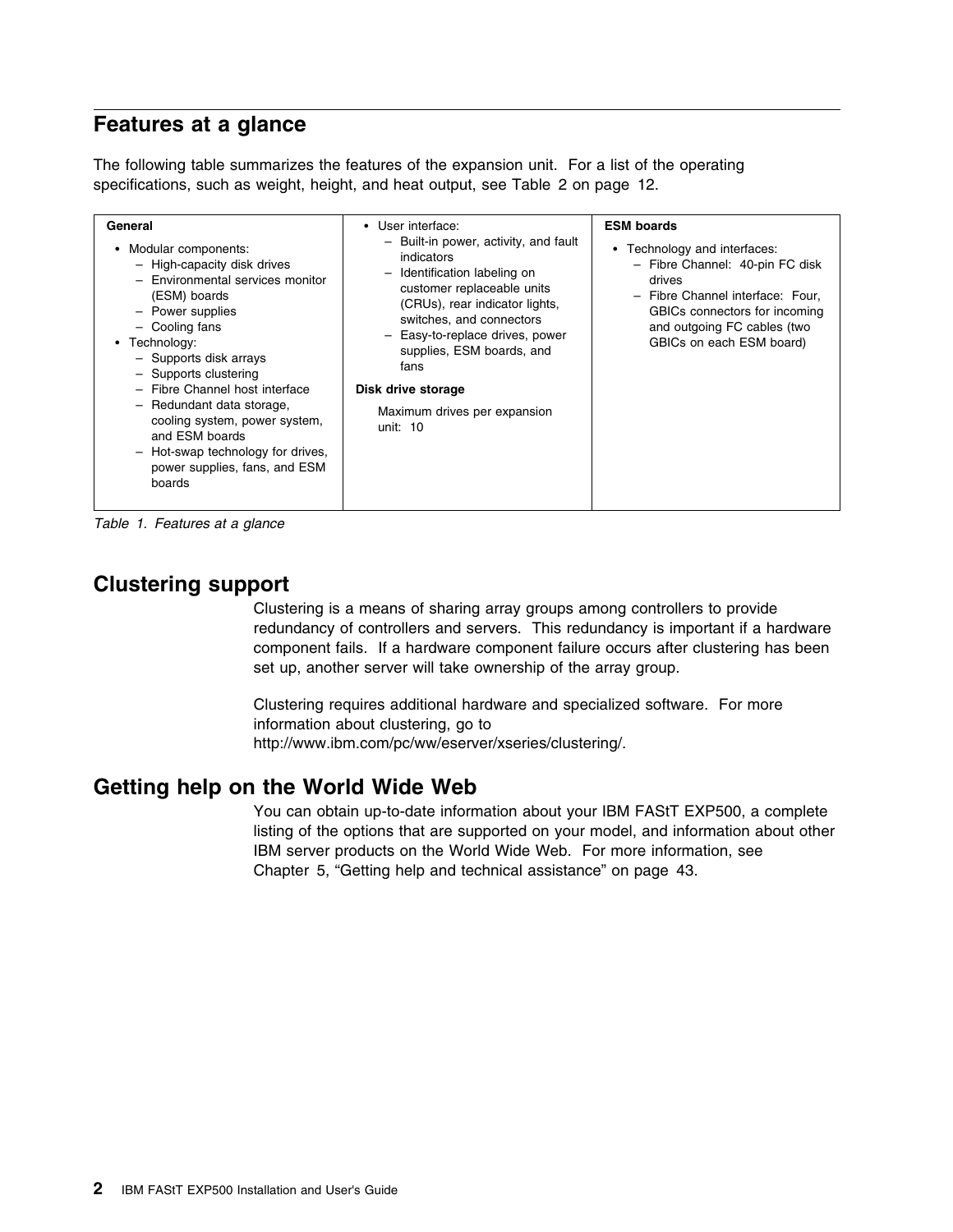## **Features at a glance**

The following table summarizes the features of the expansion unit. For a list of the operating specifications, such as weight, height, and heat output, see Table 2 on page 12.

| General<br>Modular components:<br>٠<br>- High-capacity disk drives<br>- Environmental services monitor<br>(ESM) boards<br>- Power supplies<br>- Cooling fans<br>Technology:<br>- Supports disk arrays<br>- Supports clustering<br>- Fibre Channel host interface<br>- Redundant data storage,<br>cooling system, power system,<br>and ESM boards<br>- Hot-swap technology for drives,<br>power supplies, fans, and ESM<br>boards | User interface:<br>$\bullet$<br>- Built-in power, activity, and fault<br>indicators<br>Identification labeling on<br>$\overline{\phantom{0}}$<br>customer replaceable units<br>(CRUs), rear indicator lights,<br>switches, and connectors<br>- Easy-to-replace drives, power<br>supplies, ESM boards, and<br>fans<br>Disk drive storage<br>Maximum drives per expansion<br>unit: $10$ | <b>ESM boards</b><br>Technology and interfaces:<br>$\bullet$<br>- Fibre Channel: 40-pin FC disk<br>drives<br>- Fibre Channel interface: Four.<br>GBICs connectors for incoming<br>and outgoing FC cables (two<br>GBICs on each ESM board) |
|----------------------------------------------------------------------------------------------------------------------------------------------------------------------------------------------------------------------------------------------------------------------------------------------------------------------------------------------------------------------------------------------------------------------------------|---------------------------------------------------------------------------------------------------------------------------------------------------------------------------------------------------------------------------------------------------------------------------------------------------------------------------------------------------------------------------------------|-------------------------------------------------------------------------------------------------------------------------------------------------------------------------------------------------------------------------------------------|
|----------------------------------------------------------------------------------------------------------------------------------------------------------------------------------------------------------------------------------------------------------------------------------------------------------------------------------------------------------------------------------------------------------------------------------|---------------------------------------------------------------------------------------------------------------------------------------------------------------------------------------------------------------------------------------------------------------------------------------------------------------------------------------------------------------------------------------|-------------------------------------------------------------------------------------------------------------------------------------------------------------------------------------------------------------------------------------------|

*Table 1. Features at a glance*

## **Clustering support**

Clustering is a means of sharing array groups among controllers to provide redundancy of controllers and servers. This redundancy is important if a hardware component fails. If a hardware component failure occurs after clustering has been set up, another server will take ownership of the array group.

Clustering requires additional hardware and specialized software. For more information about clustering, go to http://www.ibm.com/pc/ww/eserver/xseries/clustering/.

### **Getting help on the World Wide Web**

You can obtain up-to-date information about your IBM FAStT EXP500, a complete listing of the options that are supported on your model, and information about other IBM server products on the World Wide Web. For more information, see Chapter 5, "Getting help and technical assistance" on page 43.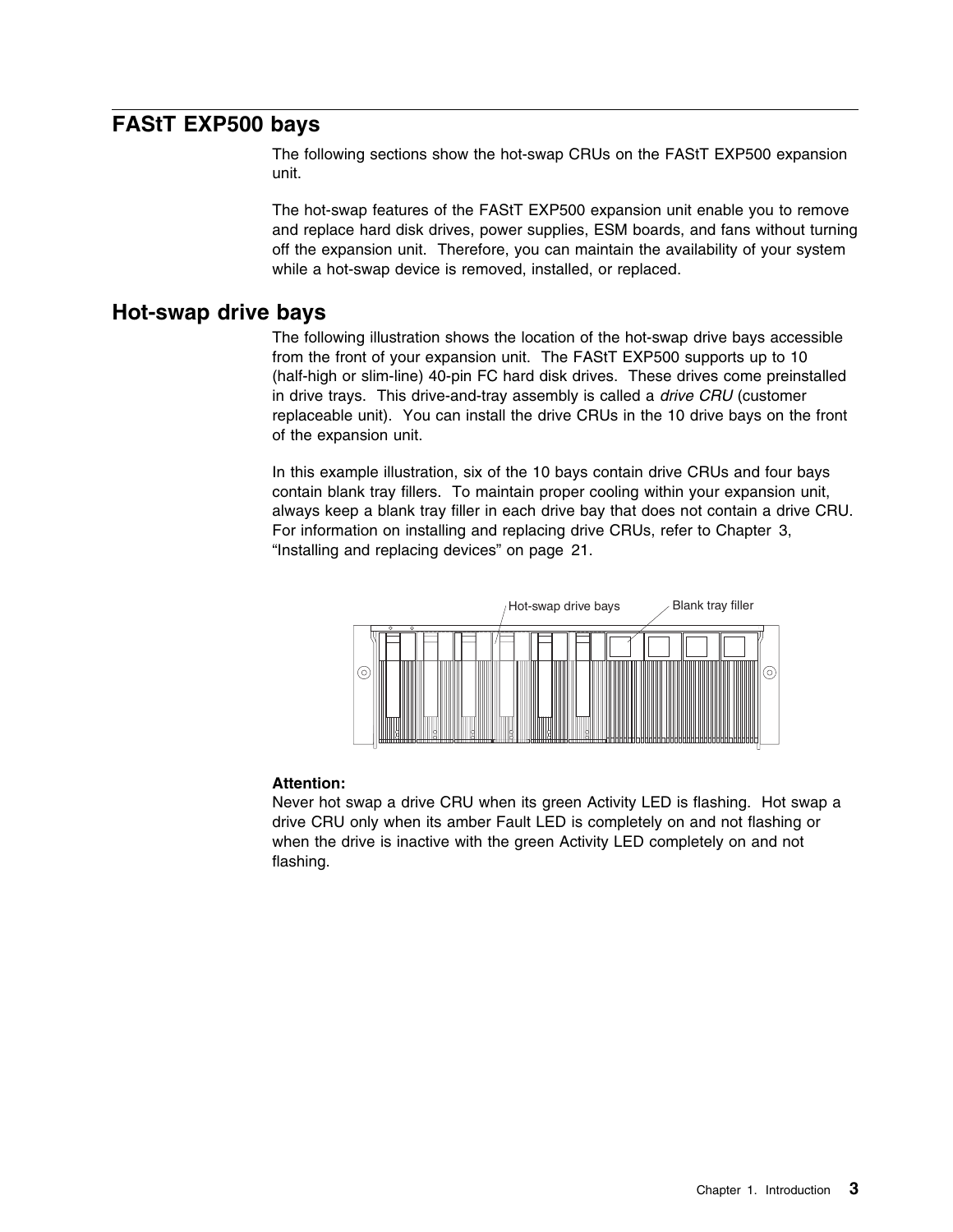### **FAStT EXP500 bays**

The following sections show the hot-swap CRUs on the FAStT EXP500 expansion unit.

The hot-swap features of the FAStT EXP500 expansion unit enable you to remove and replace hard disk drives, power supplies, ESM boards, and fans without turning off the expansion unit. Therefore, you can maintain the availability of your system while a hot-swap device is removed, installed, or replaced.

### **Hot-swap drive bays**

The following illustration shows the location of the hot-swap drive bays accessible from the front of your expansion unit. The FAStT EXP500 supports up to 10 (half-high or slim-line) 40-pin FC hard disk drives. These drives come preinstalled in drive trays. This drive-and-tray assembly is called a *drive CRU* (customer replaceable unit). You can install the drive CRUs in the 10 drive bays on the front of the expansion unit.

In this example illustration, six of the 10 bays contain drive CRUs and four bays contain blank tray fillers. To maintain proper cooling within your expansion unit, always keep a blank tray filler in each drive bay that does not contain a drive CRU. For information on installing and replacing drive CRUs, refer to Chapter 3, "Installing and replacing devices" on page 21.



#### **Attention:**

Never hot swap a drive CRU when its green Activity LED is flashing. Hot swap a drive CRU only when its amber Fault LED is completely on and not flashing or when the drive is inactive with the green Activity LED completely on and not flashing.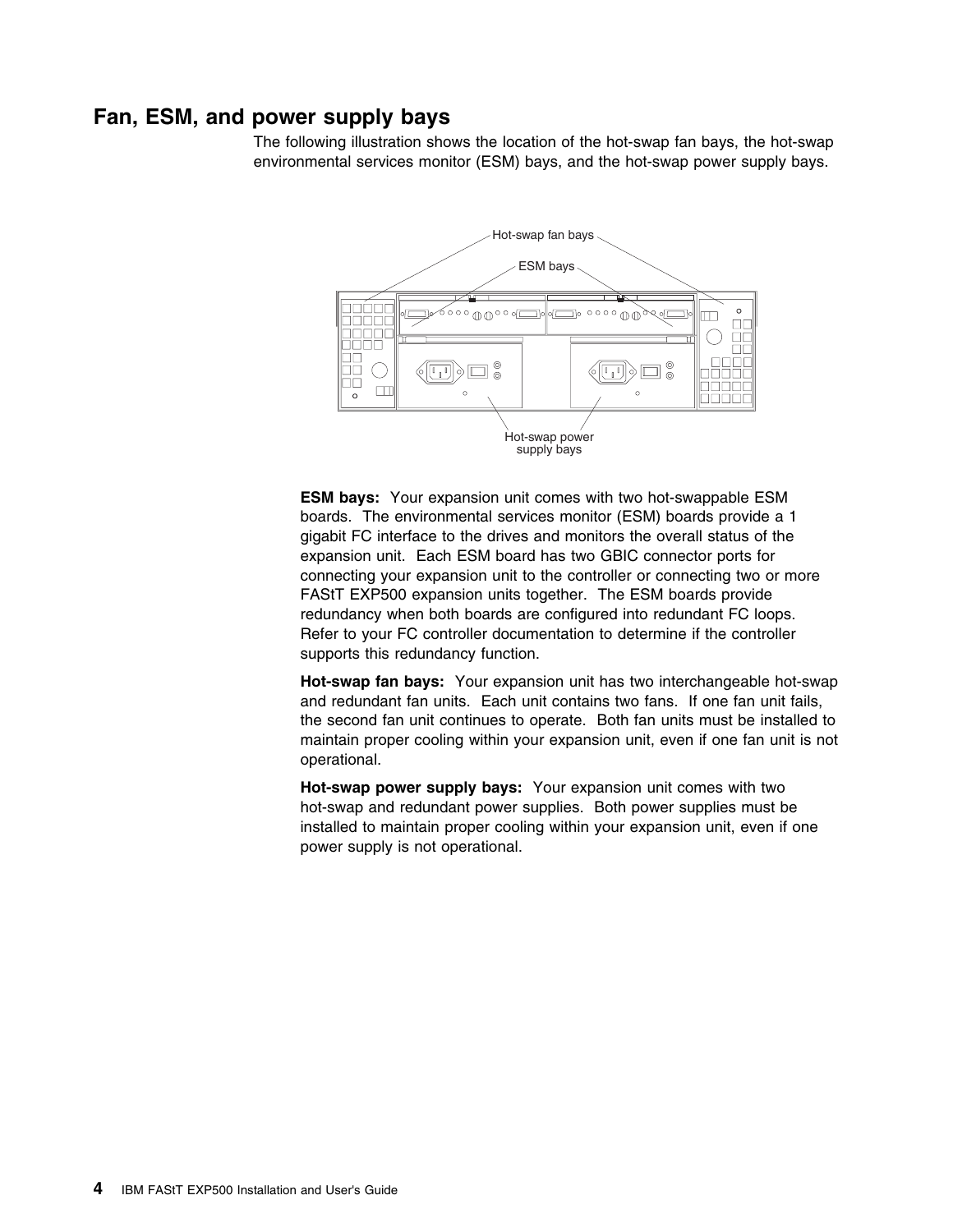### **Fan, ESM, and power supply bays**

The following illustration shows the location of the hot-swap fan bays, the hot-swap environmental services monitor (ESM) bays, and the hot-swap power supply bays.



**ESM bays:** Your expansion unit comes with two hot-swappable ESM boards. The environmental services monitor (ESM) boards provide a 1 gigabit FC interface to the drives and monitors the overall status of the expansion unit. Each ESM board has two GBIC connector ports for connecting your expansion unit to the controller or connecting two or more FAStT EXP500 expansion units together. The ESM boards provide redundancy when both boards are configured into redundant FC loops. Refer to your FC controller documentation to determine if the controller supports this redundancy function.

**Hot-swap fan bays:** Your expansion unit has two interchangeable hot-swap and redundant fan units. Each unit contains two fans. If one fan unit fails, the second fan unit continues to operate. Both fan units must be installed to maintain proper cooling within your expansion unit, even if one fan unit is not operational.

**Hot-swap power supply bays:** Your expansion unit comes with two hot-swap and redundant power supplies. Both power supplies must be installed to maintain proper cooling within your expansion unit, even if one power supply is not operational.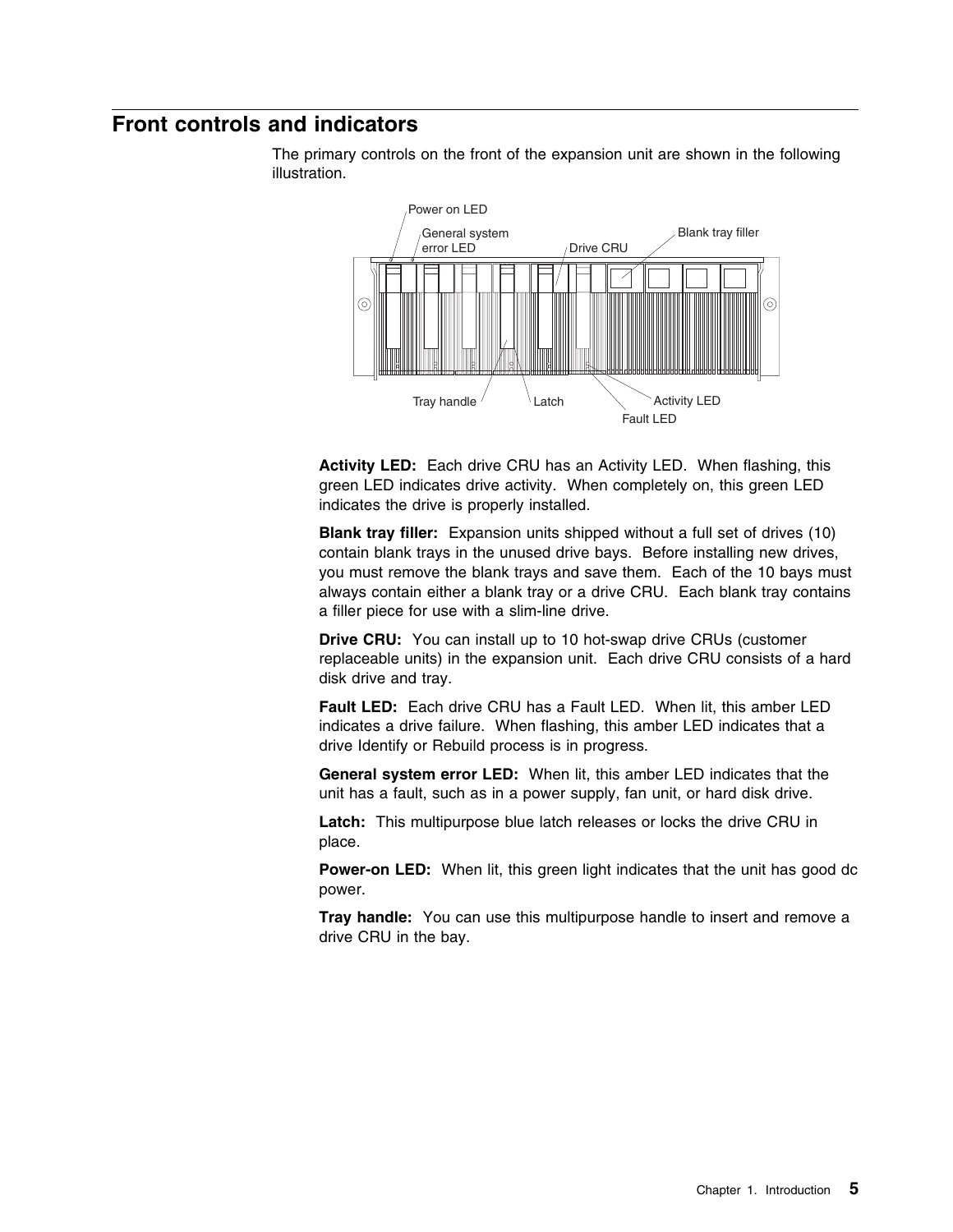### **Front controls and indicators**

The primary controls on the front of the expansion unit are shown in the following illustration.



**Activity LED:** Each drive CRU has an Activity LED. When flashing, this green LED indicates drive activity. When completely on, this green LED indicates the drive is properly installed.

**Blank tray filler:** Expansion units shipped without a full set of drives (10) contain blank trays in the unused drive bays. Before installing new drives, you must remove the blank trays and save them. Each of the 10 bays must always contain either a blank tray or a drive CRU. Each blank tray contains a filler piece for use with a slim-line drive.

**Drive CRU:** You can install up to 10 hot-swap drive CRUs (customer replaceable units) in the expansion unit. Each drive CRU consists of a hard disk drive and tray.

**Fault LED:** Each drive CRU has a Fault LED. When lit, this amber LED indicates a drive failure. When flashing, this amber LED indicates that a drive Identify or Rebuild process is in progress.

**General system error LED:** When lit, this amber LED indicates that the unit has a fault, such as in a power supply, fan unit, or hard disk drive.

**Latch:** This multipurpose blue latch releases or locks the drive CRU in place.

**Power-on LED:** When lit, this green light indicates that the unit has good dc power.

**Tray handle:** You can use this multipurpose handle to insert and remove a drive CRU in the bay.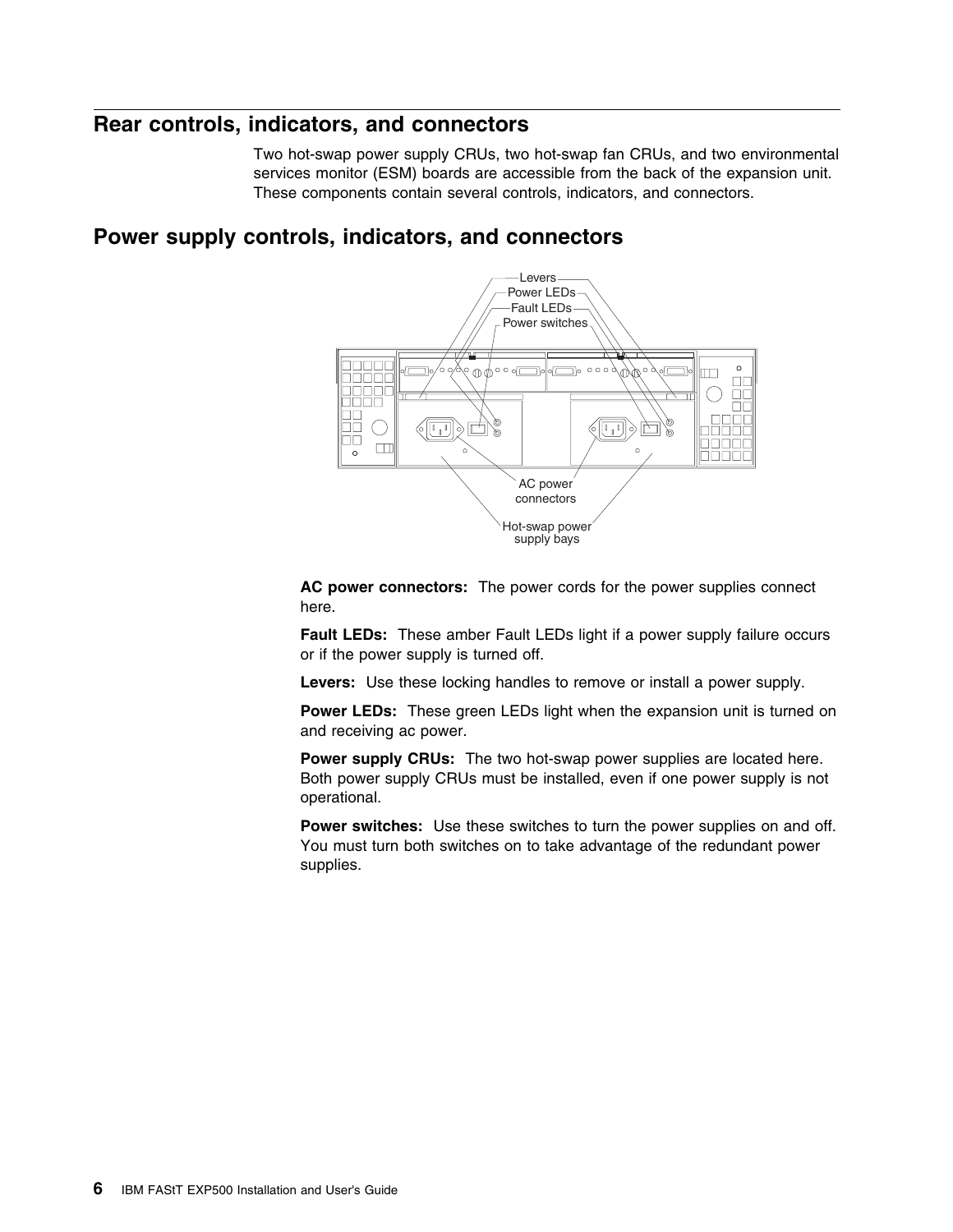### **Rear controls, indicators, and connectors**

Two hot-swap power supply CRUs, two hot-swap fan CRUs, and two environmental services monitor (ESM) boards are accessible from the back of the expansion unit. These components contain several controls, indicators, and connectors.

## **Power supply controls, indicators, and connectors**



**AC power connectors:** The power cords for the power supplies connect here.

**Fault LEDs:** These amber Fault LEDs light if a power supply failure occurs or if the power supply is turned off.

**Levers:** Use these locking handles to remove or install a power supply.

**Power LEDs:** These green LEDs light when the expansion unit is turned on and receiving ac power.

**Power supply CRUs:** The two hot-swap power supplies are located here. Both power supply CRUs must be installed, even if one power supply is not operational.

**Power switches:** Use these switches to turn the power supplies on and off. You must turn both switches on to take advantage of the redundant power supplies.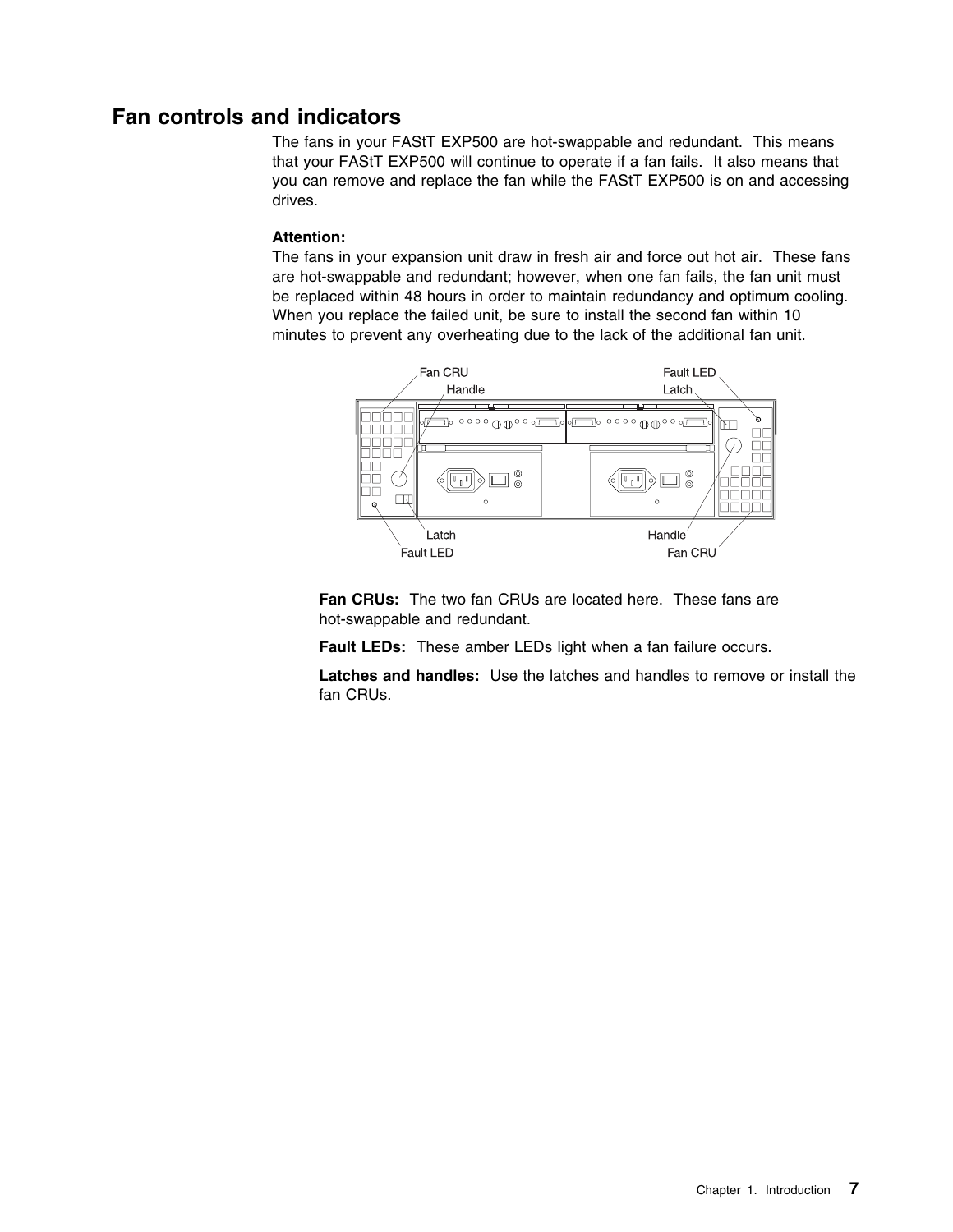### **Fan controls and indicators**

The fans in your FAStT EXP500 are hot-swappable and redundant. This means that your FAStT EXP500 will continue to operate if a fan fails. It also means that you can remove and replace the fan while the FAStT EXP500 is on and accessing drives.

#### **Attention:**

The fans in your expansion unit draw in fresh air and force out hot air. These fans are hot-swappable and redundant; however, when one fan fails, the fan unit must be replaced within 48 hours in order to maintain redundancy and optimum cooling. When you replace the failed unit, be sure to install the second fan within 10 minutes to prevent any overheating due to the lack of the additional fan unit.



**Fan CRUs:** The two fan CRUs are located here. These fans are hot-swappable and redundant.

**Fault LEDs:** These amber LEDs light when a fan failure occurs.

**Latches and handles:** Use the latches and handles to remove or install the fan CRUs.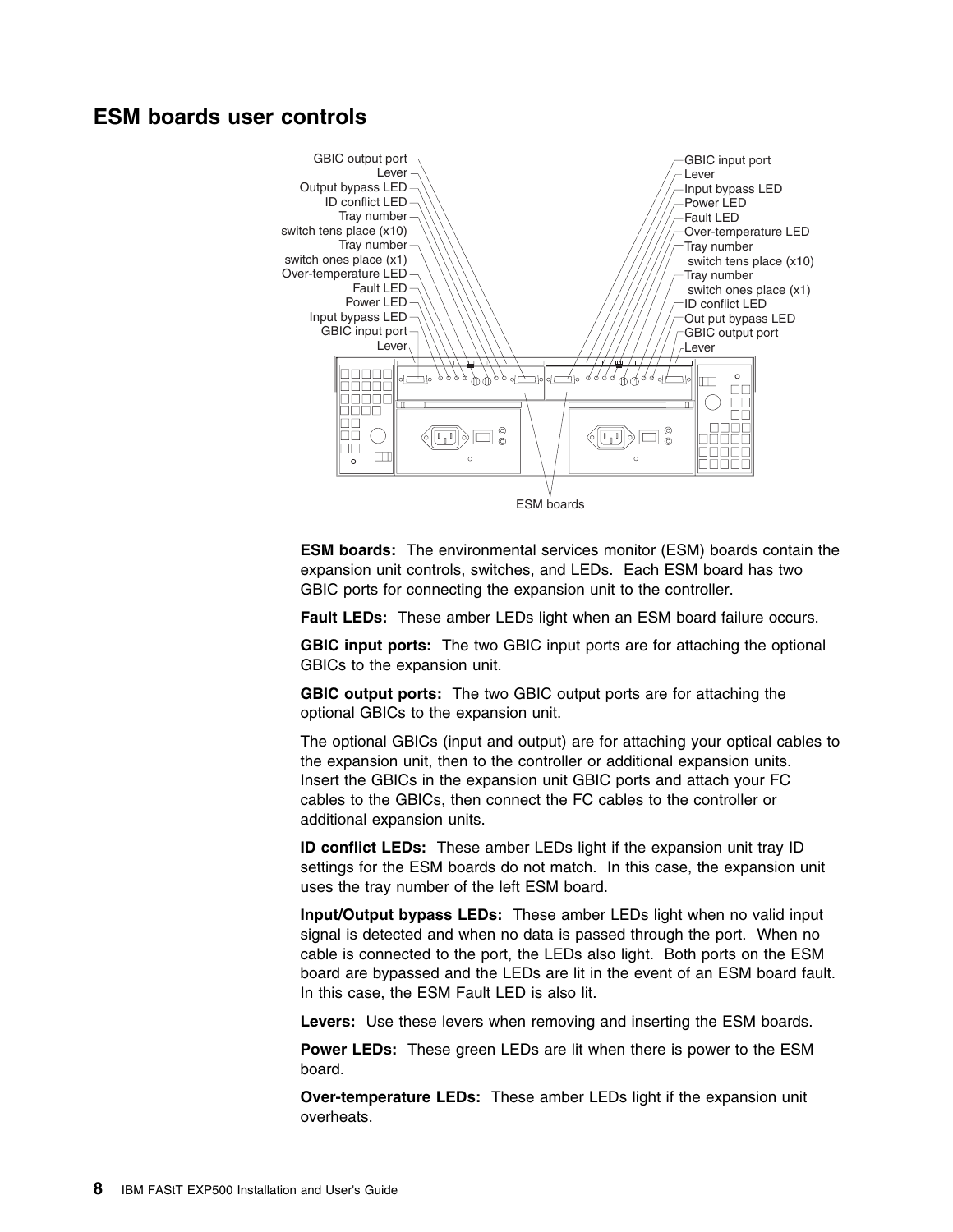### **ESM boards user controls**



**ESM boards:** The environmental services monitor (ESM) boards contain the expansion unit controls, switches, and LEDs. Each ESM board has two GBIC ports for connecting the expansion unit to the controller.

**Fault LEDs:** These amber LEDs light when an ESM board failure occurs.

**GBIC input ports:** The two GBIC input ports are for attaching the optional GBICs to the expansion unit.

**GBIC output ports:** The two GBIC output ports are for attaching the optional GBICs to the expansion unit.

The optional GBICs (input and output) are for attaching your optical cables to the expansion unit, then to the controller or additional expansion units. Insert the GBICs in the expansion unit GBIC ports and attach your FC cables to the GBICs, then connect the FC cables to the controller or additional expansion units.

**ID conflict LEDs:** These amber LEDs light if the expansion unit tray ID settings for the ESM boards do not match. In this case, the expansion unit uses the tray number of the left ESM board.

**Input/Output bypass LEDs:** These amber LEDs light when no valid input signal is detected and when no data is passed through the port. When no cable is connected to the port, the LEDs also light. Both ports on the ESM board are bypassed and the LEDs are lit in the event of an ESM board fault. In this case, the ESM Fault LED is also lit.

**Levers:** Use these levers when removing and inserting the ESM boards.

**Power LEDs:** These green LEDs are lit when there is power to the ESM board.

**Over-temperature LEDs:** These amber LEDs light if the expansion unit overheats.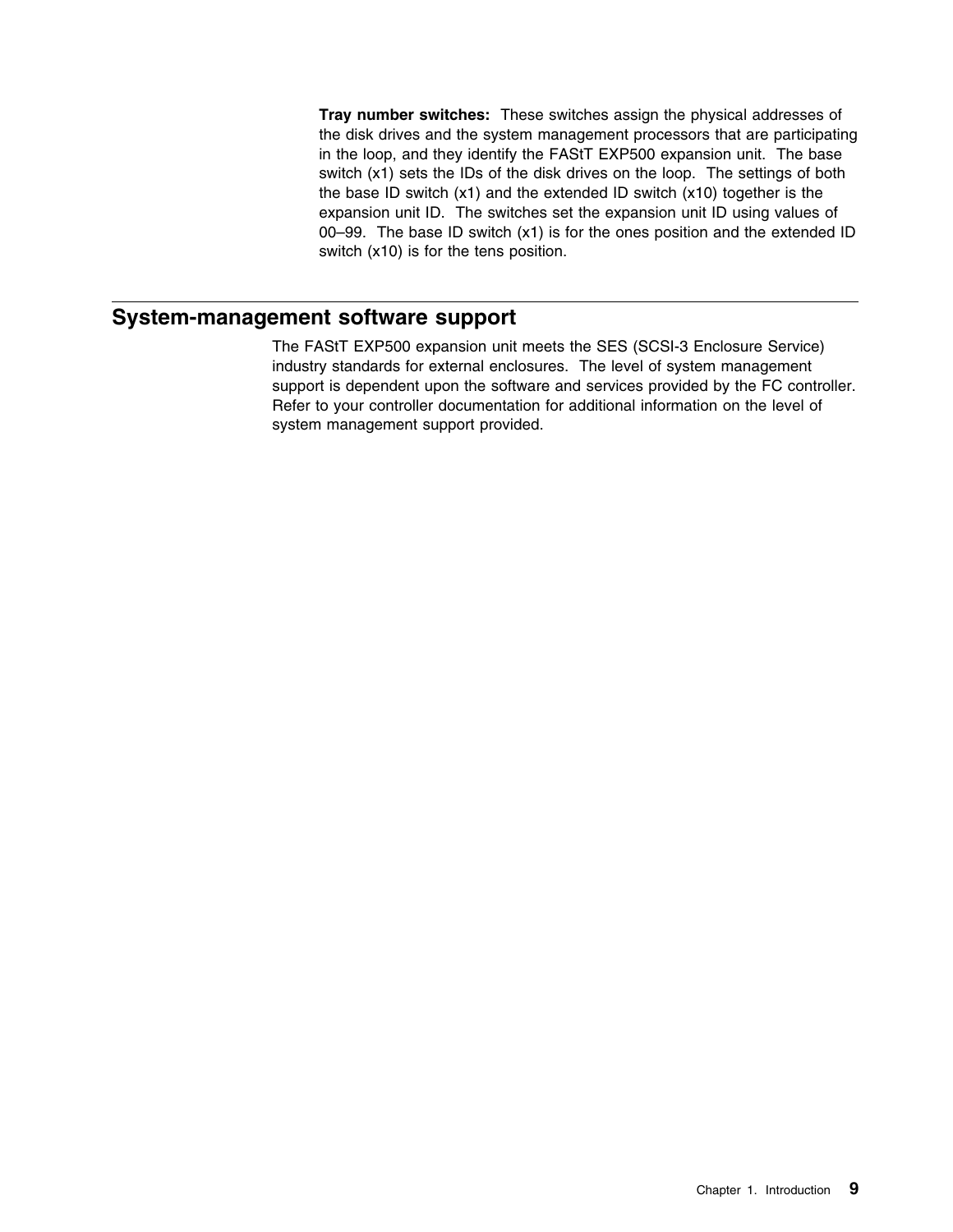**Tray number switches:** These switches assign the physical addresses of the disk drives and the system management processors that are participating in the loop, and they identify the FAStT EXP500 expansion unit. The base switch (x1) sets the IDs of the disk drives on the loop. The settings of both the base ID switch (x1) and the extended ID switch (x10) together is the expansion unit ID. The switches set the expansion unit ID using values of 00–99. The base ID switch (x1) is for the ones position and the extended ID switch (x10) is for the tens position.

### **System-management software support**

The FAStT EXP500 expansion unit meets the SES (SCSI-3 Enclosure Service) industry standards for external enclosures. The level of system management support is dependent upon the software and services provided by the FC controller. Refer to your controller documentation for additional information on the level of system management support provided.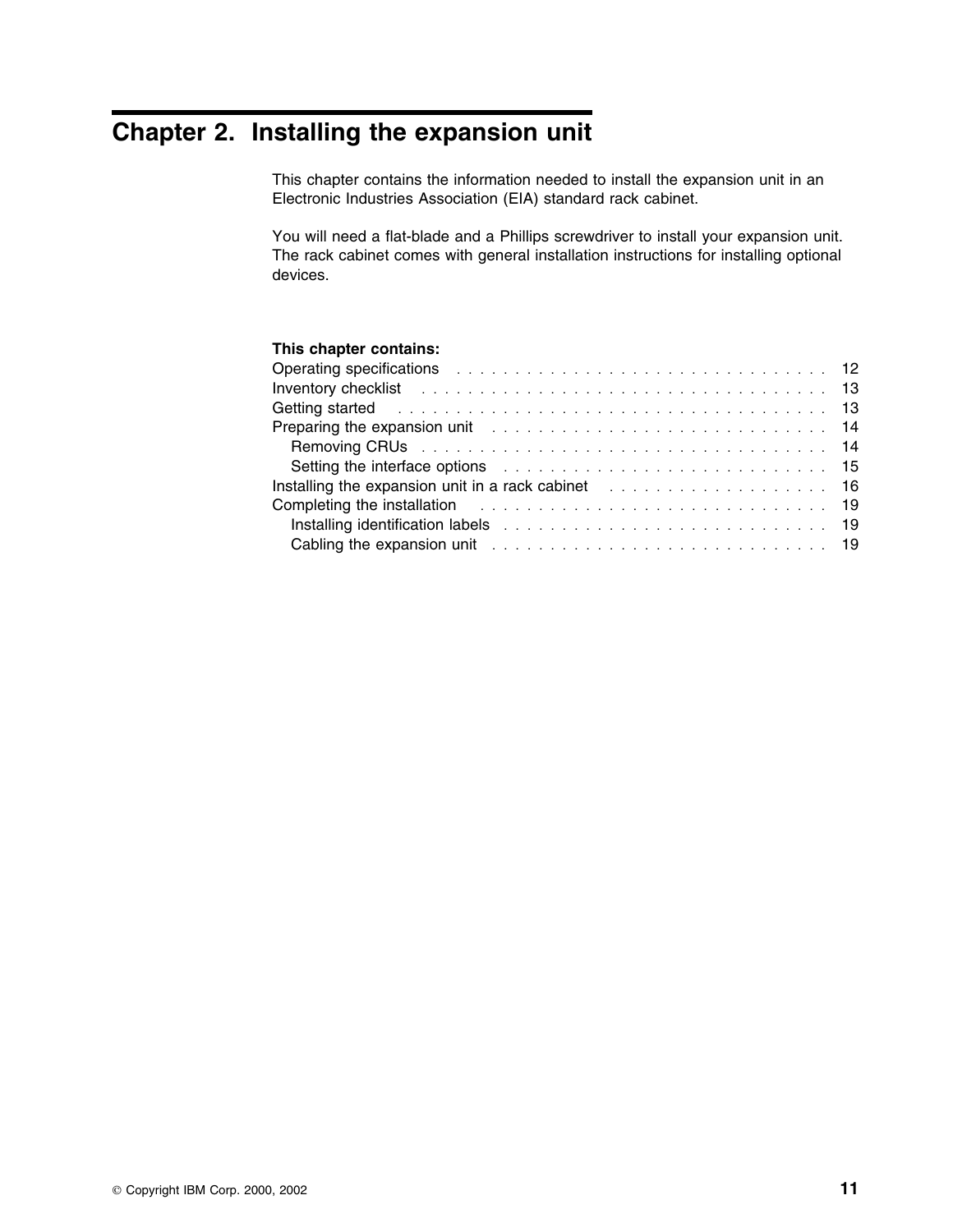# **Chapter 2. Installing the expansion unit**

This chapter contains the information needed to install the expansion unit in an Electronic Industries Association (EIA) standard rack cabinet.

You will need a flat-blade and a Phillips screwdriver to install your expansion unit. The rack cabinet comes with general installation instructions for installing optional devices.

#### **This chapter contains:**

| Operating specifications entertainment of the contract of the contract of the contract of the contract of the contract of the contract of the contract of the contract of the contract of the contract of the contract of the  |  |
|--------------------------------------------------------------------------------------------------------------------------------------------------------------------------------------------------------------------------------|--|
|                                                                                                                                                                                                                                |  |
| Getting started resources in the set of the set of the set of the set of the set of the set of the set of the set of the set of the set of the set of the set of the set of the set of the set of the set of the set of the se |  |
|                                                                                                                                                                                                                                |  |
|                                                                                                                                                                                                                                |  |
| Setting the interface options enterstanding to the set of the set of the set of the set of the set of the set of the set of the set of the set of the set of the set of the set of the set of the set of the set of the set of |  |
| Installing the expansion unit in a rack cabinet entertainment of the state of the state of the state of the state of the state of the state of the state of the state of the state of the state of the state of the state of t |  |
| Completing the installation enterstanding to the contract of the contract of the contract of the contract of the contract of the contract of the contract of the contract of the contract of the contract of the contract of t |  |
|                                                                                                                                                                                                                                |  |
| Cabling the expansion unit enterprise in the case of the case of the case of the case of the case of the case of the case of the case of the case of the case of the case of the case of the case of the case of the case of t |  |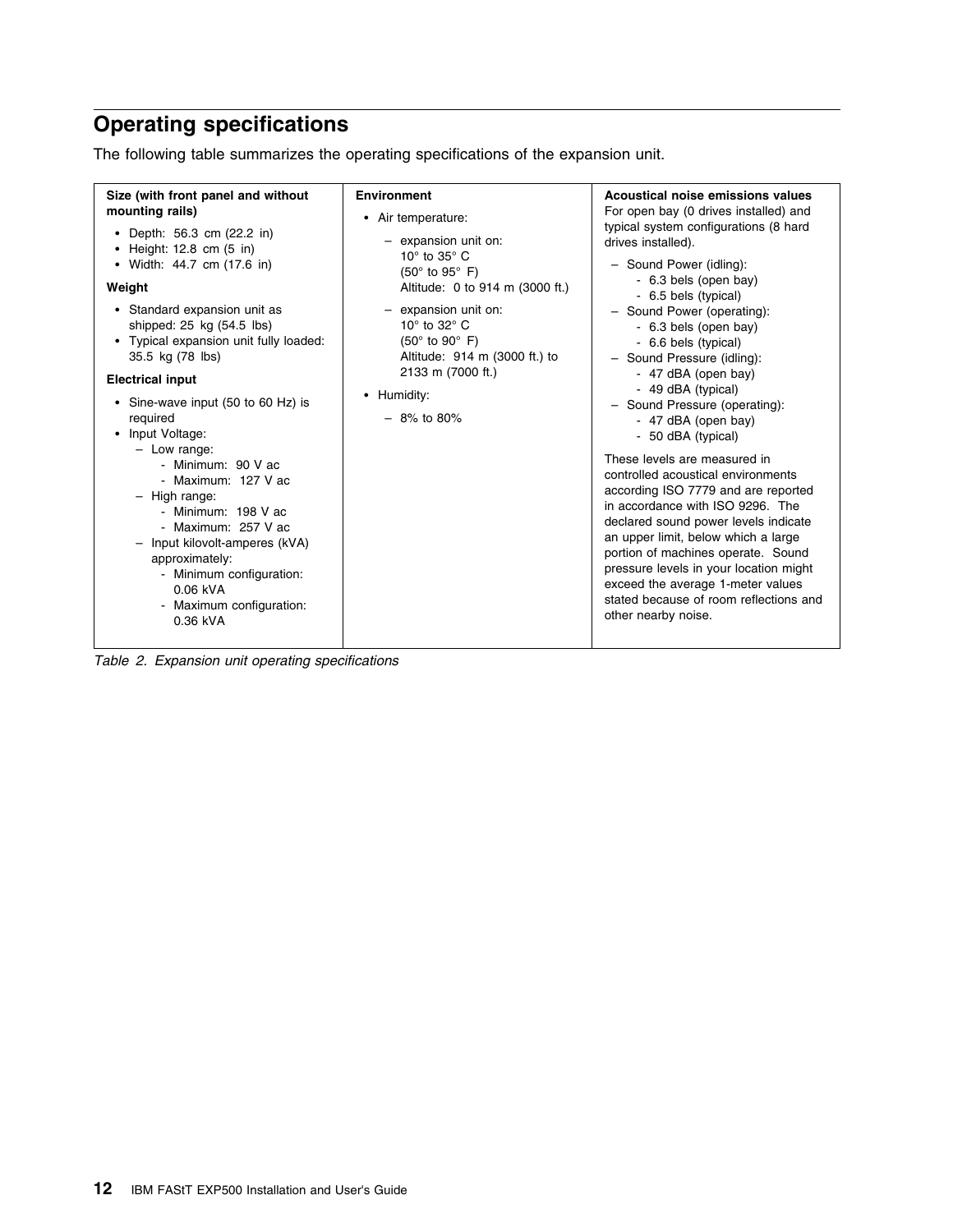# **Operating specifications**

The following table summarizes the operating specifications of the expansion unit.

*Table 2. Expansion unit operating specifications*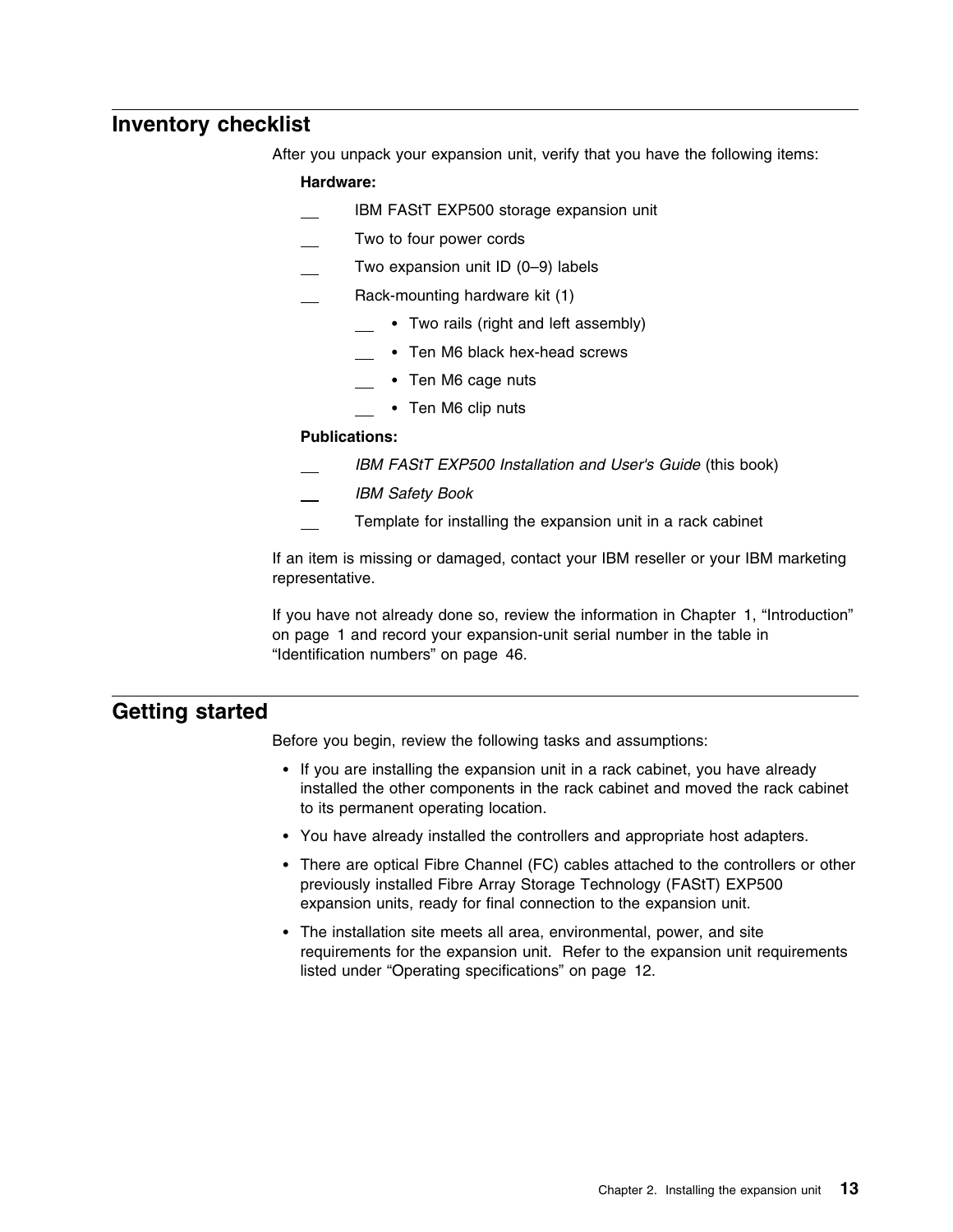### **Inventory checklist**

After you unpack your expansion unit, verify that you have the following items:

#### **Hardware:**

- IBM FAStT EXP500 storage expansion unit
- Two to four power cords
- Two expansion unit ID (0–9) labels
- Rack-mounting hardware kit (1)
	- Two rails (right and left assembly)
		- Ten M6 black hex-head screws
		- Ten M6 cage nuts
		- Ten M6 clip nuts

#### **Publications:**

- *IBM FAStT EXP500 Installation and User's Guide* (this book)
- *IBM Safety Book*
- Template for installing the expansion unit in a rack cabinet

If an item is missing or damaged, contact your IBM reseller or your IBM marketing representative.

If you have not already done so, review the information in Chapter 1, "Introduction" on page 1 and record your expansion-unit serial number in the table in "Identification numbers" on page 46.

### **Getting started**

Before you begin, review the following tasks and assumptions:

- If you are installing the expansion unit in a rack cabinet, you have already installed the other components in the rack cabinet and moved the rack cabinet to its permanent operating location.
- You have already installed the controllers and appropriate host adapters.
- There are optical Fibre Channel (FC) cables attached to the controllers or other previously installed Fibre Array Storage Technology (FAStT) EXP500 expansion units, ready for final connection to the expansion unit.
- The installation site meets all area, environmental, power, and site requirements for the expansion unit. Refer to the expansion unit requirements listed under "Operating specifications" on page 12.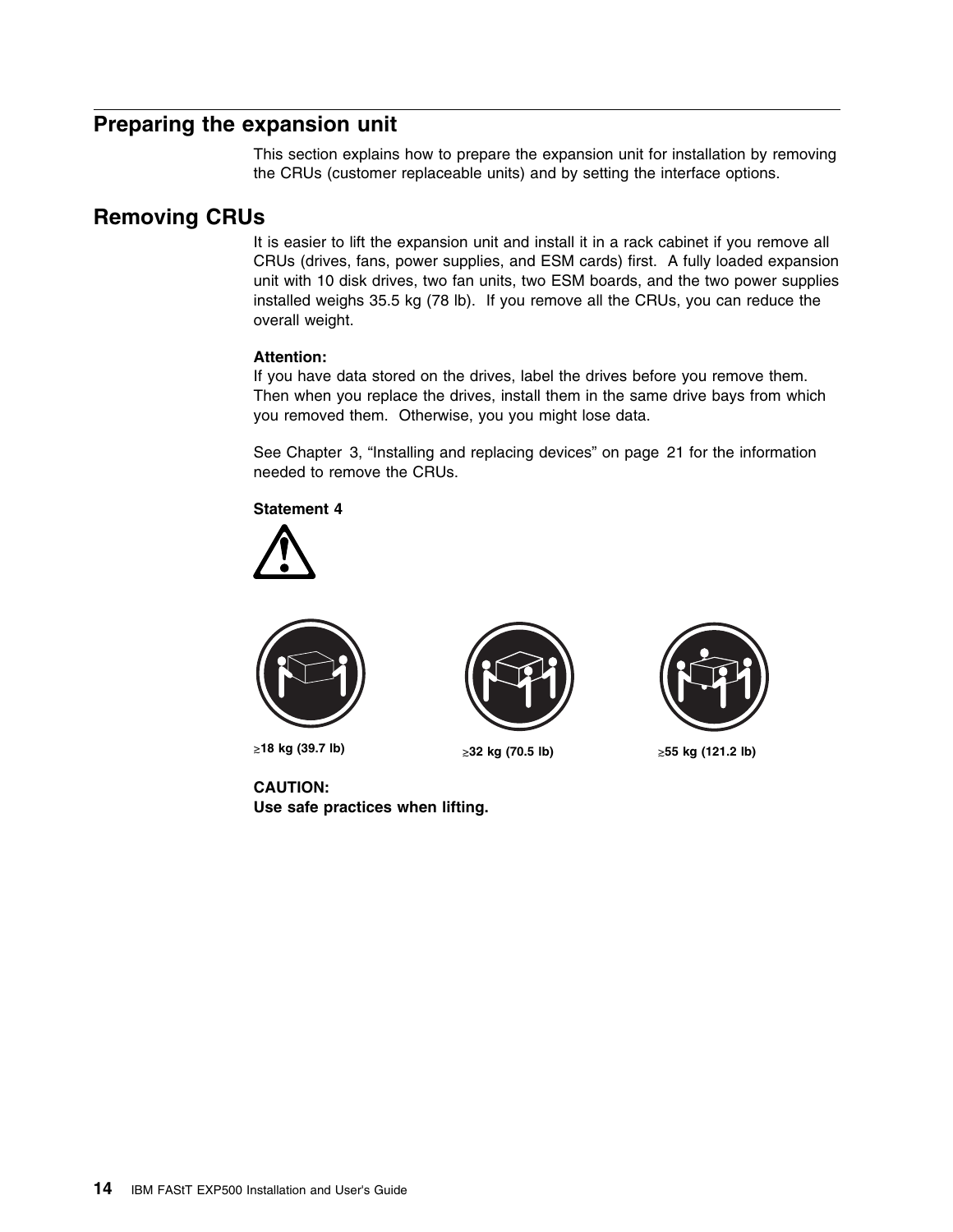### **Preparing the expansion unit**

This section explains how to prepare the expansion unit for installation by removing the CRUs (customer replaceable units) and by setting the interface options.

### **Removing CRUs**

It is easier to lift the expansion unit and install it in a rack cabinet if you remove all CRUs (drives, fans, power supplies, and ESM cards) first. A fully loaded expansion unit with 10 disk drives, two fan units, two ESM boards, and the two power supplies installed weighs 35.5 kg (78 lb). If you remove all the CRUs, you can reduce the overall weight.

#### **Attention:**

If you have data stored on the drives, label the drives before you remove them. Then when you replace the drives, install them in the same drive bays from which you removed them. Otherwise, you you might lose data.

See Chapter 3, "Installing and replacing devices" on page 21 for the information needed to remove the CRUs.

**Statement 4**





-**18 kg (39.7 lb)** -

**CAUTION: Use safe practices when lifting.**



≥32 kg (70.5 lb)



**55 kg (121.2 lb)**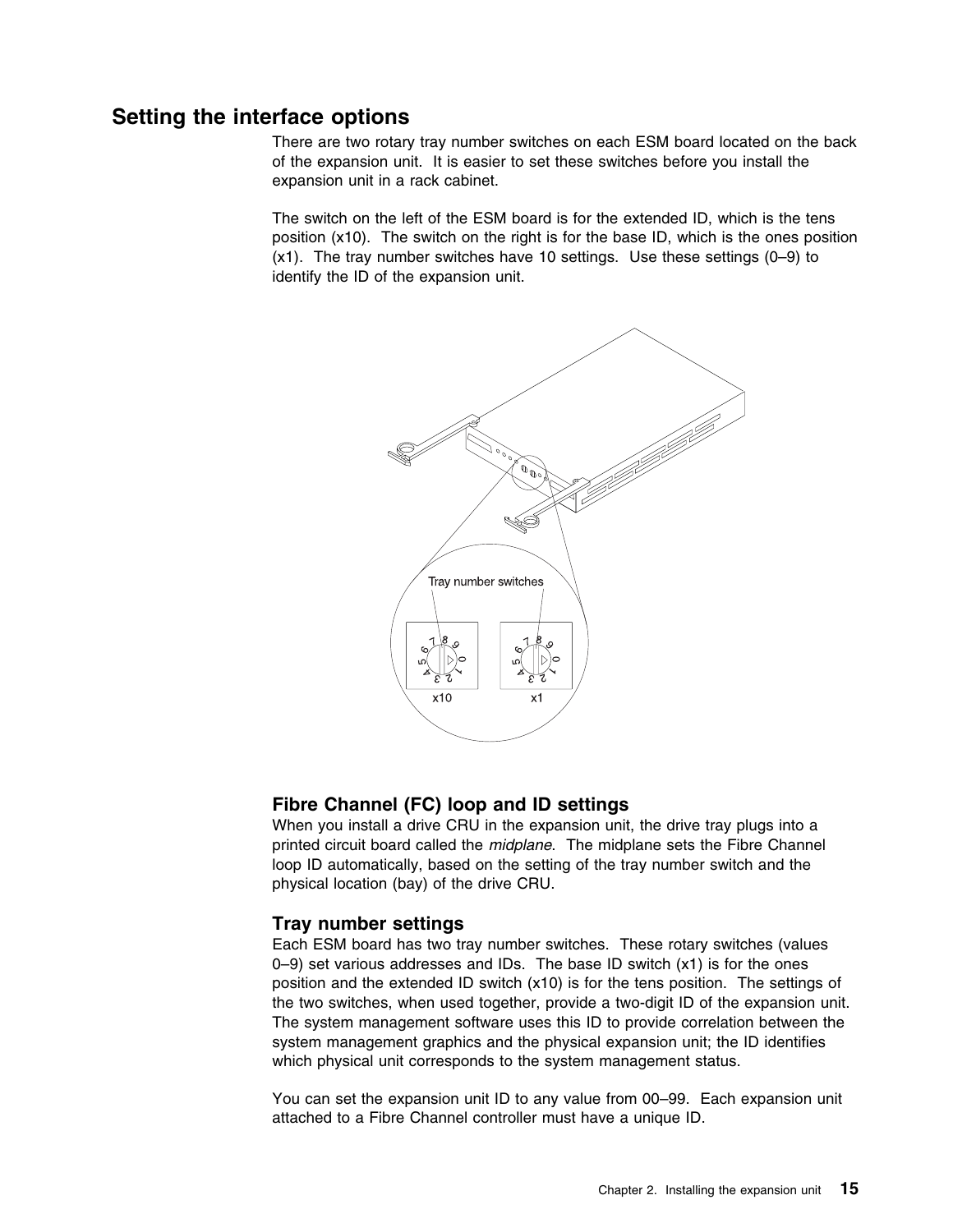### **Setting the interface options**

There are two rotary tray number switches on each ESM board located on the back of the expansion unit. It is easier to set these switches before you install the expansion unit in a rack cabinet.

The switch on the left of the ESM board is for the extended ID, which is the tens position (x10). The switch on the right is for the base ID, which is the ones position (x1). The tray number switches have 10 settings. Use these settings (0–9) to identify the ID of the expansion unit.



### **Fibre Channel (FC) loop and ID settings**

When you install a drive CRU in the expansion unit, the drive tray plugs into a printed circuit board called the *midplane*. The midplane sets the Fibre Channel loop ID automatically, based on the setting of the tray number switch and the physical location (bay) of the drive CRU.

### **Tray number settings**

Each ESM board has two tray number switches. These rotary switches (values  $0-9$ ) set various addresses and IDs. The base ID switch  $(x1)$  is for the ones position and the extended ID switch (x10) is for the tens position. The settings of the two switches, when used together, provide a two-digit ID of the expansion unit. The system management software uses this ID to provide correlation between the system management graphics and the physical expansion unit; the ID identifies which physical unit corresponds to the system management status.

You can set the expansion unit ID to any value from 00–99. Each expansion unit attached to a Fibre Channel controller must have a unique ID.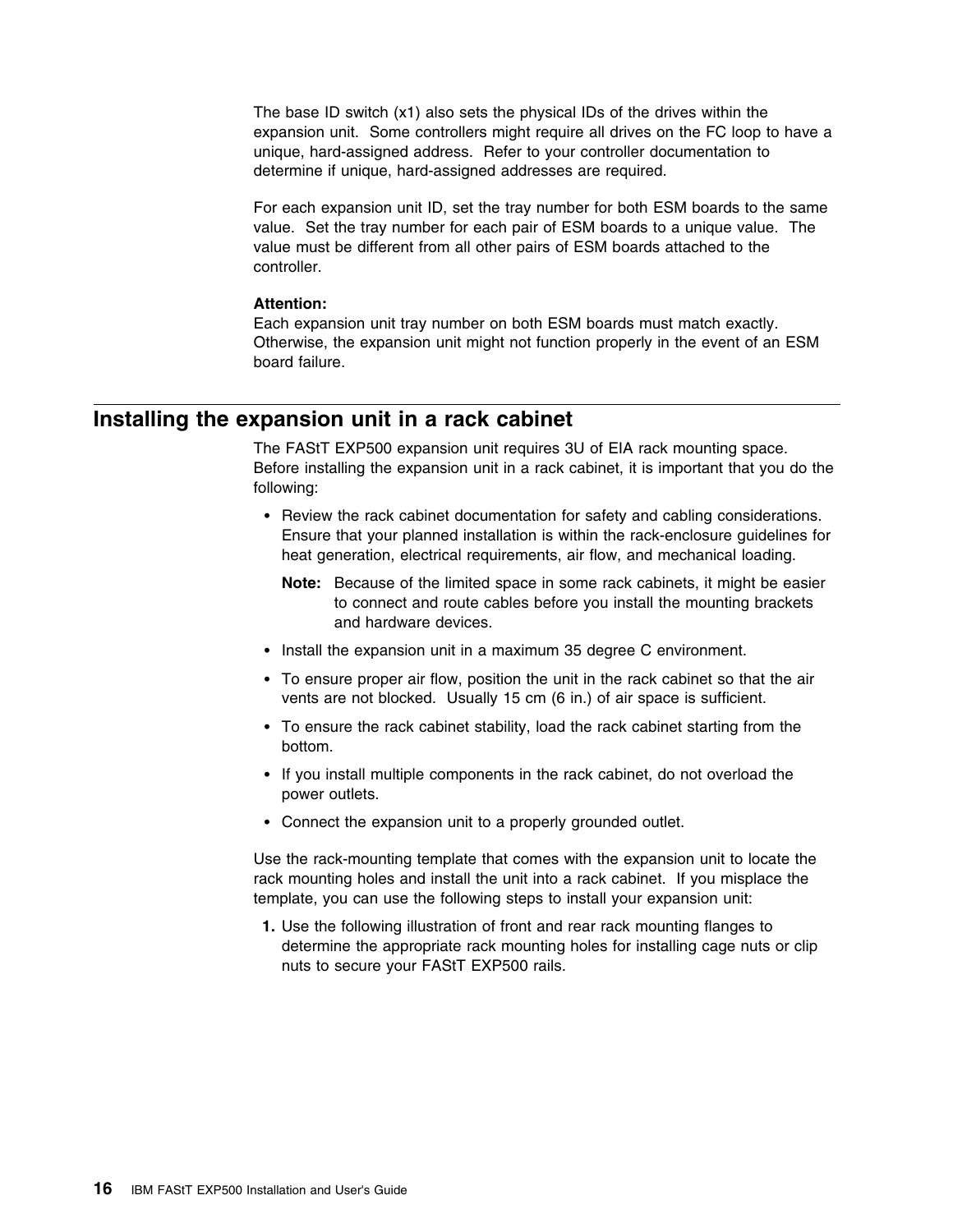The base ID switch (x1) also sets the physical IDs of the drives within the expansion unit. Some controllers might require all drives on the FC loop to have a unique, hard-assigned address. Refer to your controller documentation to determine if unique, hard-assigned addresses are required.

For each expansion unit ID, set the tray number for both ESM boards to the same value. Set the tray number for each pair of ESM boards to a unique value. The value must be different from all other pairs of ESM boards attached to the controller.

#### **Attention:**

Each expansion unit tray number on both ESM boards must match exactly. Otherwise, the expansion unit might not function properly in the event of an ESM board failure.

### **Installing the expansion unit in a rack cabinet**

The FAStT EXP500 expansion unit requires 3U of EIA rack mounting space. Before installing the expansion unit in a rack cabinet, it is important that you do the following:

- Review the rack cabinet documentation for safety and cabling considerations. Ensure that your planned installation is within the rack-enclosure guidelines for heat generation, electrical requirements, air flow, and mechanical loading.
	- **Note:** Because of the limited space in some rack cabinets, it might be easier to connect and route cables before you install the mounting brackets and hardware devices.
- Install the expansion unit in a maximum 35 degree C environment.
- To ensure proper air flow, position the unit in the rack cabinet so that the air vents are not blocked. Usually 15 cm (6 in.) of air space is sufficient.
- To ensure the rack cabinet stability, load the rack cabinet starting from the bottom.
- If you install multiple components in the rack cabinet, do not overload the power outlets.
- Connect the expansion unit to a properly grounded outlet.

Use the rack-mounting template that comes with the expansion unit to locate the rack mounting holes and install the unit into a rack cabinet. If you misplace the template, you can use the following steps to install your expansion unit:

**1.** Use the following illustration of front and rear rack mounting flanges to determine the appropriate rack mounting holes for installing cage nuts or clip nuts to secure your FAStT EXP500 rails.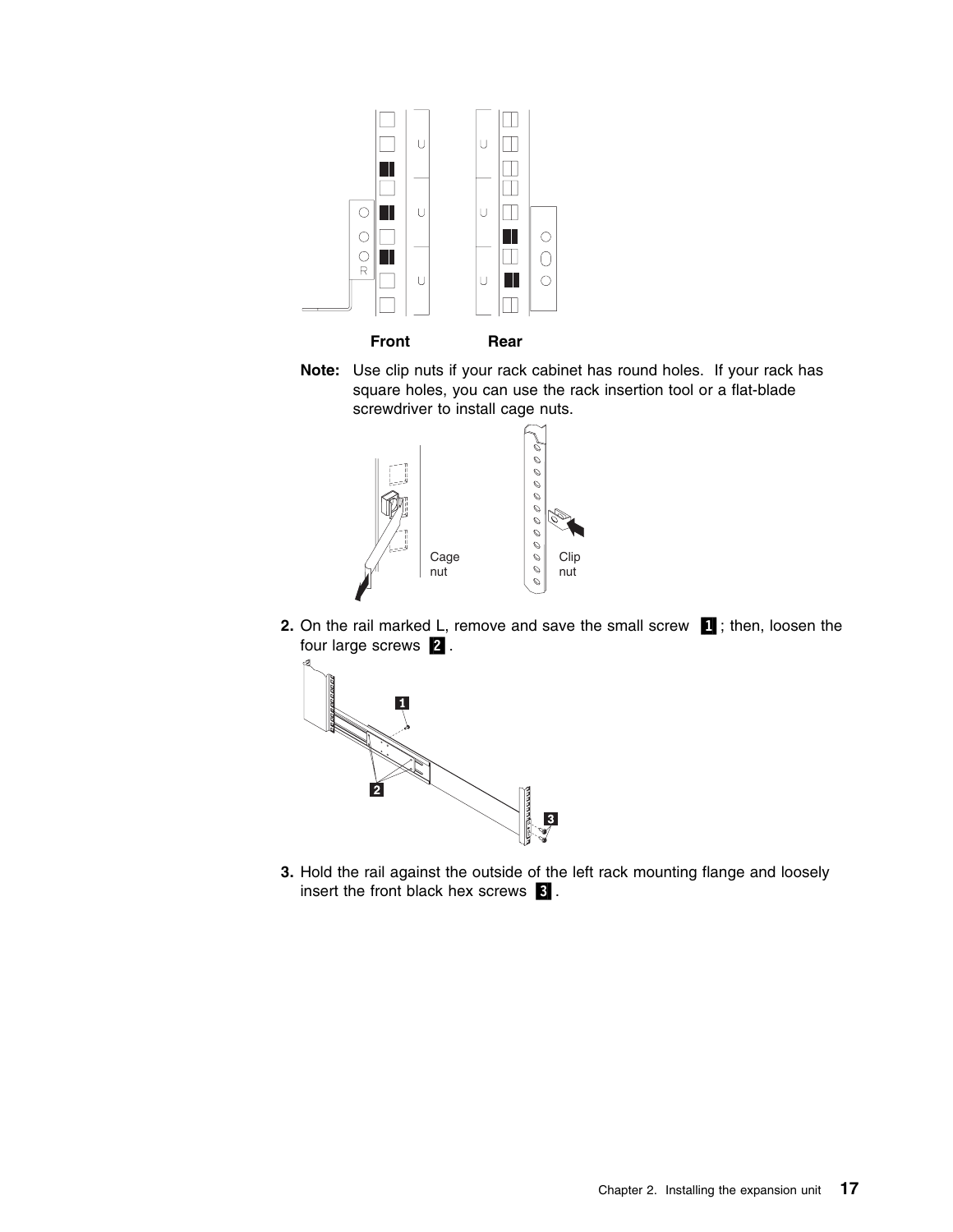



**Note:** Use clip nuts if your rack cabinet has round holes. If your rack has square holes, you can use the rack insertion tool or a flat-blade screwdriver to install cage nuts.



**2.** On the rail marked L, remove and save the small screw **1**; then, loosen the four large screws 2.



**3.** Hold the rail against the outside of the left rack mounting flange and loosely insert the front black hex screws  $\left\{ \mathbf{\hat{s}}\right\}$ .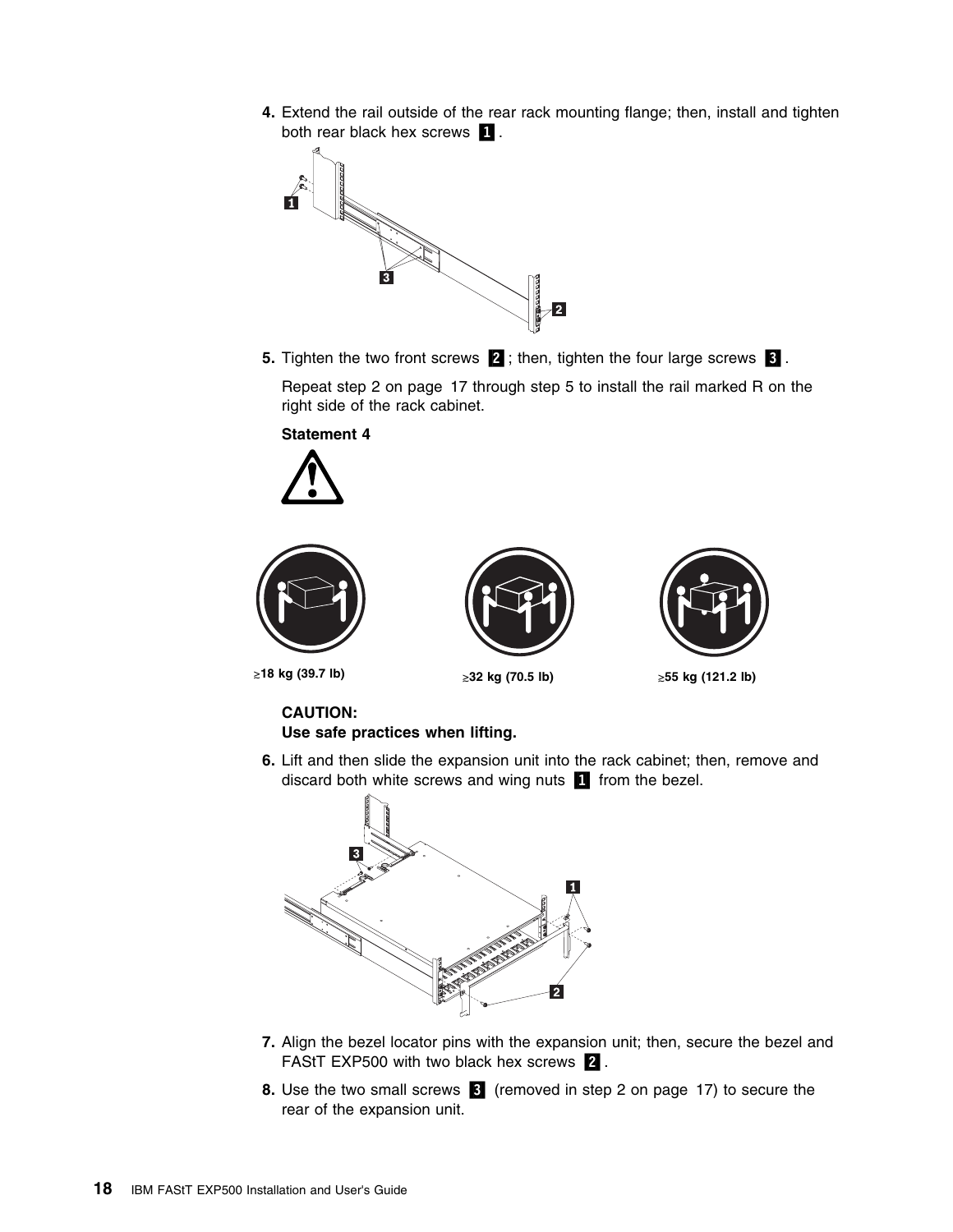**4.** Extend the rail outside of the rear rack mounting flange; then, install and tighten both rear black hex screws **1**.



**5.** Tighten the two front screws **2**; then, tighten the four large screws **8**. Repeat step 2 on page 17 through step 5 to install the rail marked R on the

right side of the rack cabinet.

**Statement 4**









-**18 kg (39.7 lb)** -

≥32 kg (70.5 lb)

**55 kg (121.2 lb)**

# **CAUTION:**

- **Use safe practices when lifting.**
- **6.** Lift and then slide the expansion unit into the rack cabinet; then, remove and discard both white screws and wing nuts  $\Box$  from the bezel.



- **7.** Align the bezel locator pins with the expansion unit; then, secure the bezel and FAStT EXP500 with two black hex screws 2.
- **8.** Use the two small screws **8** (removed in step 2 on page 17) to secure the rear of the expansion unit.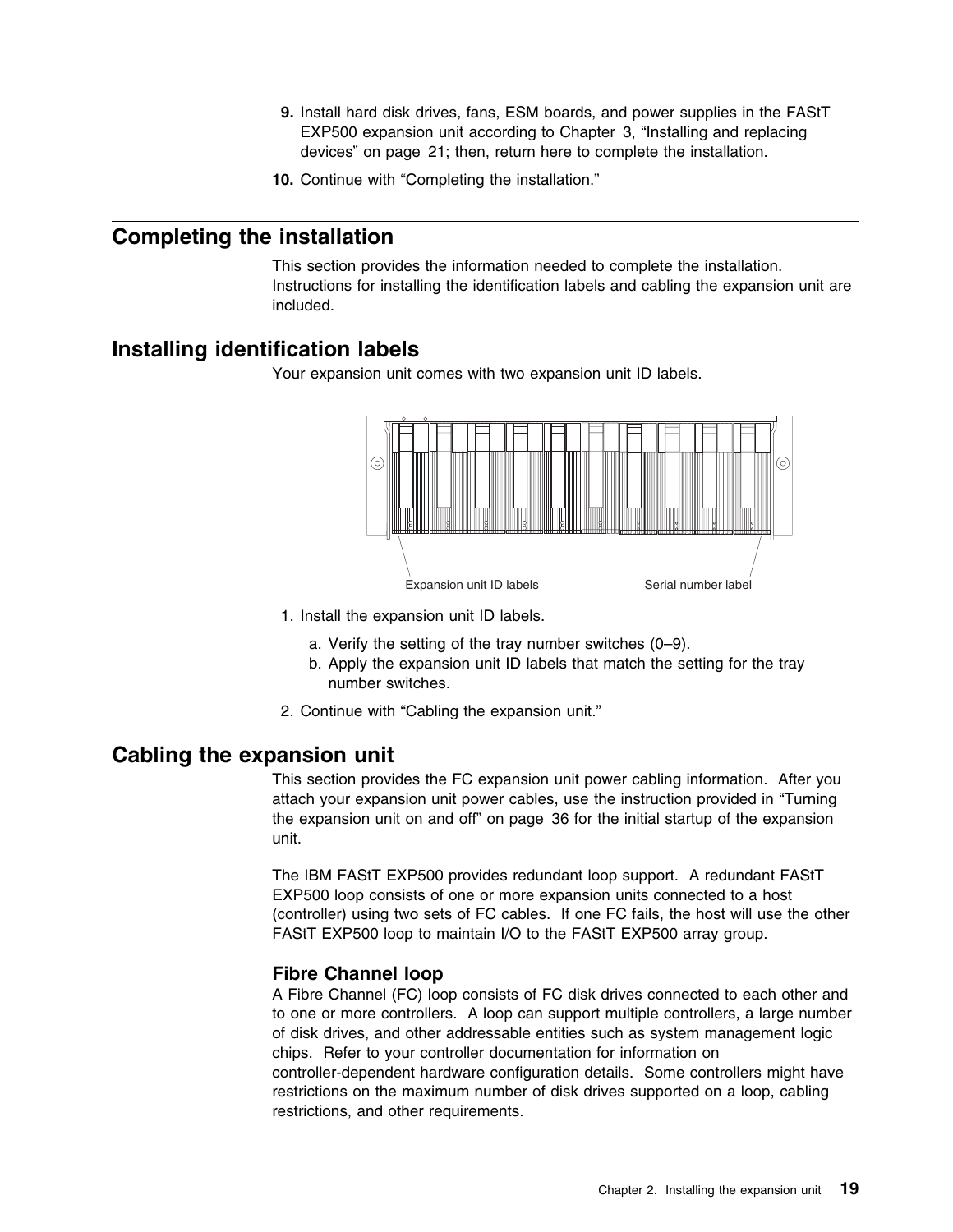- **9.** Install hard disk drives, fans, ESM boards, and power supplies in the FAStT EXP500 expansion unit according to Chapter 3, "Installing and replacing devices" on page 21; then, return here to complete the installation.
- **10.** Continue with "Completing the installation."

### **Completing the installation**

This section provides the information needed to complete the installation. Instructions for installing the identification labels and cabling the expansion unit are included.

### **Installing identification labels**

Your expansion unit comes with two expansion unit ID labels.



- 1. Install the expansion unit ID labels.
	- a. Verify the setting of the tray number switches (0–9).
	- b. Apply the expansion unit ID labels that match the setting for the tray number switches.
- 2. Continue with "Cabling the expansion unit."

## **Cabling the expansion unit**

This section provides the FC expansion unit power cabling information. After you attach your expansion unit power cables, use the instruction provided in "Turning the expansion unit on and off" on page 36 for the initial startup of the expansion unit.

The IBM FAStT EXP500 provides redundant loop support. A redundant FAStT EXP500 loop consists of one or more expansion units connected to a host (controller) using two sets of FC cables. If one FC fails, the host will use the other FAStT EXP500 loop to maintain I/O to the FAStT EXP500 array group.

### **Fibre Channel loop**

A Fibre Channel (FC) loop consists of FC disk drives connected to each other and to one or more controllers. A loop can support multiple controllers, a large number of disk drives, and other addressable entities such as system management logic chips. Refer to your controller documentation for information on controller-dependent hardware configuration details. Some controllers might have restrictions on the maximum number of disk drives supported on a loop, cabling restrictions, and other requirements.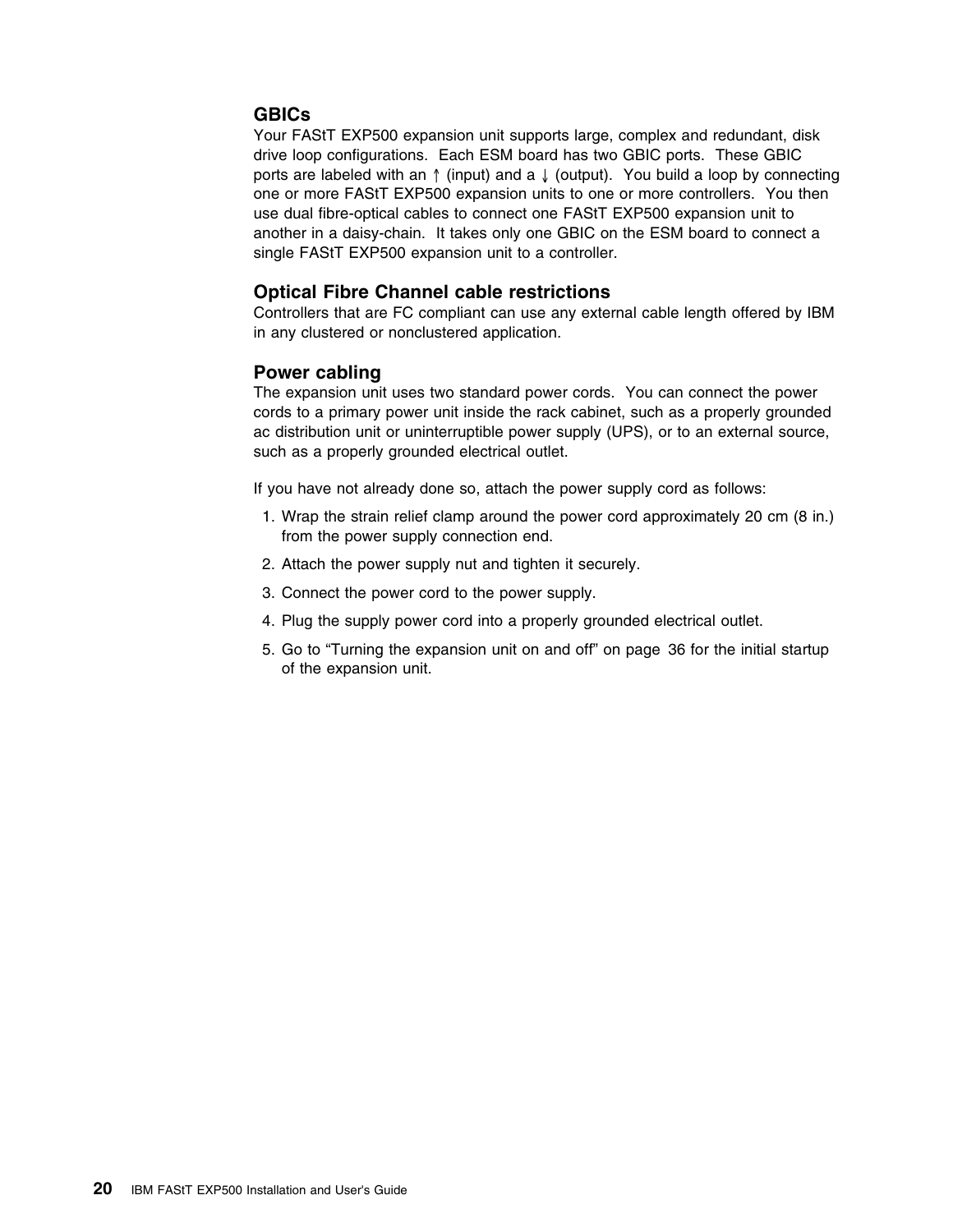### **GBICs**

Your FAStT EXP500 expansion unit supports large, complex and redundant, disk drive loop configurations. Each ESM board has two GBIC ports. These GBIC ports are labeled with an ↑ (input) and a ↓ (output). You build a loop by connecting one or more FAStT EXP500 expansion units to one or more controllers. You then use dual fibre-optical cables to connect one FAStT EXP500 expansion unit to another in a daisy-chain. It takes only one GBIC on the ESM board to connect a single FAStT EXP500 expansion unit to a controller.

### **Optical Fibre Channel cable restrictions**

Controllers that are FC compliant can use any external cable length offered by IBM in any clustered or nonclustered application.

### **Power cabling**

The expansion unit uses two standard power cords. You can connect the power cords to a primary power unit inside the rack cabinet, such as a properly grounded ac distribution unit or uninterruptible power supply (UPS), or to an external source, such as a properly grounded electrical outlet.

If you have not already done so, attach the power supply cord as follows:

- 1. Wrap the strain relief clamp around the power cord approximately 20 cm (8 in.) from the power supply connection end.
- 2. Attach the power supply nut and tighten it securely.
- 3. Connect the power cord to the power supply.
- 4. Plug the supply power cord into a properly grounded electrical outlet.
- 5. Go to "Turning the expansion unit on and off" on page 36 for the initial startup of the expansion unit.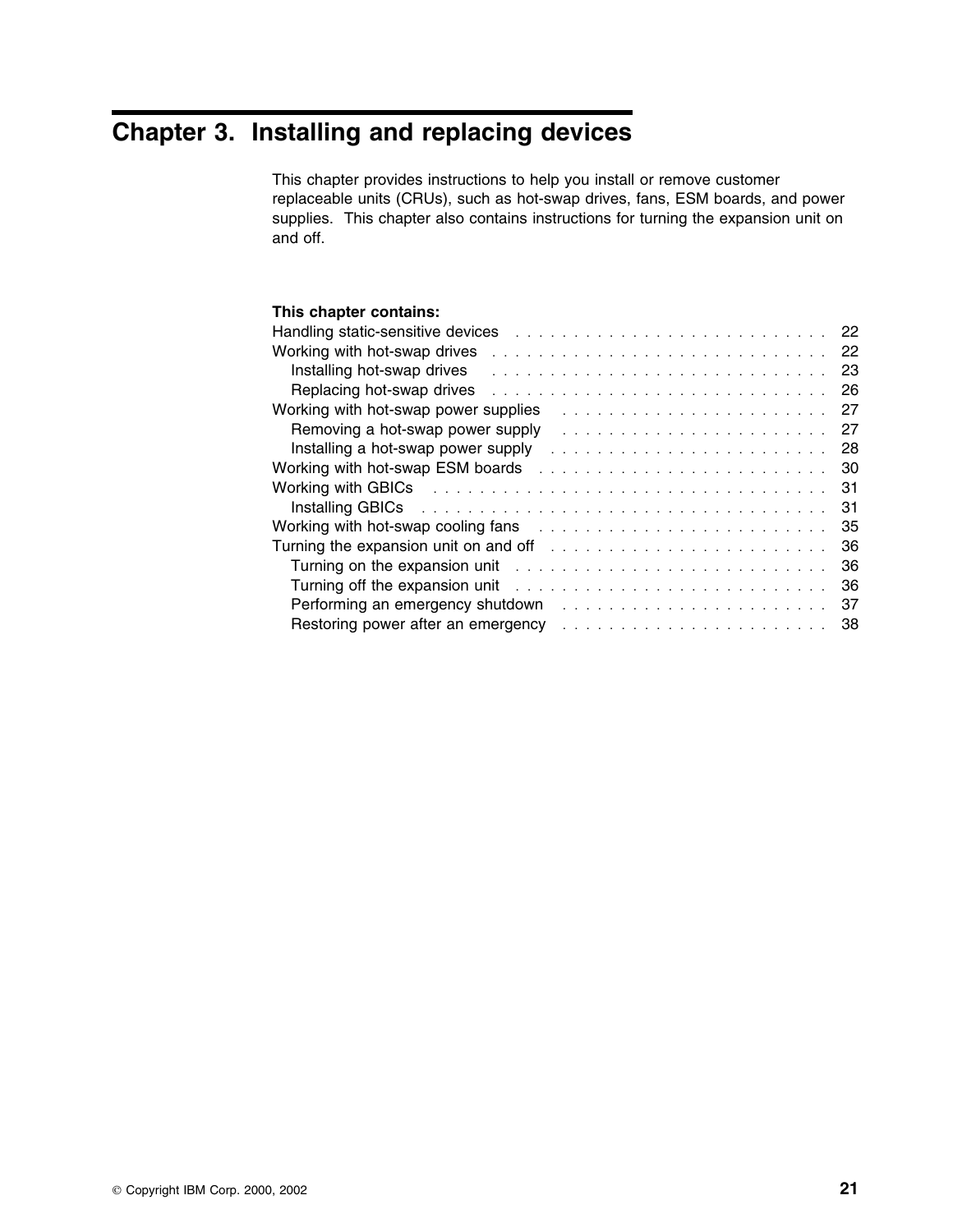# **Chapter 3. Installing and replacing devices**

This chapter provides instructions to help you install or remove customer replaceable units (CRUs), such as hot-swap drives, fans, ESM boards, and power supplies. This chapter also contains instructions for turning the expansion unit on and off.

### **This chapter contains:**

| Handling static-sensitive devices<br>-22                                                                                                                                                                                                  |    |
|-------------------------------------------------------------------------------------------------------------------------------------------------------------------------------------------------------------------------------------------|----|
| Working with hot-swap drives<br>-22                                                                                                                                                                                                       |    |
| Installing hot-swap drives<br>23                                                                                                                                                                                                          |    |
| Replacing hot-swap drives<br>-26                                                                                                                                                                                                          |    |
| Working with hot-swap power supplies<br>27                                                                                                                                                                                                |    |
| Removing a hot-swap power supply<br>27                                                                                                                                                                                                    |    |
| Installing a hot-swap power supply<br>-28                                                                                                                                                                                                 |    |
|                                                                                                                                                                                                                                           |    |
| Working with GBICs research and the state of the state of the state of the state of the state of the state of the state of the state of the state of the state of the state of the state of the state of the state of the stat            | 31 |
| Installing GBICs research and the state of the state of the state of the state of the state of the state of the<br>31                                                                                                                     |    |
| Working with hot-swap cooling fans enter the state of the state of the state of the state of the state of the state of the state of the state of the state of the state of the state of the state of the state of the state of<br>-35     |    |
| Turning the expansion unit on and off contained and $\lambda$ is a subsequence of the subsequence of the subsequence of the subsequence of the subsequence of the subsequence of the subsequence of the subsequence of the subseque<br>36 |    |
| Turning on the expansion unit contained and a series and a series of the contact the contact of the contact of<br>36                                                                                                                      |    |
| -36                                                                                                                                                                                                                                       |    |
| 37                                                                                                                                                                                                                                        |    |
| Restoring power after an emergency entertainment of the state of the state of the state of the state of the state of the state of the state of the state of the state of the state of the state of the state of the state of t<br>38      |    |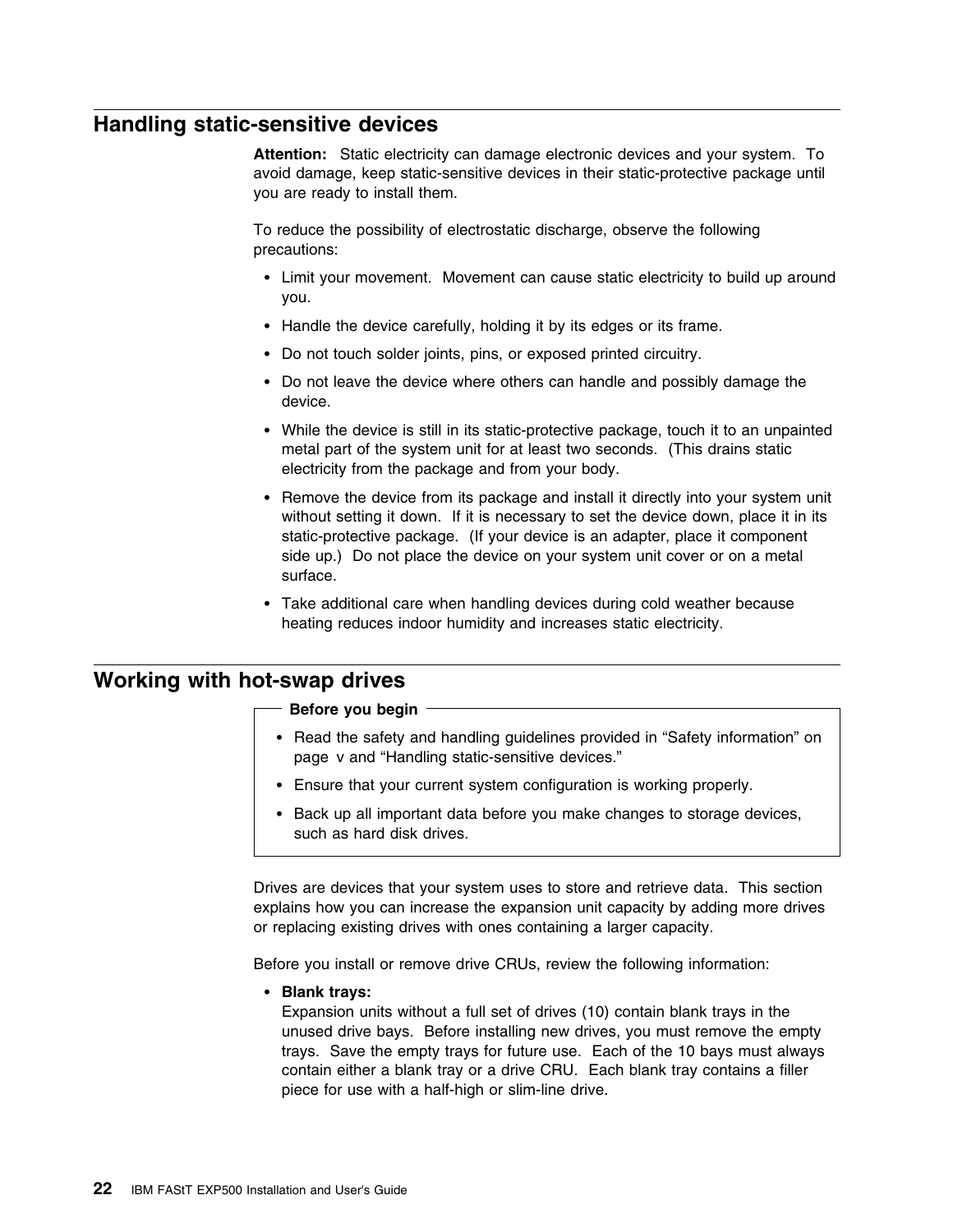## **Handling static-sensitive devices**

**Attention:** Static electricity can damage electronic devices and your system. To avoid damage, keep static-sensitive devices in their static-protective package until you are ready to install them.

To reduce the possibility of electrostatic discharge, observe the following precautions:

- Limit your movement. Movement can cause static electricity to build up around you.
- Handle the device carefully, holding it by its edges or its frame.
- Do not touch solder joints, pins, or exposed printed circuitry.
- Do not leave the device where others can handle and possibly damage the device.
- While the device is still in its static-protective package, touch it to an unpainted metal part of the system unit for at least two seconds. (This drains static electricity from the package and from your body.
- Remove the device from its package and install it directly into your system unit without setting it down. If it is necessary to set the device down, place it in its static-protective package. (If your device is an adapter, place it component side up.) Do not place the device on your system unit cover or on a metal surface.
- Take additional care when handling devices during cold weather because heating reduces indoor humidity and increases static electricity.

### **Working with hot-swap drives**

#### **Before you begin**

- Read the safety and handling guidelines provided in "Safety information" on page v and "Handling static-sensitive devices."
- Ensure that your current system configuration is working properly.
- Back up all important data before you make changes to storage devices, such as hard disk drives.

Drives are devices that your system uses to store and retrieve data. This section explains how you can increase the expansion unit capacity by adding more drives or replacing existing drives with ones containing a larger capacity.

Before you install or remove drive CRUs, review the following information:

**Blank trays:**

Expansion units without a full set of drives (10) contain blank trays in the unused drive bays. Before installing new drives, you must remove the empty trays. Save the empty trays for future use. Each of the 10 bays must always contain either a blank tray or a drive CRU. Each blank tray contains a filler piece for use with a half-high or slim-line drive.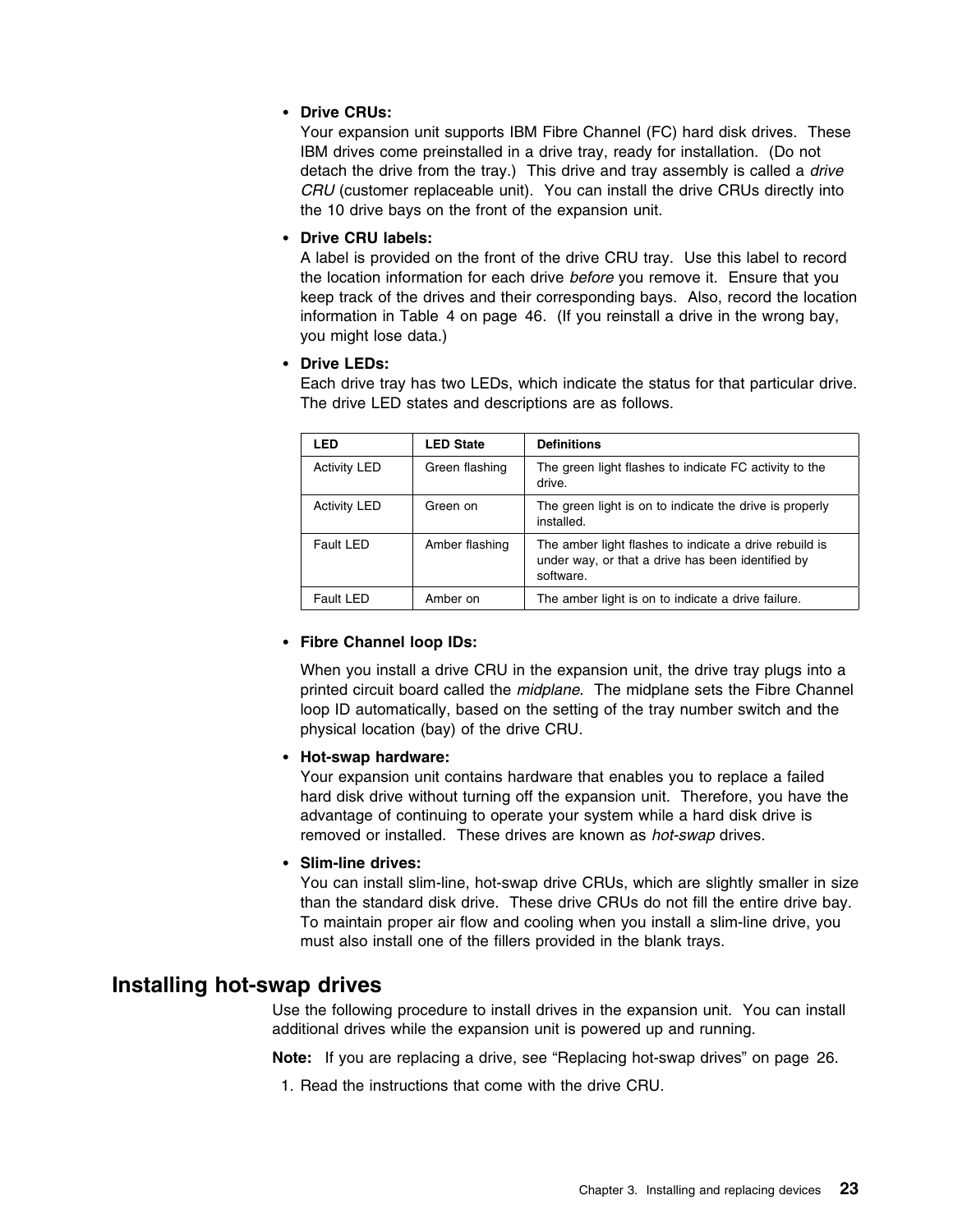#### **Drive CRUs:**

Your expansion unit supports IBM Fibre Channel (FC) hard disk drives. These IBM drives come preinstalled in a drive tray, ready for installation. (Do not detach the drive from the tray.) This drive and tray assembly is called a *drive CRU* (customer replaceable unit). You can install the drive CRUs directly into the 10 drive bays on the front of the expansion unit.

#### **Drive CRU labels:**

A label is provided on the front of the drive CRU tray. Use this label to record the location information for each drive *before* you remove it. Ensure that you keep track of the drives and their corresponding bays. Also, record the location information in Table 4 on page 46. (If you reinstall a drive in the wrong bay, you might lose data.)

#### **Drive LEDs:**

Each drive tray has two LEDs, which indicate the status for that particular drive. The drive LED states and descriptions are as follows.

| LED                 | <b>LED State</b> | <b>Definitions</b>                                                                                                       |
|---------------------|------------------|--------------------------------------------------------------------------------------------------------------------------|
| <b>Activity LED</b> | Green flashing   | The green light flashes to indicate FC activity to the<br>drive.                                                         |
| <b>Activity LED</b> | Green on         | The green light is on to indicate the drive is properly<br>installed.                                                    |
| Fault LED           | Amber flashing   | The amber light flashes to indicate a drive rebuild is<br>under way, or that a drive has been identified by<br>software. |
| Fault LED           | Amber on         | The amber light is on to indicate a drive failure.                                                                       |

#### **Fibre Channel loop IDs:**

When you install a drive CRU in the expansion unit, the drive tray plugs into a printed circuit board called the *midplane*. The midplane sets the Fibre Channel loop ID automatically, based on the setting of the tray number switch and the physical location (bay) of the drive CRU.

#### **Hot-swap hardware:**

Your expansion unit contains hardware that enables you to replace a failed hard disk drive without turning off the expansion unit. Therefore, you have the advantage of continuing to operate your system while a hard disk drive is removed or installed. These drives are known as *hot-swap* drives.

### **Slim-line drives:**

You can install slim-line, hot-swap drive CRUs, which are slightly smaller in size than the standard disk drive. These drive CRUs do not fill the entire drive bay. To maintain proper air flow and cooling when you install a slim-line drive, you must also install one of the fillers provided in the blank trays.

### **Installing hot-swap drives**

Use the following procedure to install drives in the expansion unit. You can install additional drives while the expansion unit is powered up and running.

**Note:** If you are replacing a drive, see "Replacing hot-swap drives" on page 26.

1. Read the instructions that come with the drive CRU.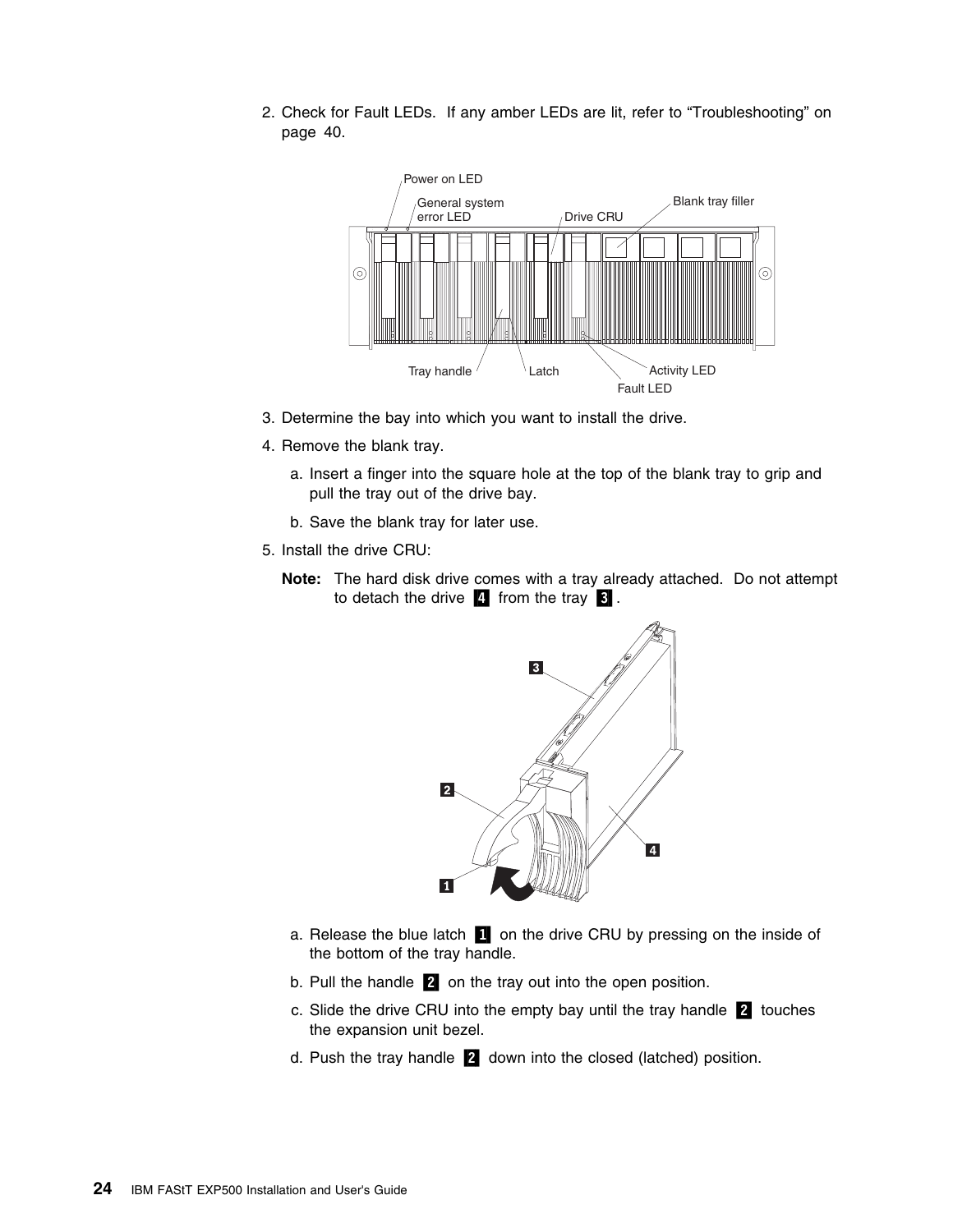2. Check for Fault LEDs. If any amber LEDs are lit, refer to "Troubleshooting" on page 40.



- 3. Determine the bay into which you want to install the drive.
- 4. Remove the blank tray.
	- a. Insert a finger into the square hole at the top of the blank tray to grip and pull the tray out of the drive bay.
	- b. Save the blank tray for later use.
- 5. Install the drive CRU:
	- **Note:** The hard disk drive comes with a tray already attached. Do not attempt to detach the drive  $\frac{1}{4}$  from the tray  $\frac{3}{4}$ .



- a. Release the blue latch **1** on the drive CRU by pressing on the inside of the bottom of the tray handle.
- b. Pull the handle  $\overline{2}$  on the tray out into the open position.
- c. Slide the drive CRU into the empty bay until the tray handle  $\boxed{2}$  touches the expansion unit bezel.
- d. Push the tray handle 2 down into the closed (latched) position.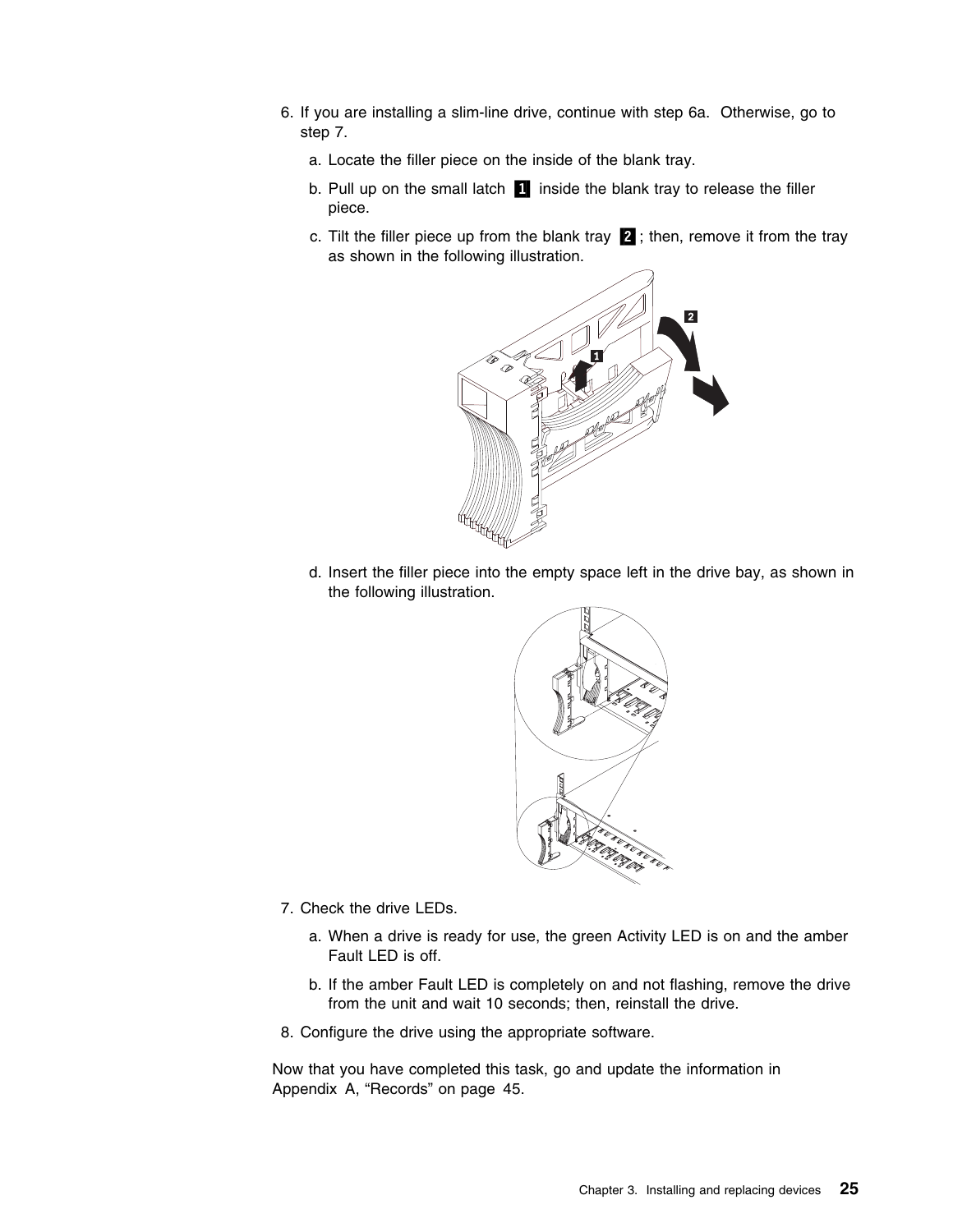- 6. If you are installing a slim-line drive, continue with step 6a. Otherwise, go to step 7.
	- a. Locate the filler piece on the inside of the blank tray.
	- b. Pull up on the small latch  $\blacksquare$  inside the blank tray to release the filler piece.
	- c. Tilt the filler piece up from the blank tray  $\mathbb{Z}$  ; then, remove it from the tray as shown in the following illustration.



d. Insert the filler piece into the empty space left in the drive bay, as shown in the following illustration.



- 7. Check the drive LEDs.
	- a. When a drive is ready for use, the green Activity LED is on and the amber Fault LED is off.
	- b. If the amber Fault LED is completely on and not flashing, remove the drive from the unit and wait 10 seconds; then, reinstall the drive.
- 8. Configure the drive using the appropriate software.

Now that you have completed this task, go and update the information in Appendix A, "Records" on page 45.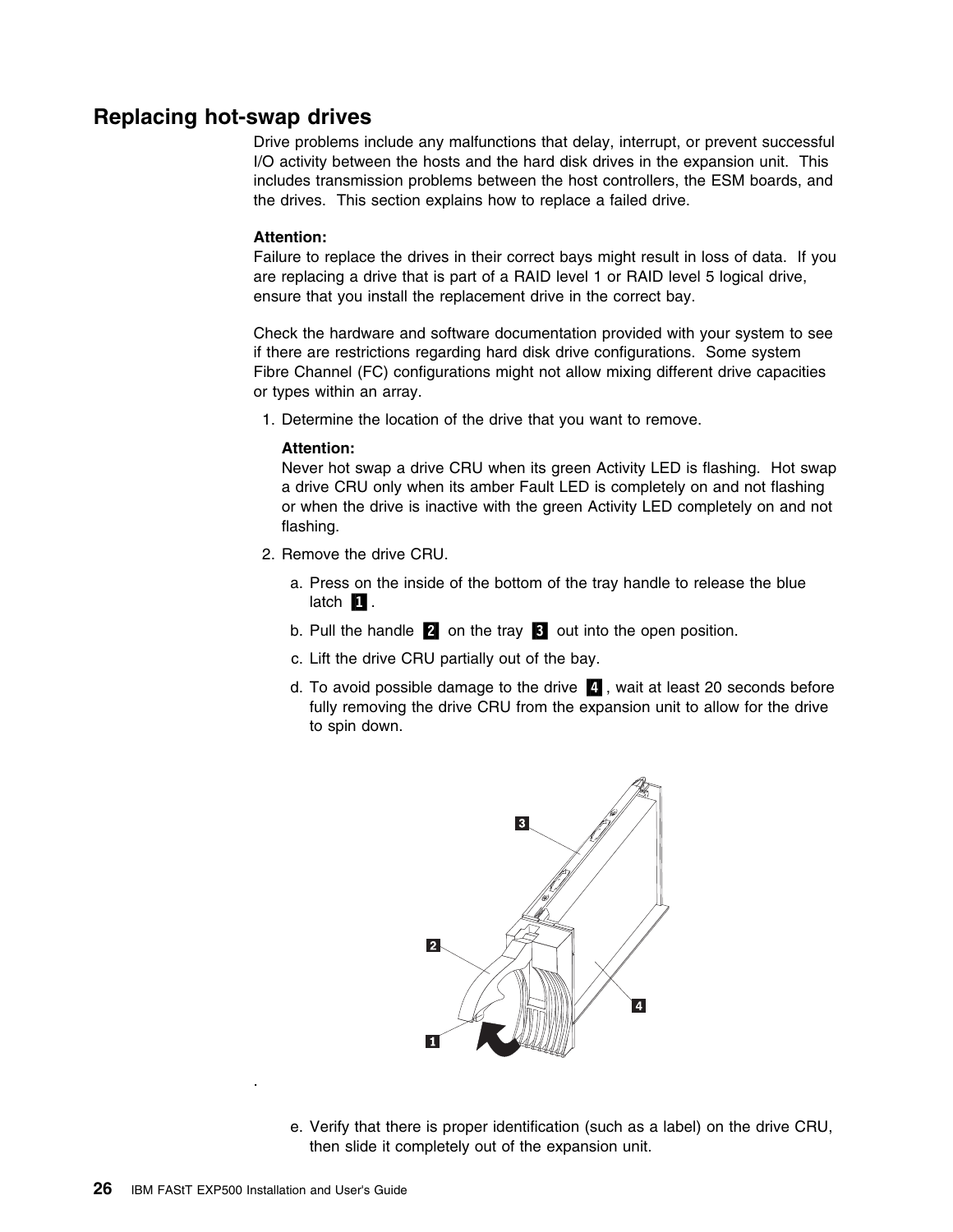### **Replacing hot-swap drives**

Drive problems include any malfunctions that delay, interrupt, or prevent successful I/O activity between the hosts and the hard disk drives in the expansion unit. This includes transmission problems between the host controllers, the ESM boards, and the drives. This section explains how to replace a failed drive.

#### **Attention:**

Failure to replace the drives in their correct bays might result in loss of data. If you are replacing a drive that is part of a RAID level 1 or RAID level 5 logical drive, ensure that you install the replacement drive in the correct bay.

Check the hardware and software documentation provided with your system to see if there are restrictions regarding hard disk drive configurations. Some system Fibre Channel (FC) configurations might not allow mixing different drive capacities or types within an array.

1. Determine the location of the drive that you want to remove.

#### **Attention:**

Never hot swap a drive CRU when its green Activity LED is flashing. Hot swap a drive CRU only when its amber Fault LED is completely on and not flashing or when the drive is inactive with the green Activity LED completely on and not flashing.

- 2. Remove the drive CRU.
	- a. Press on the inside of the bottom of the tray handle to release the blue latch  $\blacksquare$ .
	- b. Pull the handle  $\overline{2}$  on the tray  $\overline{3}$  out into the open position.
	- c. Lift the drive CRU partially out of the bay.
	- d. To avoid possible damage to the drive **4**, wait at least 20 seconds before fully removing the drive CRU from the expansion unit to allow for the drive to spin down.



e. Verify that there is proper identification (such as a label) on the drive CRU, then slide it completely out of the expansion unit.

.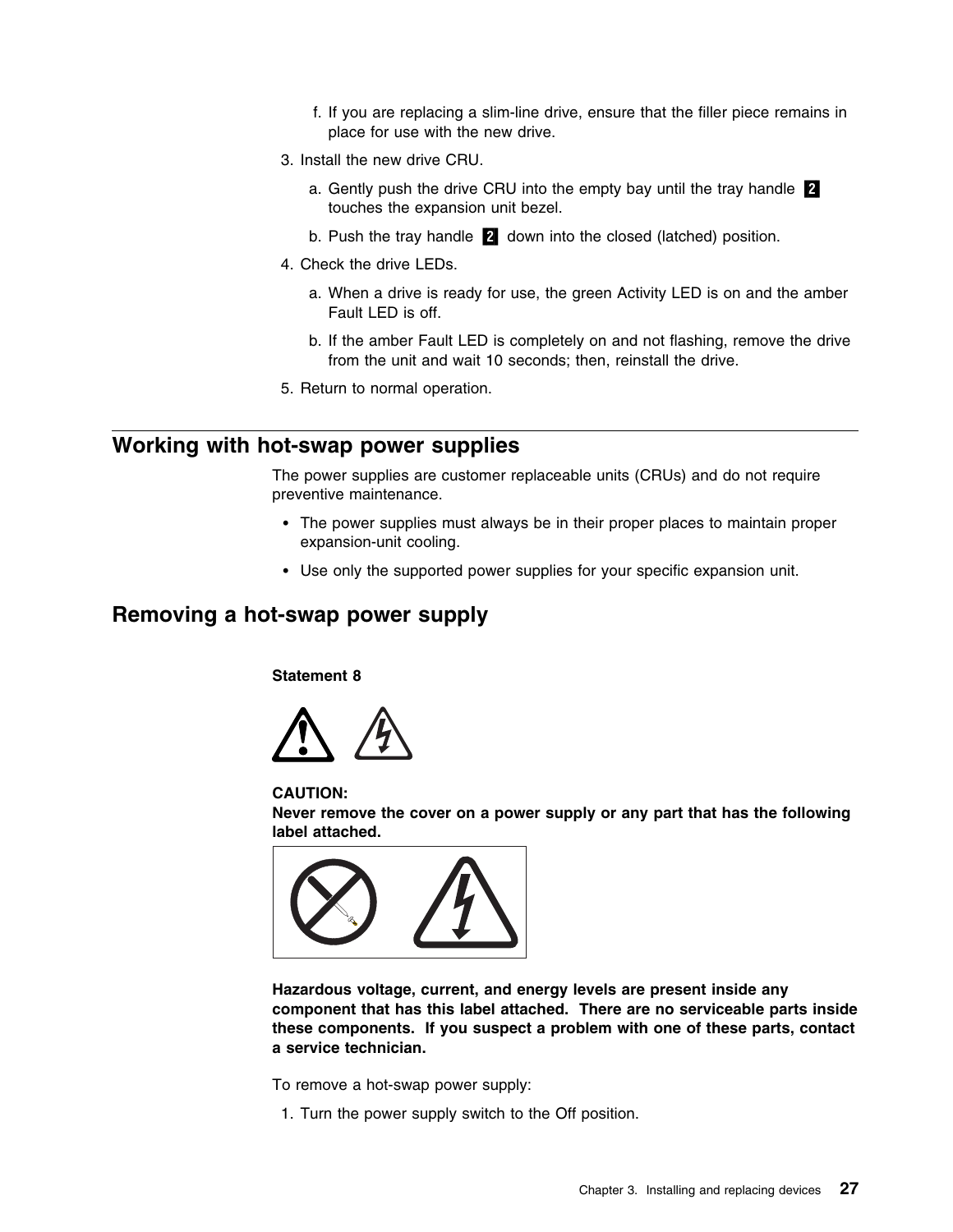- f. If you are replacing a slim-line drive, ensure that the filler piece remains in place for use with the new drive.
- 3. Install the new drive CRU.
	- a. Gently push the drive CRU into the empty bay until the tray handle  $2$ touches the expansion unit bezel.
	- b. Push the tray handle  $\overline{2}$  down into the closed (latched) position.
- 4. Check the drive LEDs.
	- a. When a drive is ready for use, the green Activity LED is on and the amber Fault LED is off.
	- b. If the amber Fault LED is completely on and not flashing, remove the drive from the unit and wait 10 seconds; then, reinstall the drive.
- 5. Return to normal operation.

## **Working with hot-swap power supplies**

The power supplies are customer replaceable units (CRUs) and do not require preventive maintenance.

- The power supplies must always be in their proper places to maintain proper expansion-unit cooling.
- Use only the supported power supplies for your specific expansion unit.

## **Removing a hot-swap power supply**

**Statement 8**



**CAUTION:**

**Never remove the cover on a power supply or any part that has the following label attached.**



**Hazardous voltage, current, and energy levels are present inside any component that has this label attached. There are no serviceable parts inside these components. If you suspect a problem with one of these parts, contact a service technician.**

To remove a hot-swap power supply:

1. Turn the power supply switch to the Off position.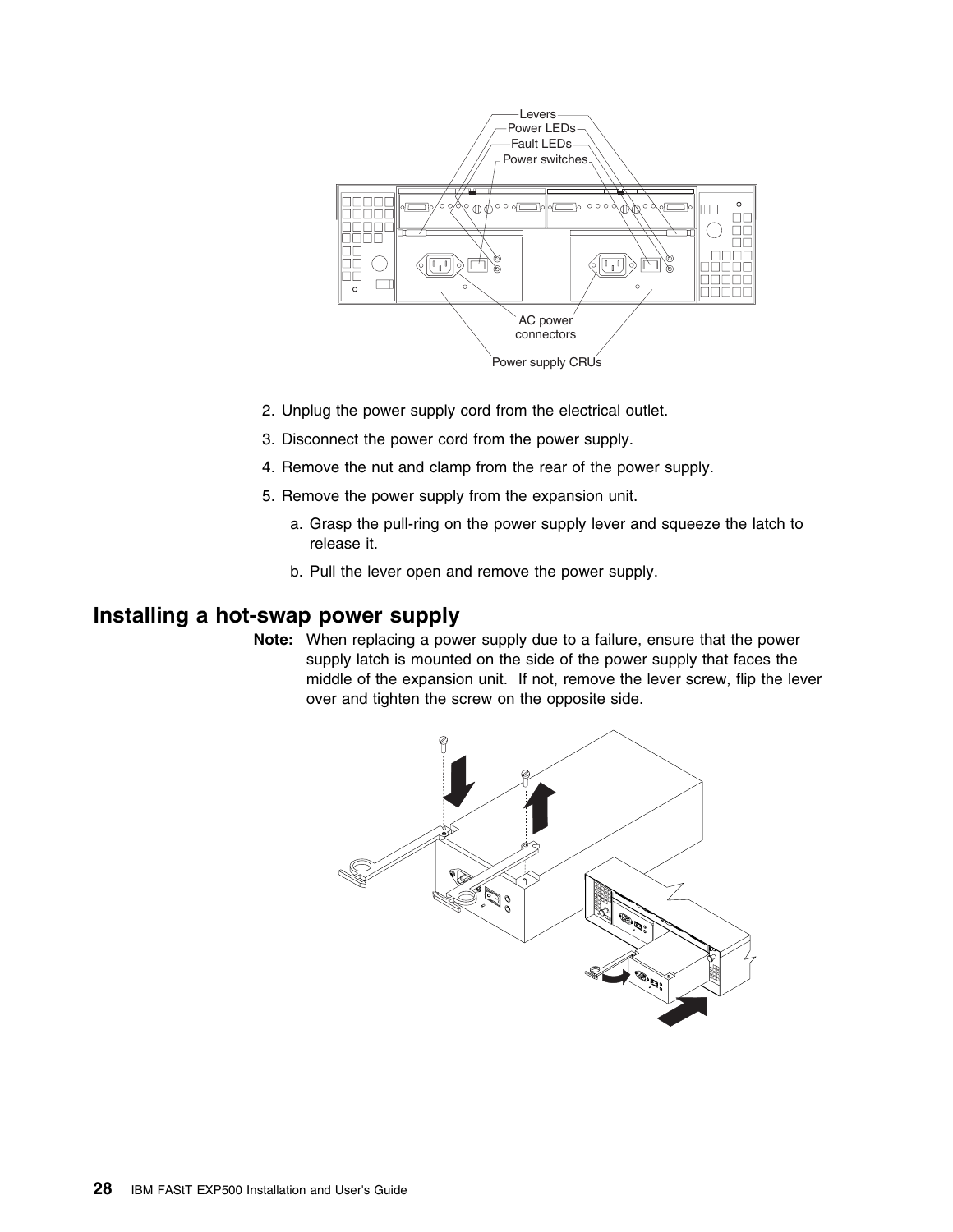

- 2. Unplug the power supply cord from the electrical outlet.
- 3. Disconnect the power cord from the power supply.
- 4. Remove the nut and clamp from the rear of the power supply.
- 5. Remove the power supply from the expansion unit.
	- a. Grasp the pull-ring on the power supply lever and squeeze the latch to release it.
	- b. Pull the lever open and remove the power supply.

## **Installing a hot-swap power supply**

**Note:** When replacing a power supply due to a failure, ensure that the power supply latch is mounted on the side of the power supply that faces the middle of the expansion unit. If not, remove the lever screw, flip the lever over and tighten the screw on the opposite side.

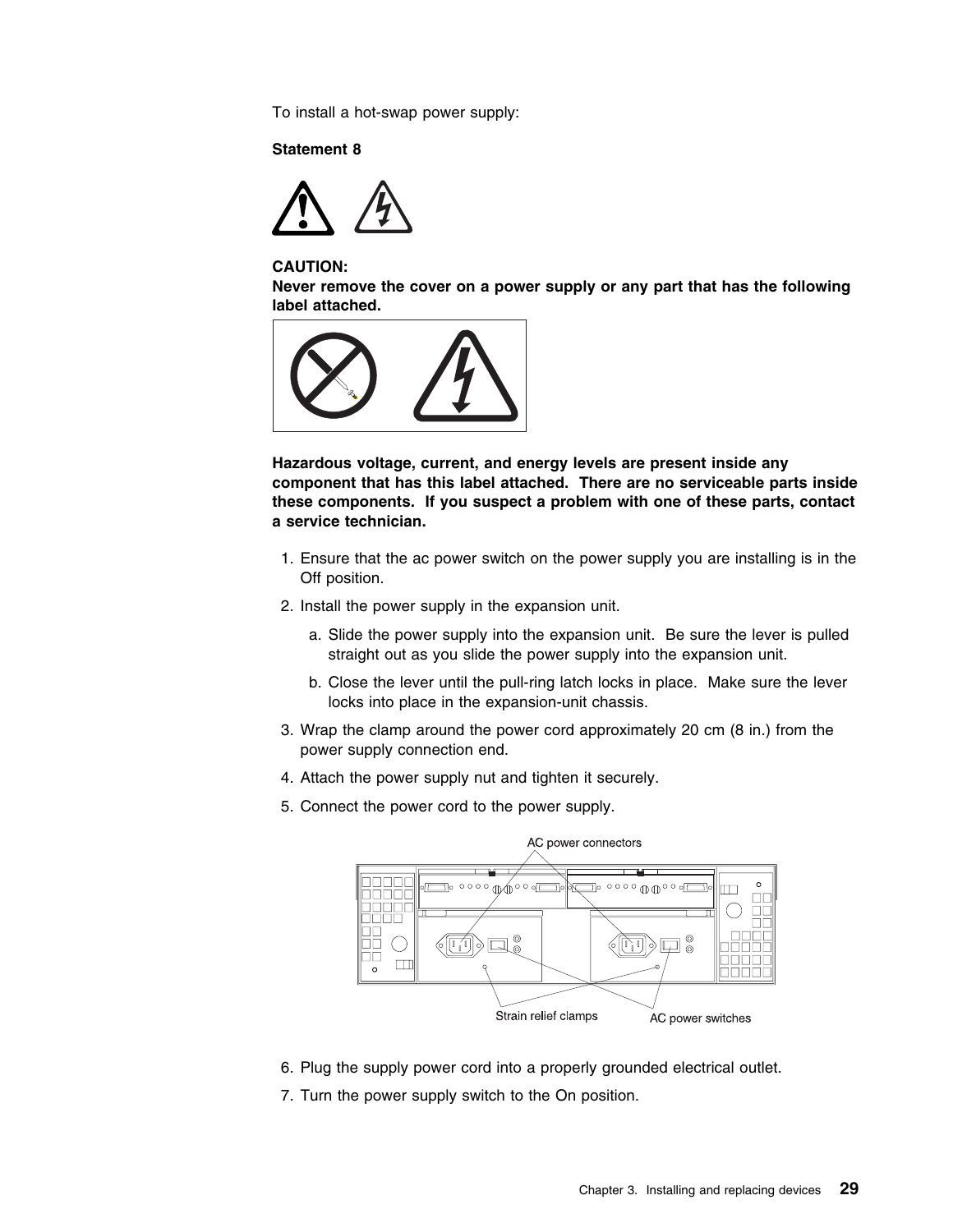To install a hot-swap power supply:

### **Statement 8**



#### **CAUTION:**

**Never remove the cover on a power supply or any part that has the following label attached.**



**Hazardous voltage, current, and energy levels are present inside any component that has this label attached. There are no serviceable parts inside these components. If you suspect a problem with one of these parts, contact a service technician.**

- 1. Ensure that the ac power switch on the power supply you are installing is in the Off position.
- 2. Install the power supply in the expansion unit.
	- a. Slide the power supply into the expansion unit. Be sure the lever is pulled straight out as you slide the power supply into the expansion unit.
	- b. Close the lever until the pull-ring latch locks in place. Make sure the lever locks into place in the expansion-unit chassis.
- 3. Wrap the clamp around the power cord approximately 20 cm (8 in.) from the power supply connection end.
- 4. Attach the power supply nut and tighten it securely.
- 5. Connect the power cord to the power supply.



- 6. Plug the supply power cord into a properly grounded electrical outlet.
- 7. Turn the power supply switch to the On position.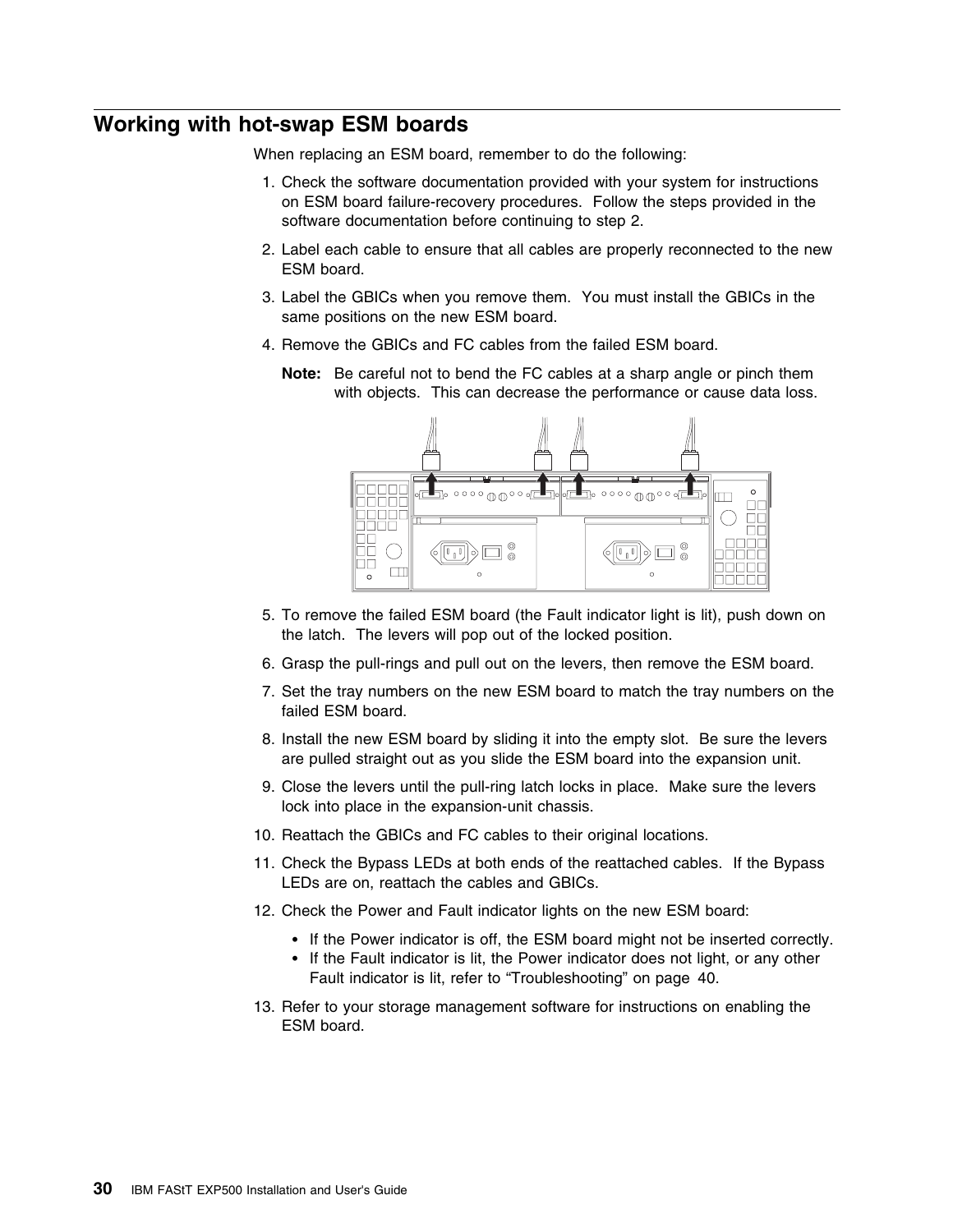## **Working with hot-swap ESM boards**

When replacing an ESM board, remember to do the following:

- 1. Check the software documentation provided with your system for instructions on ESM board failure-recovery procedures. Follow the steps provided in the software documentation before continuing to step 2.
- 2. Label each cable to ensure that all cables are properly reconnected to the new ESM board.
- 3. Label the GBICs when you remove them. You must install the GBICs in the same positions on the new ESM board.
- 4. Remove the GBICs and FC cables from the failed ESM board.
	- **Note:** Be careful not to bend the FC cables at a sharp angle or pinch them with objects. This can decrease the performance or cause data loss.



- 5. To remove the failed ESM board (the Fault indicator light is lit), push down on the latch. The levers will pop out of the locked position.
- 6. Grasp the pull-rings and pull out on the levers, then remove the ESM board.
- 7. Set the tray numbers on the new ESM board to match the tray numbers on the failed ESM board.
- 8. Install the new ESM board by sliding it into the empty slot. Be sure the levers are pulled straight out as you slide the ESM board into the expansion unit.
- 9. Close the levers until the pull-ring latch locks in place. Make sure the levers lock into place in the expansion-unit chassis.
- 10. Reattach the GBICs and FC cables to their original locations.
- 11. Check the Bypass LEDs at both ends of the reattached cables. If the Bypass LEDs are on, reattach the cables and GBICs.
- 12. Check the Power and Fault indicator lights on the new ESM board:
	- If the Power indicator is off, the ESM board might not be inserted correctly.
	- If the Fault indicator is lit, the Power indicator does not light, or any other Fault indicator is lit, refer to "Troubleshooting" on page 40.
- 13. Refer to your storage management software for instructions on enabling the ESM board.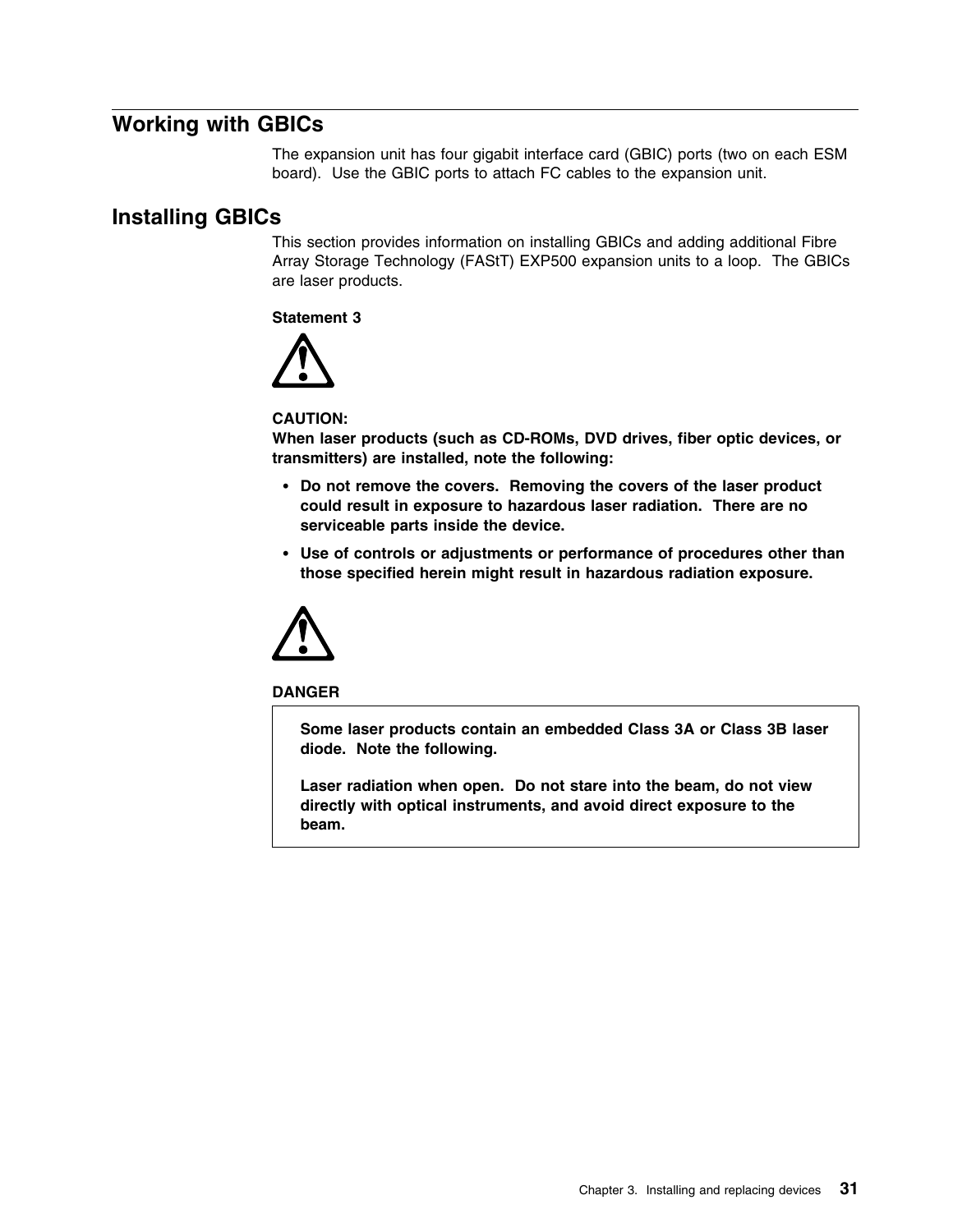## **Working with GBICs**

The expansion unit has four gigabit interface card (GBIC) ports (two on each ESM board). Use the GBIC ports to attach FC cables to the expansion unit.

## **Installing GBICs**

This section provides information on installing GBICs and adding additional Fibre Array Storage Technology (FAStT) EXP500 expansion units to a loop. The GBICs are laser products.

**Statement 3**



#### **CAUTION:**

**When laser products (such as CD-ROMs, DVD drives, fiber optic devices, or transmitters) are installed, note the following:**

- **Do not remove the covers. Removing the covers of the laser product could result in exposure to hazardous laser radiation. There are no serviceable parts inside the device.**
- **Use of controls or adjustments or performance of procedures other than those specified herein might result in hazardous radiation exposure.**



#### **DANGER**

**Some laser products contain an embedded Class 3A or Class 3B laser diode. Note the following.**

**Laser radiation when open. Do not stare into the beam, do not view directly with optical instruments, and avoid direct exposure to the beam.**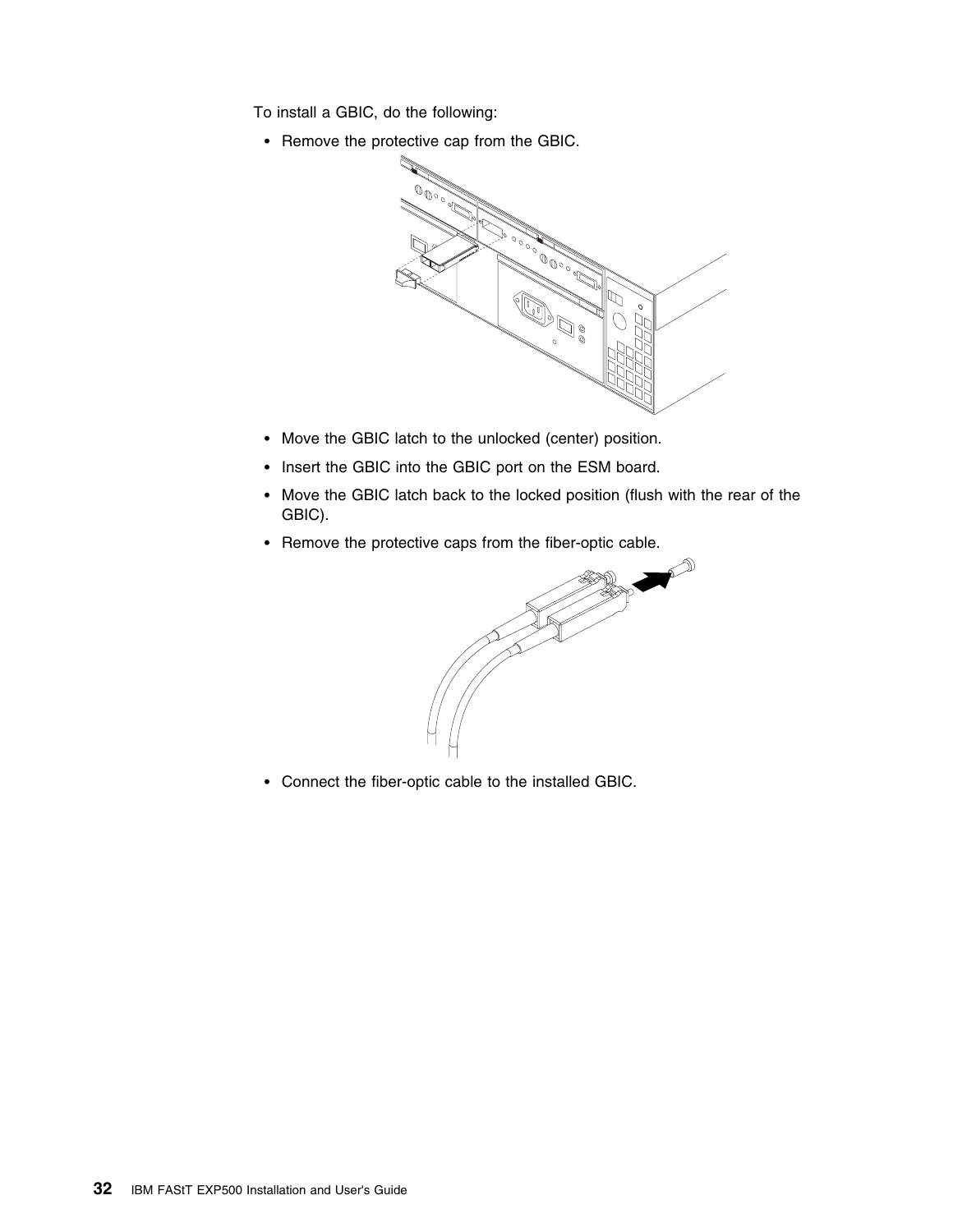To install a GBIC, do the following:

• Remove the protective cap from the GBIC.



- Move the GBIC latch to the unlocked (center) position.
- Insert the GBIC into the GBIC port on the ESM board.
- Move the GBIC latch back to the locked position (flush with the rear of the GBIC).
- Remove the protective caps from the fiber-optic cable.



Connect the fiber-optic cable to the installed GBIC.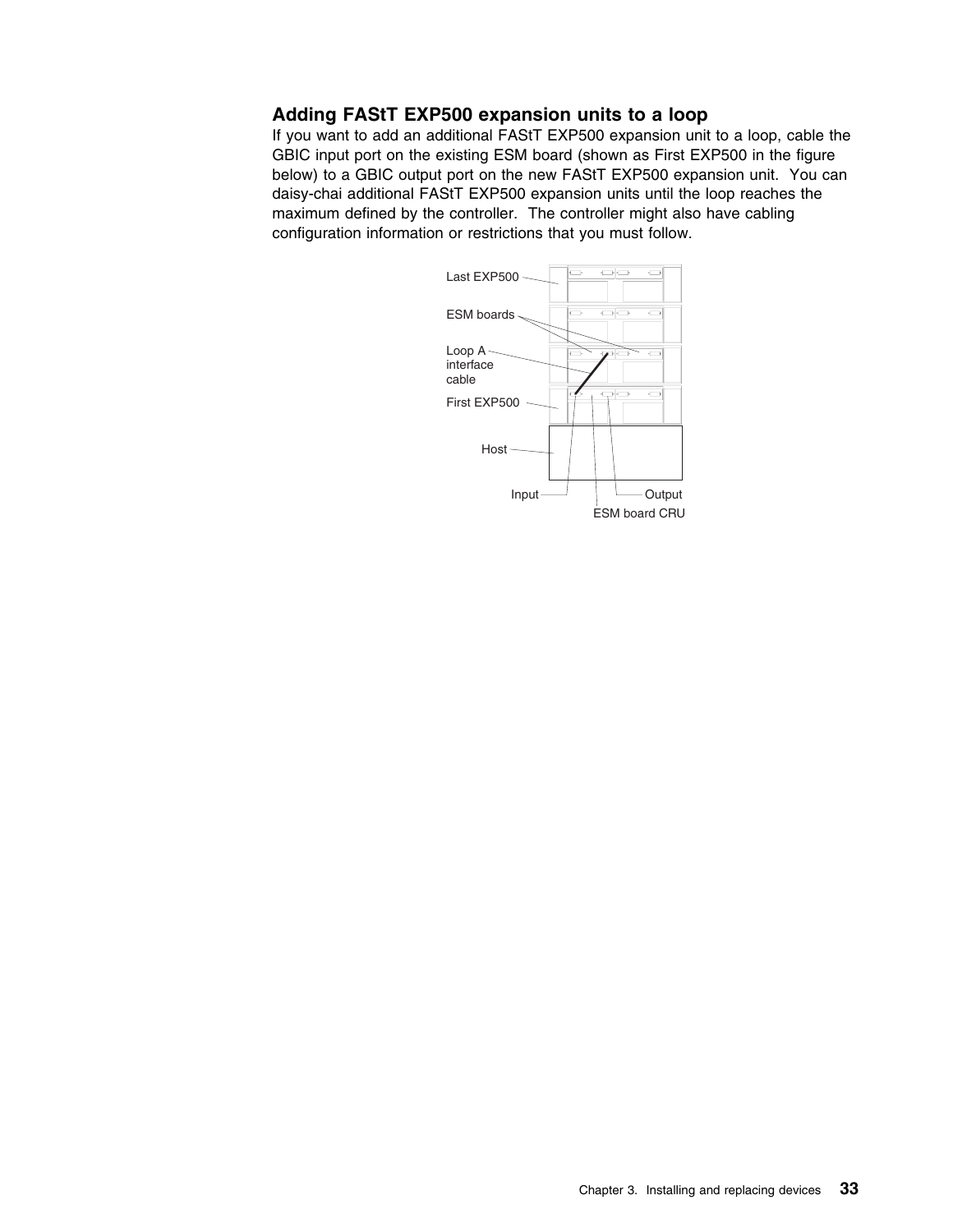### **Adding FAStT EXP500 expansion units to a loop**

If you want to add an additional FAStT EXP500 expansion unit to a loop, cable the GBIC input port on the existing ESM board (shown as First EXP500 in the figure below) to a GBIC output port on the new FAStT EXP500 expansion unit. You can daisy-chai additional FAStT EXP500 expansion units until the loop reaches the maximum defined by the controller. The controller might also have cabling configuration information or restrictions that you must follow.

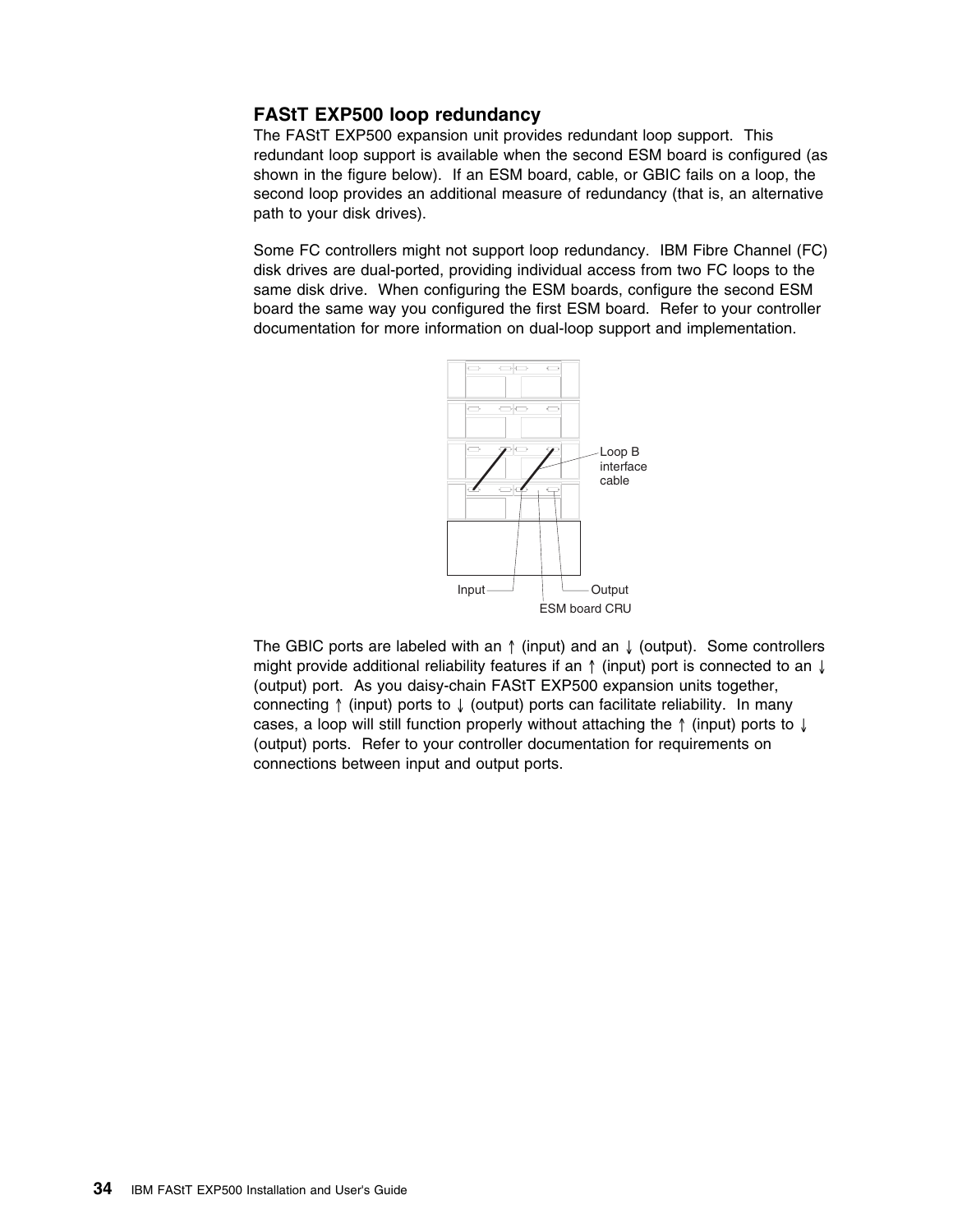### **FAStT EXP500 loop redundancy**

The FAStT EXP500 expansion unit provides redundant loop support. This redundant loop support is available when the second ESM board is configured (as shown in the figure below). If an ESM board, cable, or GBIC fails on a loop, the second loop provides an additional measure of redundancy (that is, an alternative path to your disk drives).

Some FC controllers might not support loop redundancy. IBM Fibre Channel (FC) disk drives are dual-ported, providing individual access from two FC loops to the same disk drive. When configuring the ESM boards, configure the second ESM board the same way you configured the first ESM board. Refer to your controller documentation for more information on dual-loop support and implementation.



The GBIC ports are labeled with an  $\uparrow$  (input) and an  $\downarrow$  (output). Some controllers might provide additional reliability features if an ↑ (input) port is connected to an ↓ (output) port. As you daisy-chain FAStT EXP500 expansion units together, connecting ↑ (input) ports to ↓ (output) ports can facilitate reliability. In many cases, a loop will still function properly without attaching the ↑ (input) ports to ↓ (output) ports. Refer to your controller documentation for requirements on connections between input and output ports.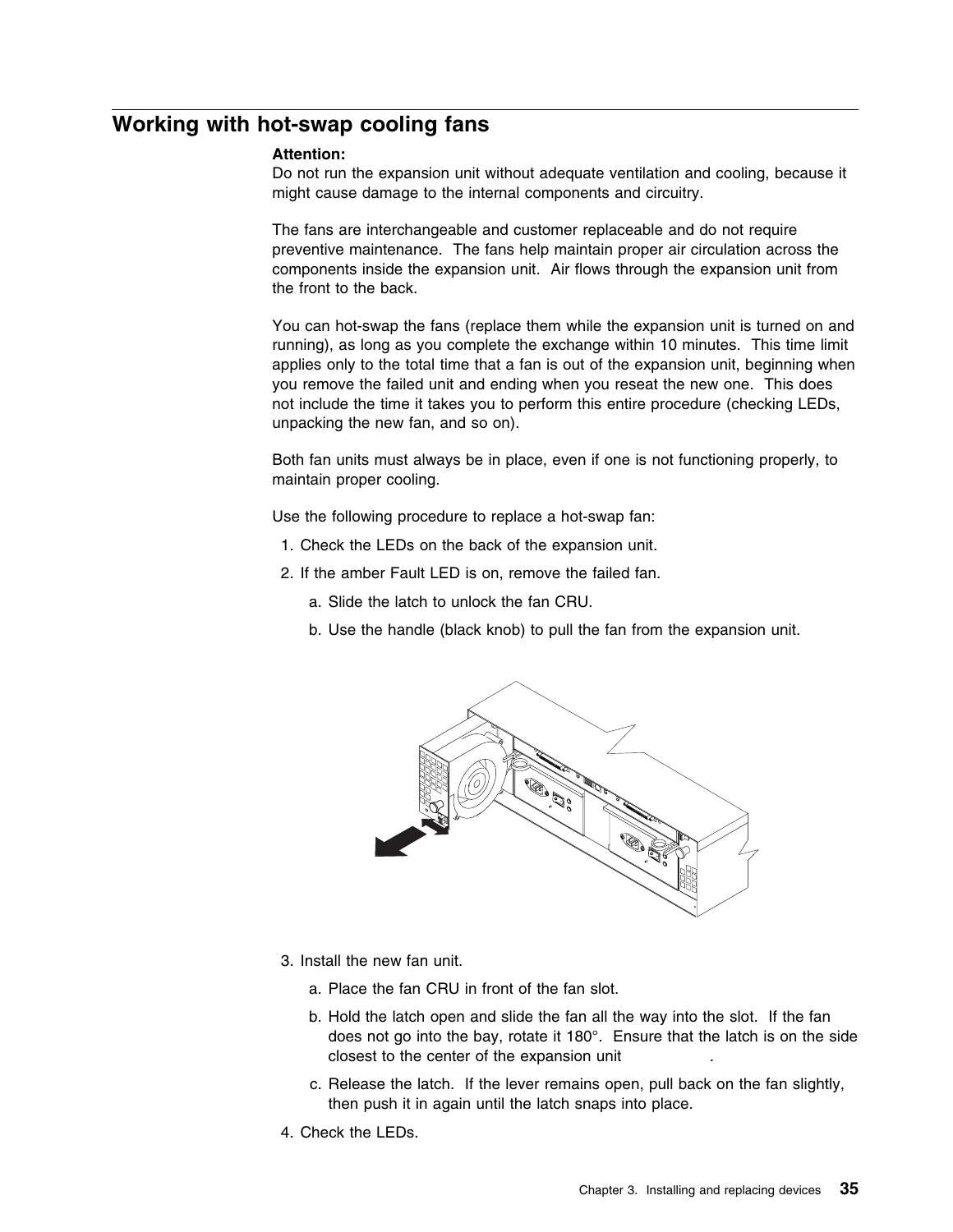## **Working with hot-swap cooling fans**

#### **Attention:**

Do not run the expansion unit without adequate ventilation and cooling, because it might cause damage to the internal components and circuitry.

The fans are interchangeable and customer replaceable and do not require preventive maintenance. The fans help maintain proper air circulation across the components inside the expansion unit. Air flows through the expansion unit from the front to the back.

You can hot-swap the fans (replace them while the expansion unit is turned on and running), as long as you complete the exchange within 10 minutes. This time limit applies only to the total time that a fan is out of the expansion unit, beginning when you remove the failed unit and ending when you reseat the new one. This does not include the time it takes you to perform this entire procedure (checking LEDs, unpacking the new fan, and so on).

Both fan units must always be in place, even if one is not functioning properly, to maintain proper cooling.

Use the following procedure to replace a hot-swap fan:

- 1. Check the LEDs on the back of the expansion unit.
- 2. If the amber Fault LED is on, remove the failed fan.
	- a. Slide the latch to unlock the fan CRU.
	- b. Use the handle (black knob) to pull the fan from the expansion unit.



- 3. Install the new fan unit.
	- a. Place the fan CRU in front of the fan slot.
	- b. Hold the latch open and slide the fan all the way into the slot. If the fan does not go into the bay, rotate it 180°. Ensure that the latch is on the side closest to the center of the expansion unit .
	- c. Release the latch. If the lever remains open, pull back on the fan slightly, then push it in again until the latch snaps into place.
- 4. Check the LEDs.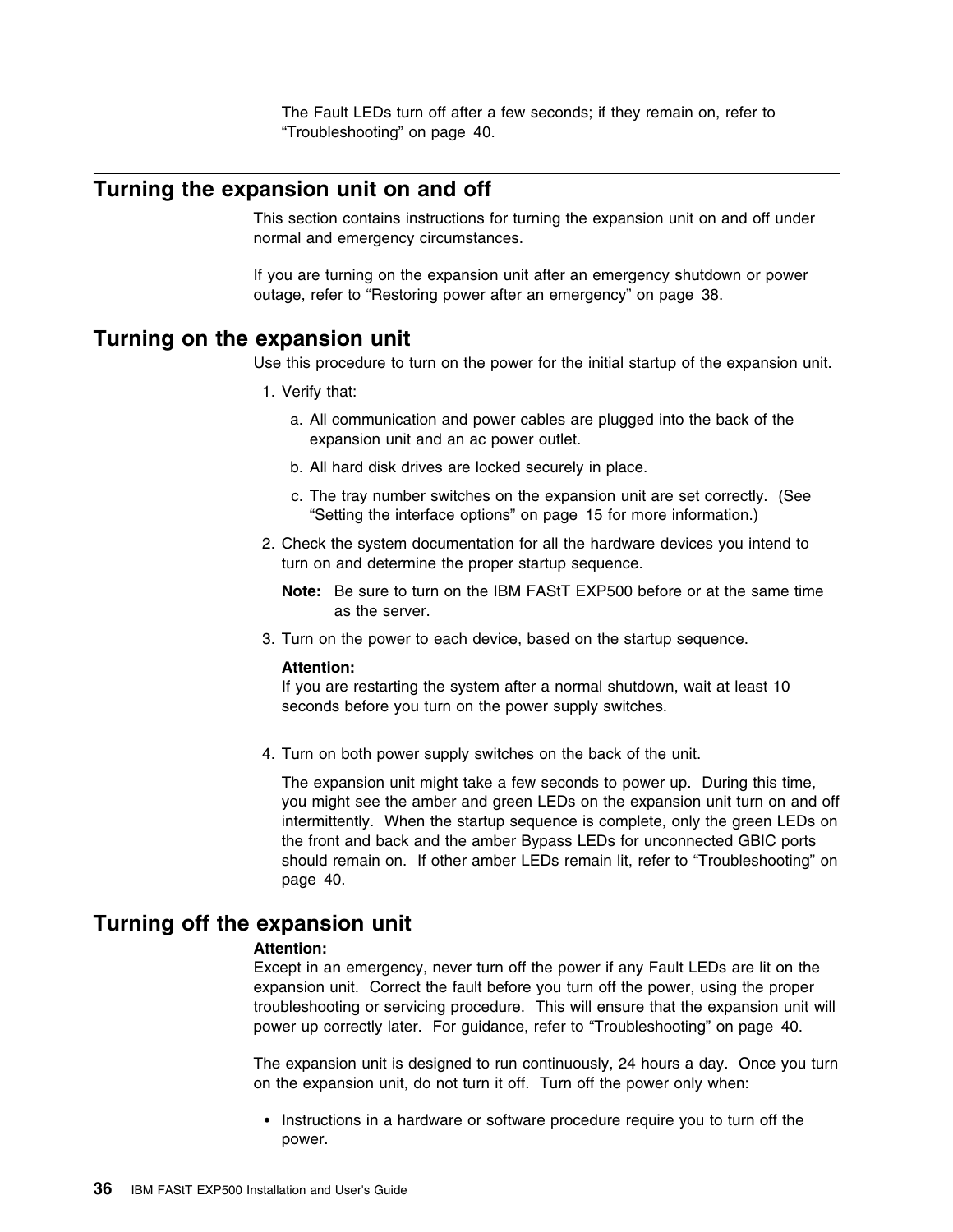The Fault LEDs turn off after a few seconds; if they remain on, refer to "Troubleshooting" on page 40.

## **Turning the expansion unit on and off**

This section contains instructions for turning the expansion unit on and off under normal and emergency circumstances.

If you are turning on the expansion unit after an emergency shutdown or power outage, refer to "Restoring power after an emergency" on page 38.

### **Turning on the expansion unit**

Use this procedure to turn on the power for the initial startup of the expansion unit.

- 1. Verify that:
	- a. All communication and power cables are plugged into the back of the expansion unit and an ac power outlet.
	- b. All hard disk drives are locked securely in place.
	- c. The tray number switches on the expansion unit are set correctly. (See "Setting the interface options" on page 15 for more information.)
- 2. Check the system documentation for all the hardware devices you intend to turn on and determine the proper startup sequence.

**Note:** Be sure to turn on the IBM FAStT EXP500 before or at the same time as the server.

3. Turn on the power to each device, based on the startup sequence.

#### **Attention:**

If you are restarting the system after a normal shutdown, wait at least 10 seconds before you turn on the power supply switches.

4. Turn on both power supply switches on the back of the unit.

The expansion unit might take a few seconds to power up. During this time, you might see the amber and green LEDs on the expansion unit turn on and off intermittently. When the startup sequence is complete, only the green LEDs on the front and back and the amber Bypass LEDs for unconnected GBIC ports should remain on. If other amber LEDs remain lit, refer to "Troubleshooting" on page 40.

### **Turning off the expansion unit**

#### **Attention:**

Except in an emergency, never turn off the power if any Fault LEDs are lit on the expansion unit. Correct the fault before you turn off the power, using the proper troubleshooting or servicing procedure. This will ensure that the expansion unit will power up correctly later. For guidance, refer to "Troubleshooting" on page 40.

The expansion unit is designed to run continuously, 24 hours a day. Once you turn on the expansion unit, do not turn it off. Turn off the power only when:

• Instructions in a hardware or software procedure require you to turn off the power.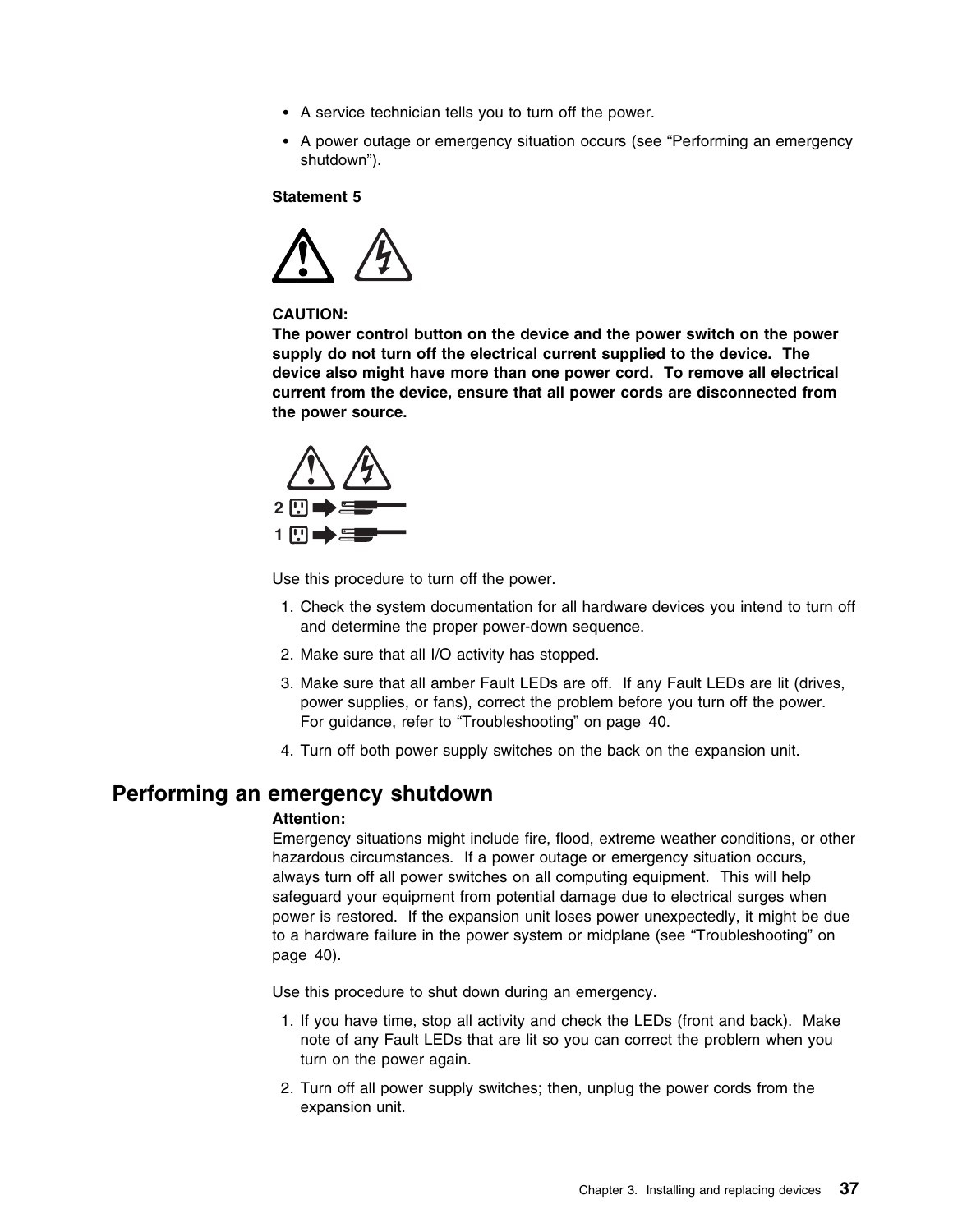- A service technician tells you to turn off the power.
- A power outage or emergency situation occurs (see "Performing an emergency shutdown").

#### **Statement 5**



#### **CAUTION:**

**The power control button on the device and the power switch on the power supply do not turn off the electrical current supplied to the device. The device also might have more than one power cord. To remove all electrical current from the device, ensure that all power cords are disconnected from the power source.**



Use this procedure to turn off the power.

- 1. Check the system documentation for all hardware devices you intend to turn off and determine the proper power-down sequence.
- 2. Make sure that all I/O activity has stopped.
- 3. Make sure that all amber Fault LEDs are off. If any Fault LEDs are lit (drives, power supplies, or fans), correct the problem before you turn off the power. For guidance, refer to "Troubleshooting" on page 40.
- 4. Turn off both power supply switches on the back on the expansion unit.

### **Performing an emergency shutdown**

### **Attention:**

Emergency situations might include fire, flood, extreme weather conditions, or other hazardous circumstances. If a power outage or emergency situation occurs, always turn off all power switches on all computing equipment. This will help safeguard your equipment from potential damage due to electrical surges when power is restored. If the expansion unit loses power unexpectedly, it might be due to a hardware failure in the power system or midplane (see "Troubleshooting" on page 40).

Use this procedure to shut down during an emergency.

- 1. If you have time, stop all activity and check the LEDs (front and back). Make note of any Fault LEDs that are lit so you can correct the problem when you turn on the power again.
- 2. Turn off all power supply switches; then, unplug the power cords from the expansion unit.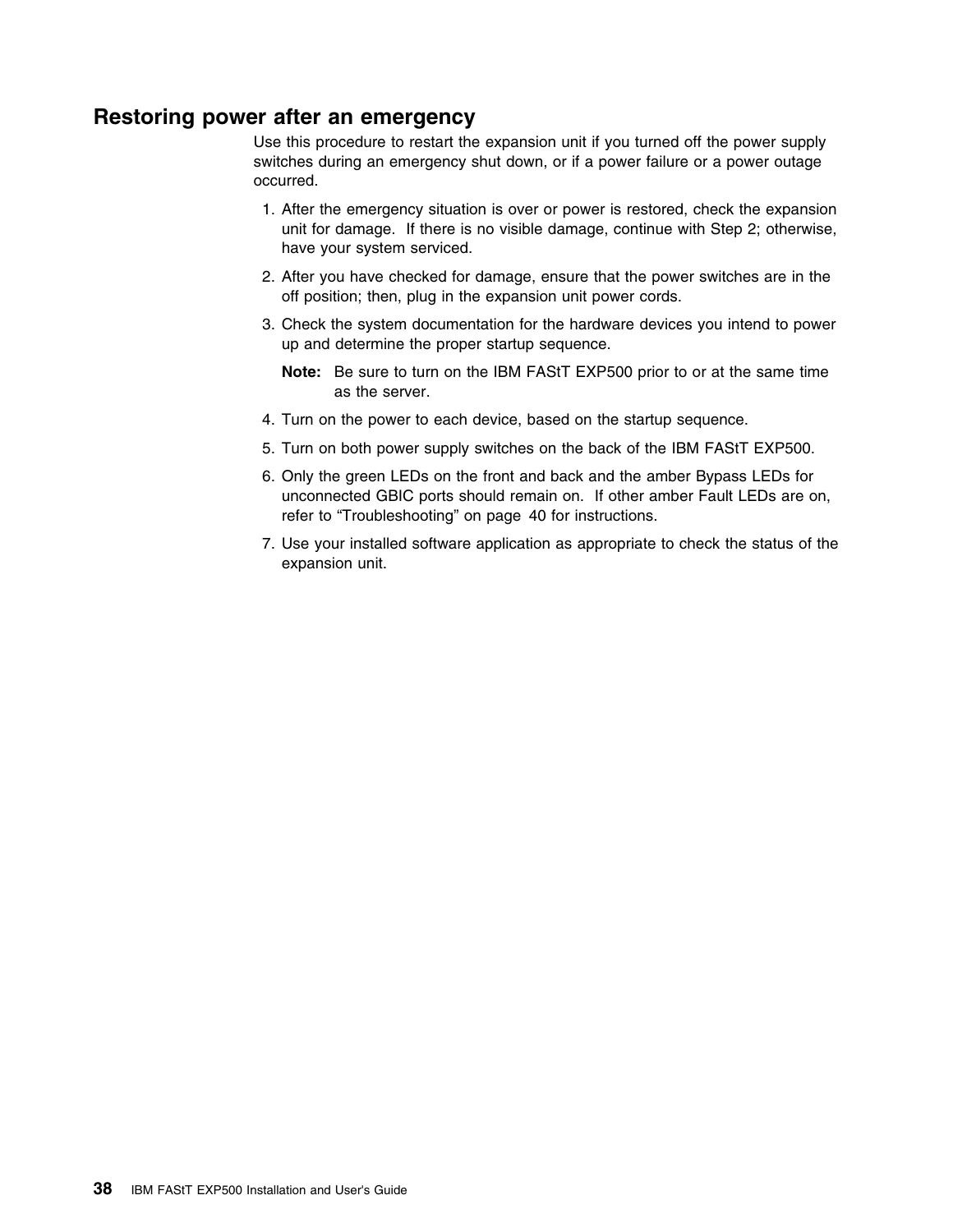## **Restoring power after an emergency**

Use this procedure to restart the expansion unit if you turned off the power supply switches during an emergency shut down, or if a power failure or a power outage occurred.

- 1. After the emergency situation is over or power is restored, check the expansion unit for damage. If there is no visible damage, continue with Step 2; otherwise, have your system serviced.
- 2. After you have checked for damage, ensure that the power switches are in the off position; then, plug in the expansion unit power cords.
- 3. Check the system documentation for the hardware devices you intend to power up and determine the proper startup sequence.
	- **Note:** Be sure to turn on the IBM FAStT EXP500 prior to or at the same time as the server.
- 4. Turn on the power to each device, based on the startup sequence.
- 5. Turn on both power supply switches on the back of the IBM FAStT EXP500.
- 6. Only the green LEDs on the front and back and the amber Bypass LEDs for unconnected GBIC ports should remain on. If other amber Fault LEDs are on, refer to "Troubleshooting" on page 40 for instructions.
- 7. Use your installed software application as appropriate to check the status of the expansion unit.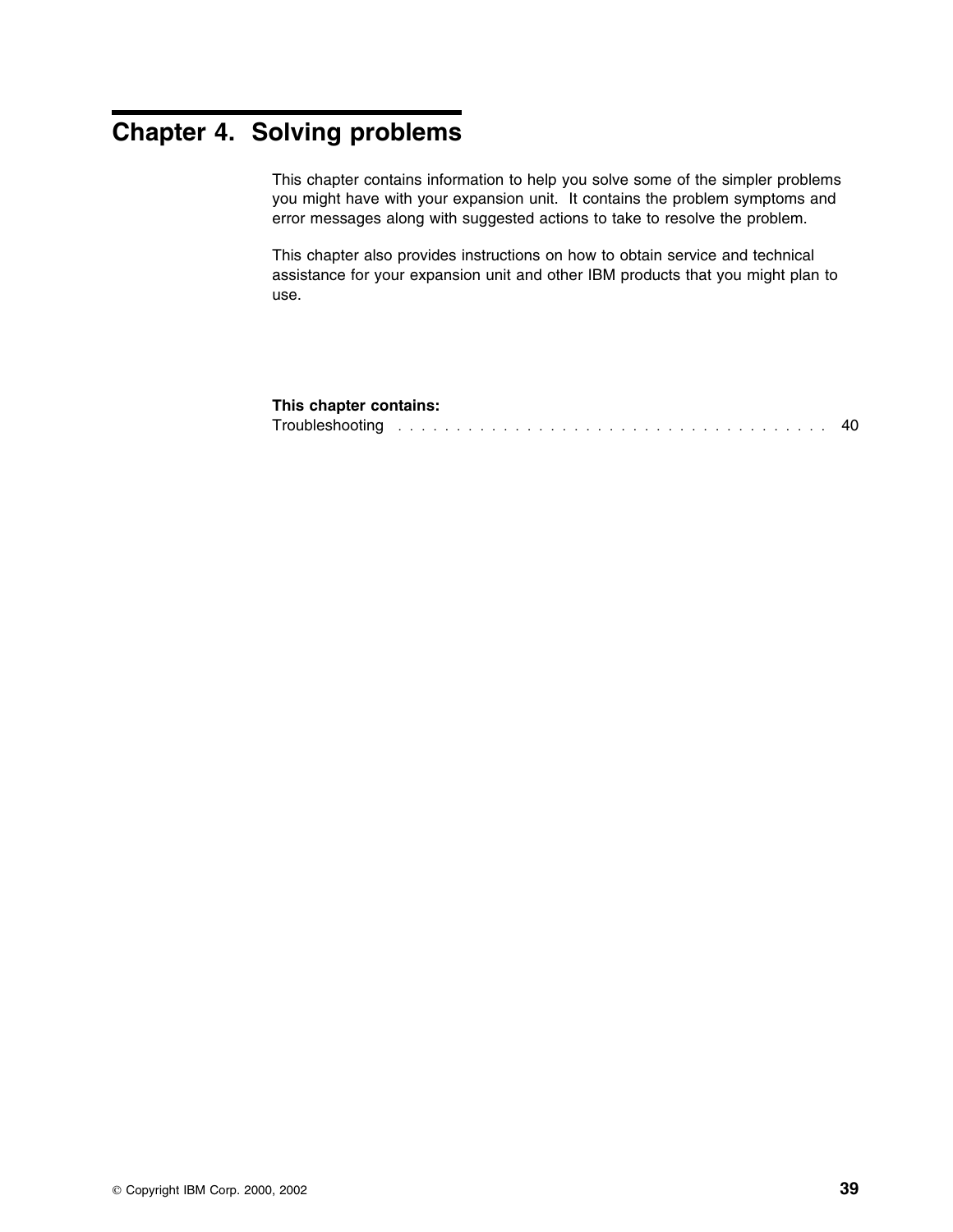# **Chapter 4. Solving problems**

This chapter contains information to help you solve some of the simpler problems you might have with your expansion unit. It contains the problem symptoms and error messages along with suggested actions to take to resolve the problem.

This chapter also provides instructions on how to obtain service and technical assistance for your expansion unit and other IBM products that you might plan to use.

### **This chapter contains:**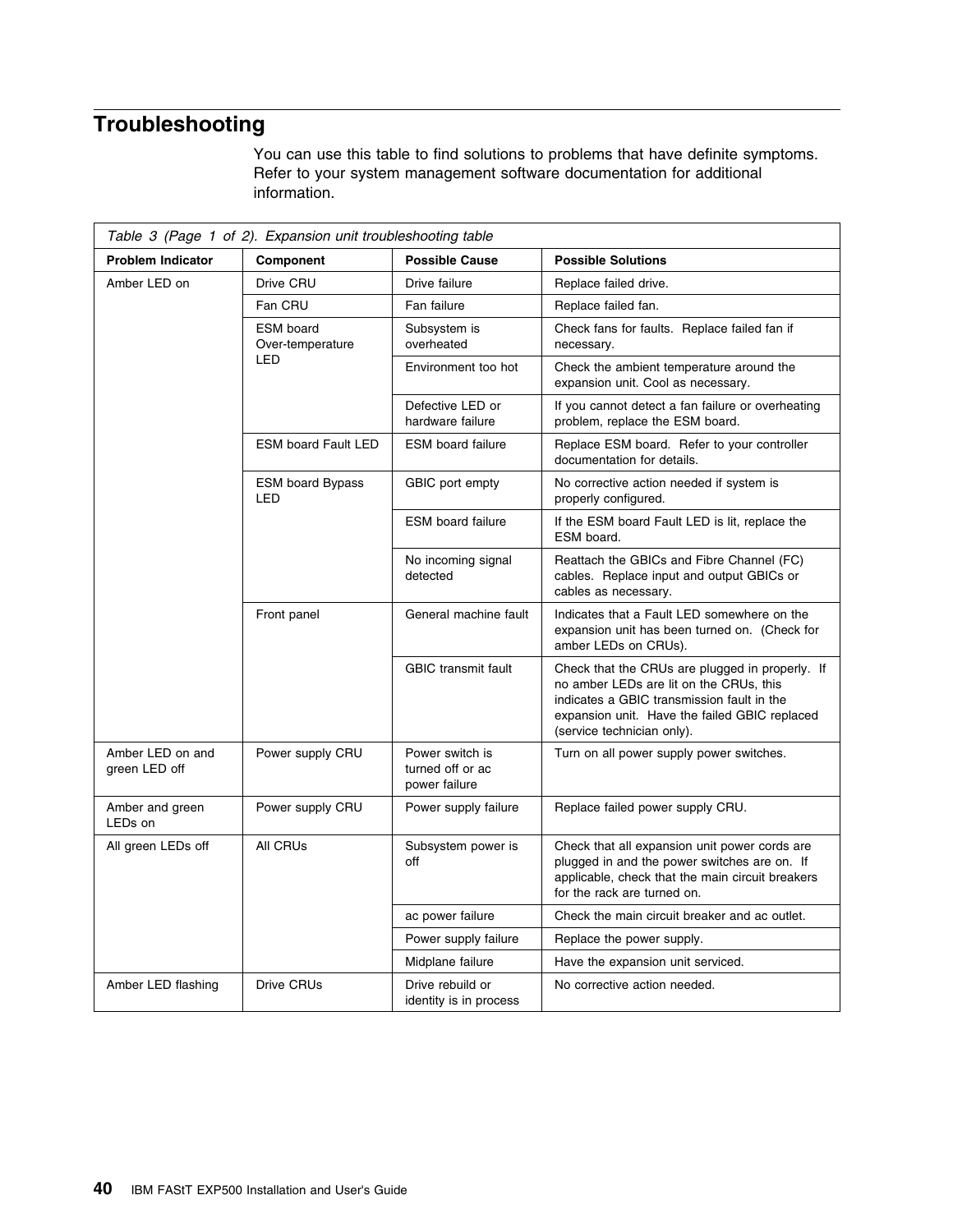# **Troubleshooting**

You can use this table to find solutions to problems that have definite symptoms. Refer to your system management software documentation for additional information.

| Table 3 (Page 1 of 2). Expansion unit troubleshooting table |                                       |                                                      |                                                                                                                                                                                                                         |  |  |  |  |  |  |  |  |  |
|-------------------------------------------------------------|---------------------------------------|------------------------------------------------------|-------------------------------------------------------------------------------------------------------------------------------------------------------------------------------------------------------------------------|--|--|--|--|--|--|--|--|--|
| <b>Problem Indicator</b>                                    | Component                             | <b>Possible Cause</b>                                | <b>Possible Solutions</b>                                                                                                                                                                                               |  |  |  |  |  |  |  |  |  |
| Amber LED on                                                | Drive CRU                             | Drive failure                                        | Replace failed drive.                                                                                                                                                                                                   |  |  |  |  |  |  |  |  |  |
|                                                             | Fan CRU                               | Fan failure                                          | Replace failed fan.                                                                                                                                                                                                     |  |  |  |  |  |  |  |  |  |
|                                                             | <b>ESM</b> board<br>Over-temperature  | Subsystem is<br>overheated                           | Check fans for faults. Replace failed fan if<br>necessary.                                                                                                                                                              |  |  |  |  |  |  |  |  |  |
|                                                             | LED                                   | Environment too hot                                  | Check the ambient temperature around the<br>expansion unit. Cool as necessary.                                                                                                                                          |  |  |  |  |  |  |  |  |  |
|                                                             |                                       | Defective LED or<br>hardware failure                 | If you cannot detect a fan failure or overheating<br>problem, replace the ESM board.                                                                                                                                    |  |  |  |  |  |  |  |  |  |
|                                                             | <b>ESM board Fault LED</b>            | <b>ESM</b> board failure                             | Replace ESM board. Refer to your controller<br>documentation for details.                                                                                                                                               |  |  |  |  |  |  |  |  |  |
|                                                             | <b>ESM board Bypass</b><br><b>LED</b> | GBIC port empty                                      | No corrective action needed if system is<br>properly configured.                                                                                                                                                        |  |  |  |  |  |  |  |  |  |
|                                                             |                                       | <b>ESM</b> board failure                             | If the ESM board Fault LED is lit, replace the<br>ESM board.                                                                                                                                                            |  |  |  |  |  |  |  |  |  |
|                                                             |                                       | No incoming signal<br>detected                       | Reattach the GBICs and Fibre Channel (FC)<br>cables. Replace input and output GBICs or<br>cables as necessary.                                                                                                          |  |  |  |  |  |  |  |  |  |
|                                                             | Front panel                           | General machine fault                                | Indicates that a Fault LED somewhere on the<br>expansion unit has been turned on. (Check for<br>amber LEDs on CRUs).                                                                                                    |  |  |  |  |  |  |  |  |  |
|                                                             |                                       | <b>GBIC</b> transmit fault                           | Check that the CRUs are plugged in properly. If<br>no amber LEDs are lit on the CRUs, this<br>indicates a GBIC transmission fault in the<br>expansion unit. Have the failed GBIC replaced<br>(service technician only). |  |  |  |  |  |  |  |  |  |
| Amber LED on and<br>green LED off                           | Power supply CRU                      | Power switch is<br>turned off or ac<br>power failure | Turn on all power supply power switches.                                                                                                                                                                                |  |  |  |  |  |  |  |  |  |
| Amber and green<br>LED <sub>s</sub> on                      | Power supply CRU                      | Power supply failure                                 | Replace failed power supply CRU.                                                                                                                                                                                        |  |  |  |  |  |  |  |  |  |
| All green LEDs off                                          | All CRUs                              | Subsystem power is<br>off                            | Check that all expansion unit power cords are<br>plugged in and the power switches are on. If<br>applicable, check that the main circuit breakers<br>for the rack are turned on.                                        |  |  |  |  |  |  |  |  |  |
|                                                             |                                       | ac power failure                                     | Check the main circuit breaker and ac outlet.                                                                                                                                                                           |  |  |  |  |  |  |  |  |  |
|                                                             |                                       | Power supply failure                                 | Replace the power supply.                                                                                                                                                                                               |  |  |  |  |  |  |  |  |  |
|                                                             |                                       | Midplane failure                                     | Have the expansion unit serviced.                                                                                                                                                                                       |  |  |  |  |  |  |  |  |  |
| Amber LED flashing                                          | Drive CRUs                            | Drive rebuild or<br>identity is in process           | No corrective action needed.                                                                                                                                                                                            |  |  |  |  |  |  |  |  |  |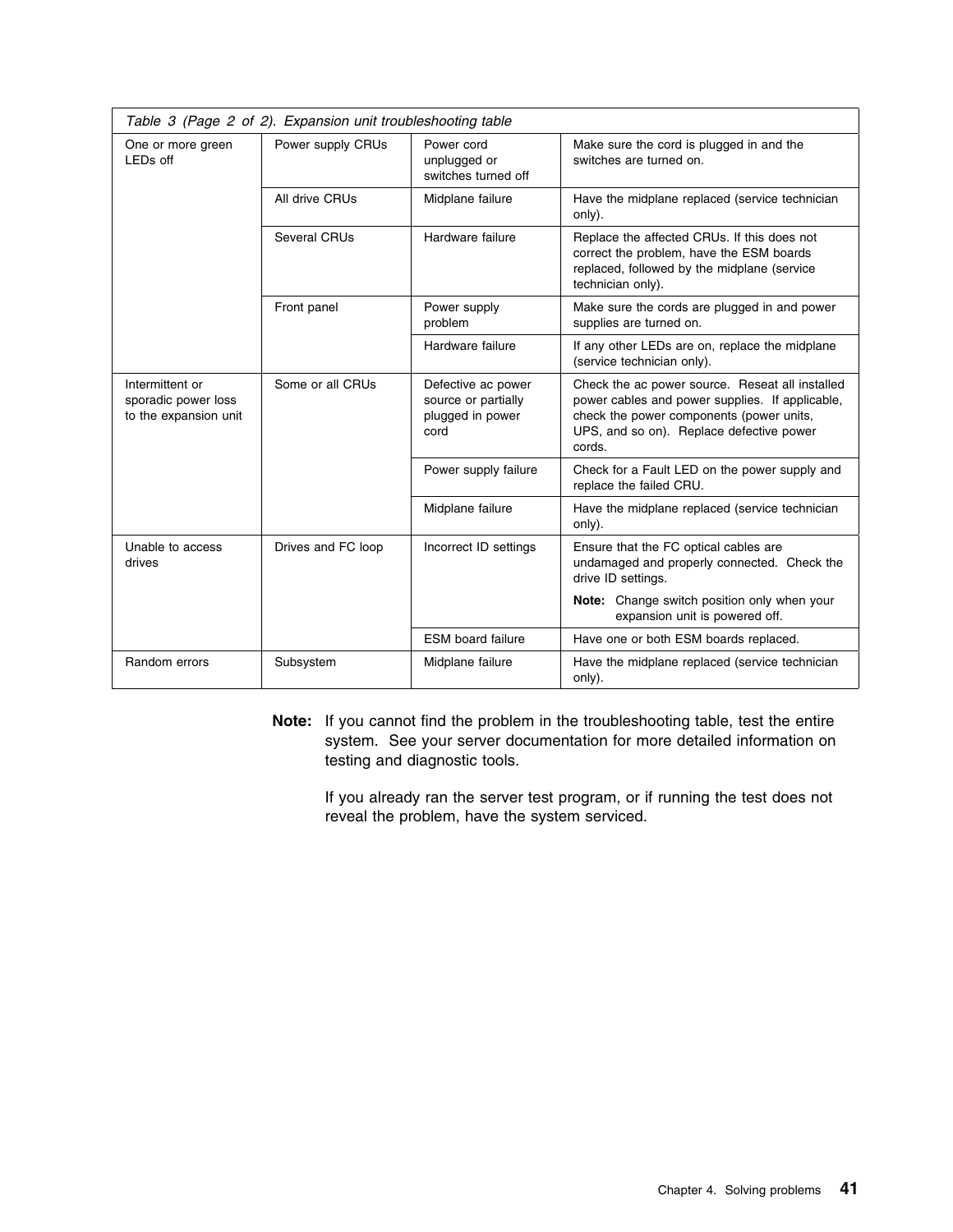| Table 3 (Page 2 of 2). Expansion unit troubleshooting table     |                    |                                                                       |                                                                                                                                                                                                      |  |  |  |  |  |  |  |  |  |
|-----------------------------------------------------------------|--------------------|-----------------------------------------------------------------------|------------------------------------------------------------------------------------------------------------------------------------------------------------------------------------------------------|--|--|--|--|--|--|--|--|--|
| One or more green<br>LEDs off                                   | Power supply CRUs  | Power cord<br>unplugged or<br>switches turned off                     | Make sure the cord is plugged in and the<br>switches are turned on.                                                                                                                                  |  |  |  |  |  |  |  |  |  |
|                                                                 | All drive CRUs     | Midplane failure                                                      | Have the midplane replaced (service technician<br>only).                                                                                                                                             |  |  |  |  |  |  |  |  |  |
|                                                                 | Several CRUs       | Hardware failure                                                      | Replace the affected CRUs. If this does not<br>correct the problem, have the ESM boards<br>replaced, followed by the midplane (service<br>technician only).                                          |  |  |  |  |  |  |  |  |  |
|                                                                 | Front panel        | Power supply<br>problem                                               | Make sure the cords are plugged in and power<br>supplies are turned on.                                                                                                                              |  |  |  |  |  |  |  |  |  |
|                                                                 |                    | Hardware failure                                                      | If any other LEDs are on, replace the midplane<br>(service technician only).                                                                                                                         |  |  |  |  |  |  |  |  |  |
| Intermittent or<br>sporadic power loss<br>to the expansion unit | Some or all CRUs   | Defective ac power<br>source or partially<br>plugged in power<br>cord | Check the ac power source. Reseat all installed<br>power cables and power supplies. If applicable,<br>check the power components (power units,<br>UPS, and so on). Replace defective power<br>cords. |  |  |  |  |  |  |  |  |  |
|                                                                 |                    | Power supply failure                                                  | Check for a Fault LED on the power supply and<br>replace the failed CRU.                                                                                                                             |  |  |  |  |  |  |  |  |  |
|                                                                 |                    | Midplane failure                                                      | Have the midplane replaced (service technician<br>only).                                                                                                                                             |  |  |  |  |  |  |  |  |  |
| Unable to access<br>drives                                      | Drives and FC loop | Incorrect ID settings                                                 | Ensure that the FC optical cables are<br>undamaged and properly connected. Check the<br>drive ID settings.                                                                                           |  |  |  |  |  |  |  |  |  |
|                                                                 |                    |                                                                       | Note: Change switch position only when your<br>expansion unit is powered off.                                                                                                                        |  |  |  |  |  |  |  |  |  |
|                                                                 |                    | <b>ESM</b> board failure                                              | Have one or both ESM boards replaced.                                                                                                                                                                |  |  |  |  |  |  |  |  |  |
| Random errors                                                   | Subsystem          | Midplane failure                                                      | Have the midplane replaced (service technician<br>only).                                                                                                                                             |  |  |  |  |  |  |  |  |  |

**Note:** If you cannot find the problem in the troubleshooting table, test the entire system. See your server documentation for more detailed information on testing and diagnostic tools.

If you already ran the server test program, or if running the test does not reveal the problem, have the system serviced.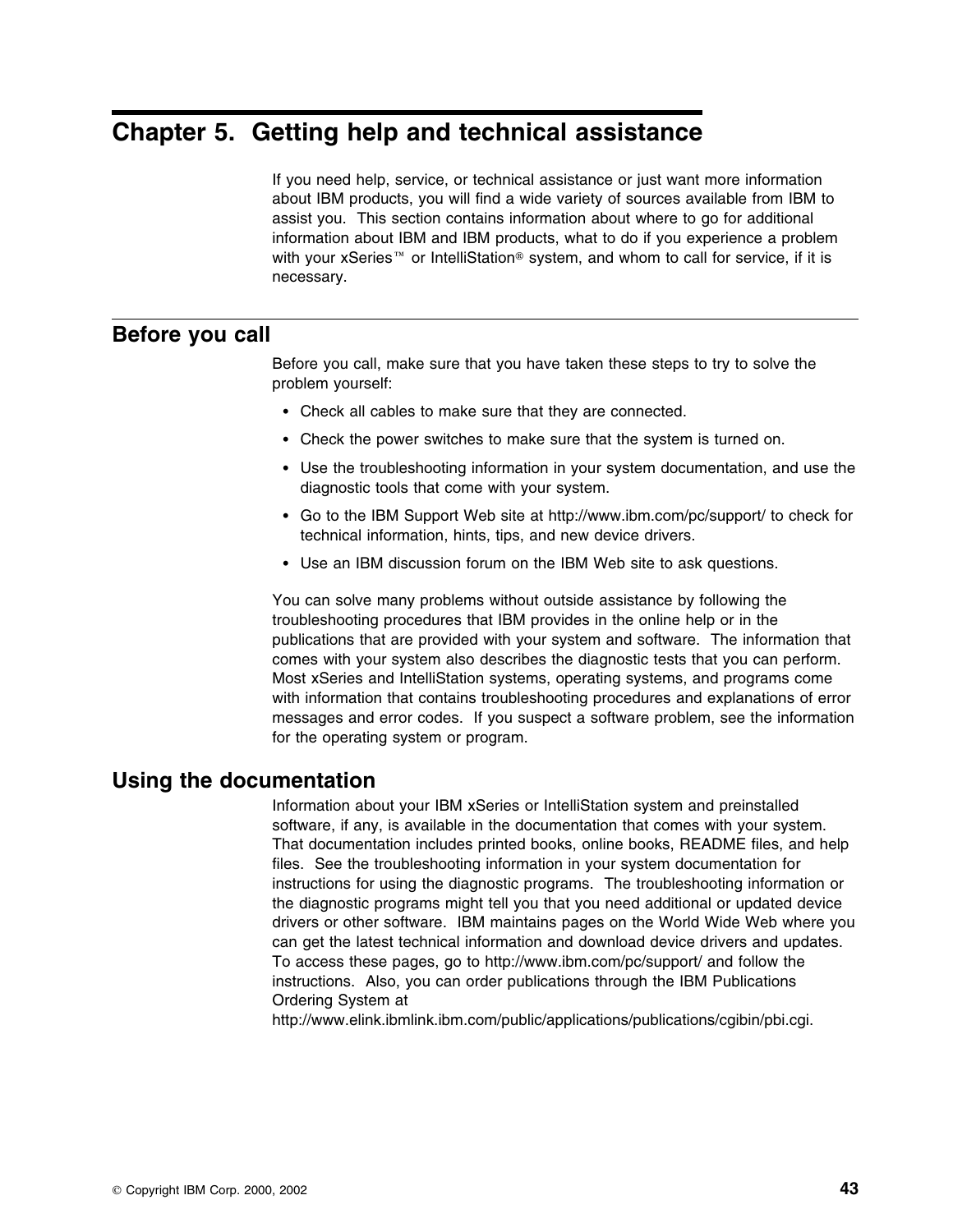# **Chapter 5. Getting help and technical assistance**

If you need help, service, or technical assistance or just want more information about IBM products, you will find a wide variety of sources available from IBM to assist you. This section contains information about where to go for additional information about IBM and IBM products, what to do if you experience a problem with your xSeries<sup> $m$ </sup> or IntelliStation<sup>®</sup> system, and whom to call for service, if it is necessary.

## **Before you call**

Before you call, make sure that you have taken these steps to try to solve the problem yourself:

- Check all cables to make sure that they are connected.
- Check the power switches to make sure that the system is turned on.
- Use the troubleshooting information in your system documentation, and use the diagnostic tools that come with your system.
- Go to the IBM Support Web site at http://www.ibm.com/pc/support/ to check for technical information, hints, tips, and new device drivers.
- Use an IBM discussion forum on the IBM Web site to ask questions.

You can solve many problems without outside assistance by following the troubleshooting procedures that IBM provides in the online help or in the publications that are provided with your system and software. The information that comes with your system also describes the diagnostic tests that you can perform. Most xSeries and IntelliStation systems, operating systems, and programs come with information that contains troubleshooting procedures and explanations of error messages and error codes. If you suspect a software problem, see the information for the operating system or program.

### **Using the documentation**

Information about your IBM xSeries or IntelliStation system and preinstalled software, if any, is available in the documentation that comes with your system. That documentation includes printed books, online books, README files, and help files. See the troubleshooting information in your system documentation for instructions for using the diagnostic programs. The troubleshooting information or the diagnostic programs might tell you that you need additional or updated device drivers or other software. IBM maintains pages on the World Wide Web where you can get the latest technical information and download device drivers and updates. To access these pages, go to http://www.ibm.com/pc/support/ and follow the instructions. Also, you can order publications through the IBM Publications Ordering System at

http://www.elink.ibmlink.ibm.com/public/applications/publications/cgibin/pbi.cgi.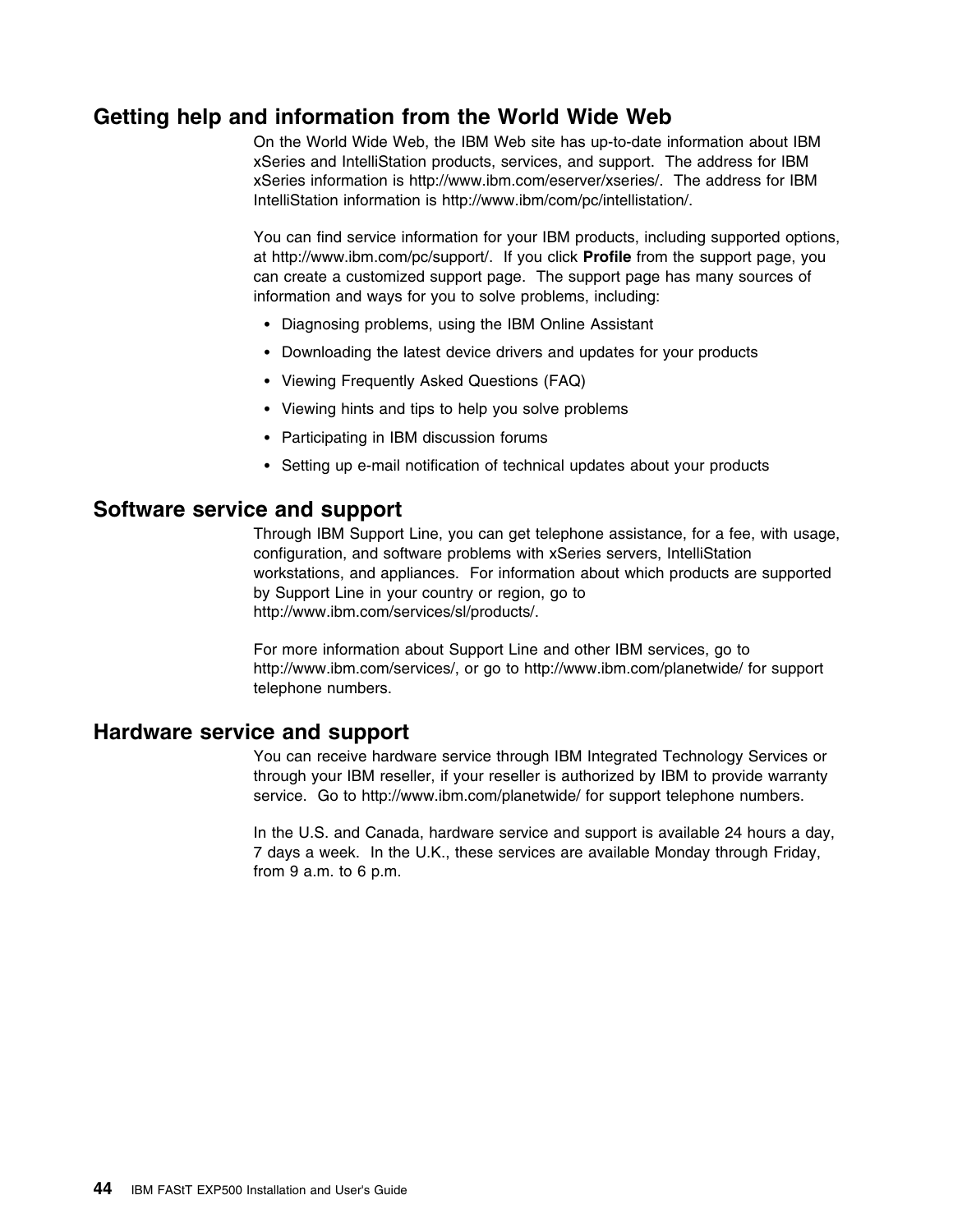## **Getting help and information from the World Wide Web**

On the World Wide Web, the IBM Web site has up-to-date information about IBM xSeries and IntelliStation products, services, and support. The address for IBM xSeries information is http://www.ibm.com/eserver/xseries/. The address for IBM IntelliStation information is http://www.ibm/com/pc/intellistation/.

You can find service information for your IBM products, including supported options, at http://www.ibm.com/pc/support/. If you click **Profile** from the support page, you can create a customized support page. The support page has many sources of information and ways for you to solve problems, including:

- Diagnosing problems, using the IBM Online Assistant
- Downloading the latest device drivers and updates for your products
- Viewing Frequently Asked Questions (FAQ)
- Viewing hints and tips to help you solve problems
- Participating in IBM discussion forums
- Setting up e-mail notification of technical updates about your products

### **Software service and support**

Through IBM Support Line, you can get telephone assistance, for a fee, with usage, configuration, and software problems with xSeries servers, IntelliStation workstations, and appliances. For information about which products are supported by Support Line in your country or region, go to http://www.ibm.com/services/sl/products/.

For more information about Support Line and other IBM services, go to http://www.ibm.com/services/, or go to http://www.ibm.com/planetwide/ for support telephone numbers.

### **Hardware service and support**

You can receive hardware service through IBM Integrated Technology Services or through your IBM reseller, if your reseller is authorized by IBM to provide warranty service. Go to http://www.ibm.com/planetwide/ for support telephone numbers.

In the U.S. and Canada, hardware service and support is available 24 hours a day, 7 days a week. In the U.K., these services are available Monday through Friday, from 9 a.m. to 6 p.m.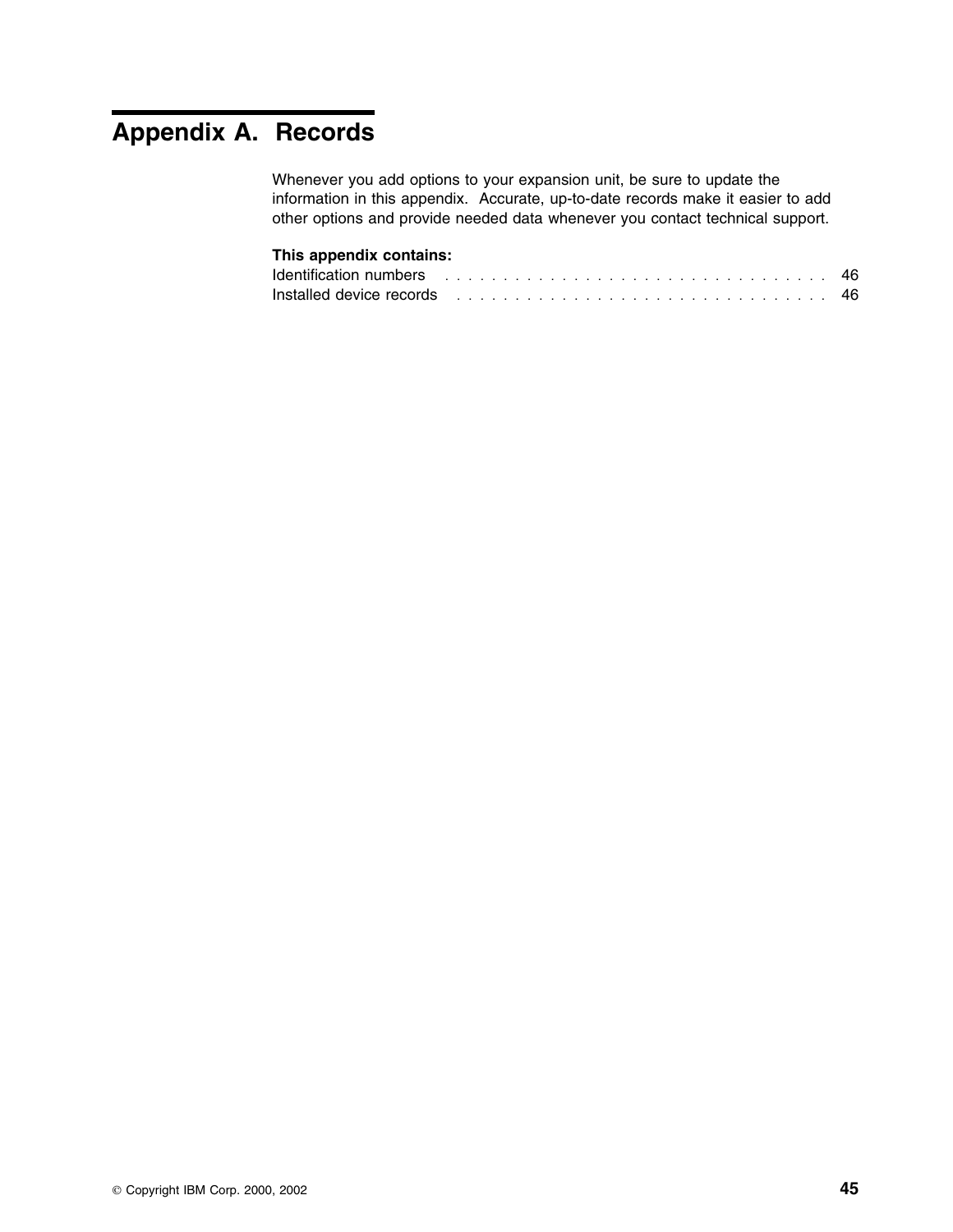# **Appendix A. Records**

Whenever you add options to your expansion unit, be sure to update the information in this appendix. Accurate, up-to-date records make it easier to add other options and provide needed data whenever you contact technical support.

### **This appendix contains:**

| Identification numbers with a state of the contract of the contract of the contract of the contract of the con |  |  |  |  |  |  |  |  |  |  |  |  |  |  |  |  |  |  |
|----------------------------------------------------------------------------------------------------------------|--|--|--|--|--|--|--|--|--|--|--|--|--|--|--|--|--|--|
| Installed device records   ................................. 46                                                |  |  |  |  |  |  |  |  |  |  |  |  |  |  |  |  |  |  |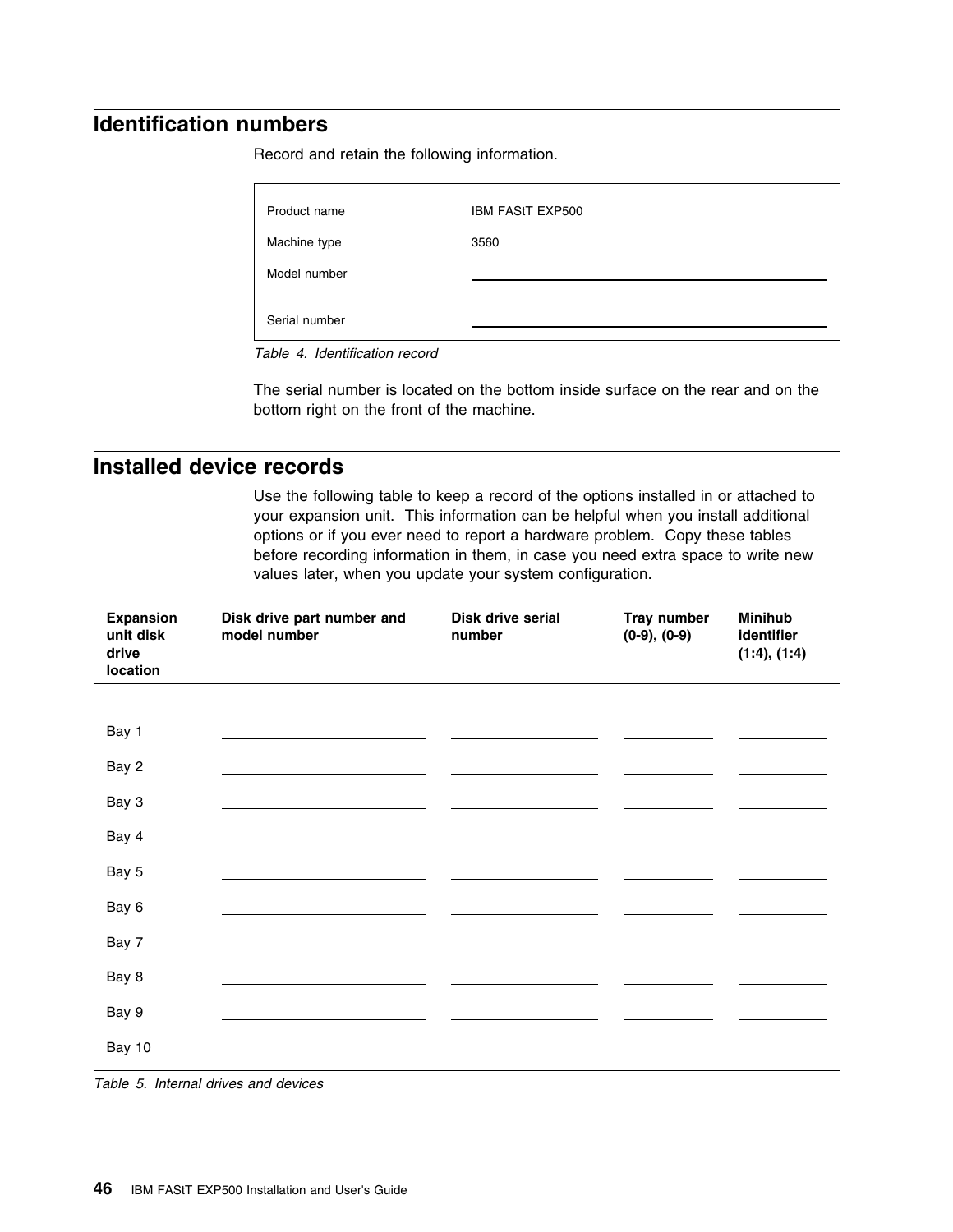# **Identification numbers**

Record and retain the following information.

| Product name  | <b>IBM FAStT EXP500</b> |
|---------------|-------------------------|
| Machine type  | 3560                    |
| Model number  |                         |
| Serial number |                         |

*Table 4. Identification record*

The serial number is located on the bottom inside surface on the rear and on the bottom right on the front of the machine.

## **Installed device records**

Use the following table to keep a record of the options installed in or attached to your expansion unit. This information can be helpful when you install additional options or if you ever need to report a hardware problem. Copy these tables before recording information in them, in case you need extra space to write new values later, when you update your system configuration.

| <b>Expansion</b><br>unit disk<br>drive<br>location | Disk drive part number and<br>model number | Disk drive serial<br>number | Tray number<br>$(0-9), (0-9)$ | <b>Minihub</b><br>identifier<br>(1:4), (1:4) |
|----------------------------------------------------|--------------------------------------------|-----------------------------|-------------------------------|----------------------------------------------|
|                                                    |                                            |                             |                               |                                              |
| Bay 1                                              |                                            |                             |                               |                                              |
| Bay 2                                              |                                            |                             |                               |                                              |
| Bay 3                                              |                                            |                             |                               |                                              |
| Bay 4                                              |                                            |                             |                               |                                              |
| Bay 5                                              |                                            |                             |                               |                                              |
| Bay 6                                              |                                            |                             |                               |                                              |
| Bay 7                                              |                                            |                             |                               |                                              |
| Bay 8                                              |                                            |                             |                               |                                              |
| Bay 9                                              |                                            |                             |                               |                                              |
| Bay 10                                             |                                            |                             |                               |                                              |

*Table 5. Internal drives and devices*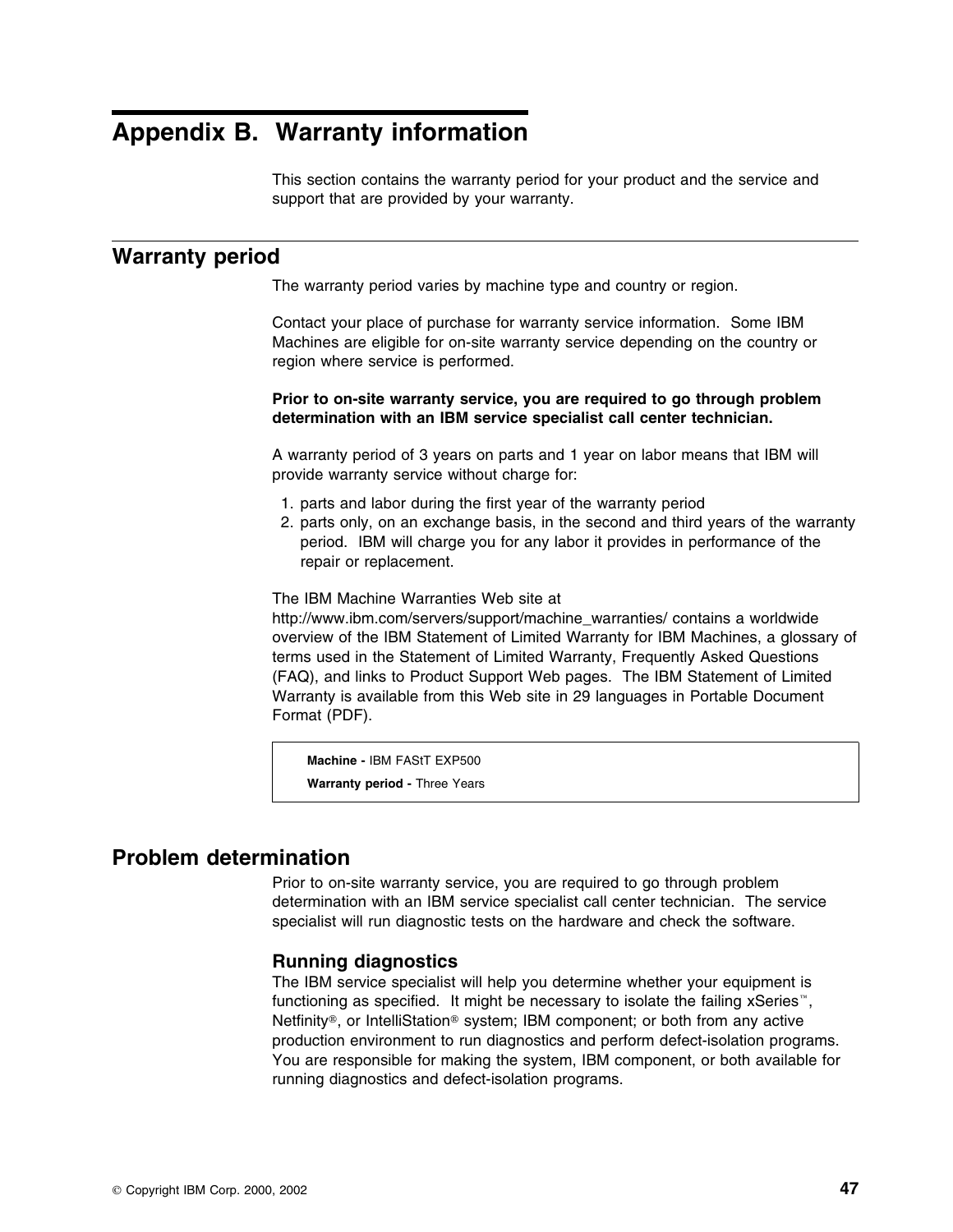# **Appendix B. Warranty information**

This section contains the warranty period for your product and the service and support that are provided by your warranty.

### **Warranty period**

The warranty period varies by machine type and country or region.

Contact your place of purchase for warranty service information. Some IBM Machines are eligible for on-site warranty service depending on the country or region where service is performed.

**Prior to on-site warranty service, you are required to go through problem determination with an IBM service specialist call center technician.**

A warranty period of 3 years on parts and 1 year on labor means that IBM will provide warranty service without charge for:

- 1. parts and labor during the first year of the warranty period
- 2. parts only, on an exchange basis, in the second and third years of the warranty period. IBM will charge you for any labor it provides in performance of the repair or replacement.

The IBM Machine Warranties Web site at

http://www.ibm.com/servers/support/machine\_warranties/ contains a worldwide overview of the IBM Statement of Limited Warranty for IBM Machines, a glossary of terms used in the Statement of Limited Warranty, Frequently Asked Questions (FAQ), and links to Product Support Web pages. The IBM Statement of Limited Warranty is available from this Web site in 29 languages in Portable Document Format (PDF).

**Machine -** IBM FAStT EXP500 **Warranty period -** Three Years

## **Problem determination**

Prior to on-site warranty service, you are required to go through problem determination with an IBM service specialist call center technician. The service specialist will run diagnostic tests on the hardware and check the software.

### **Running diagnostics**

The IBM service specialist will help you determine whether your equipment is functioning as specified. It might be necessary to isolate the failing  $x$ Series<sup>"</sup>, Netfinity®, or IntelliStation<sup>®</sup> system; IBM component; or both from any active production environment to run diagnostics and perform defect-isolation programs. You are responsible for making the system, IBM component, or both available for running diagnostics and defect-isolation programs.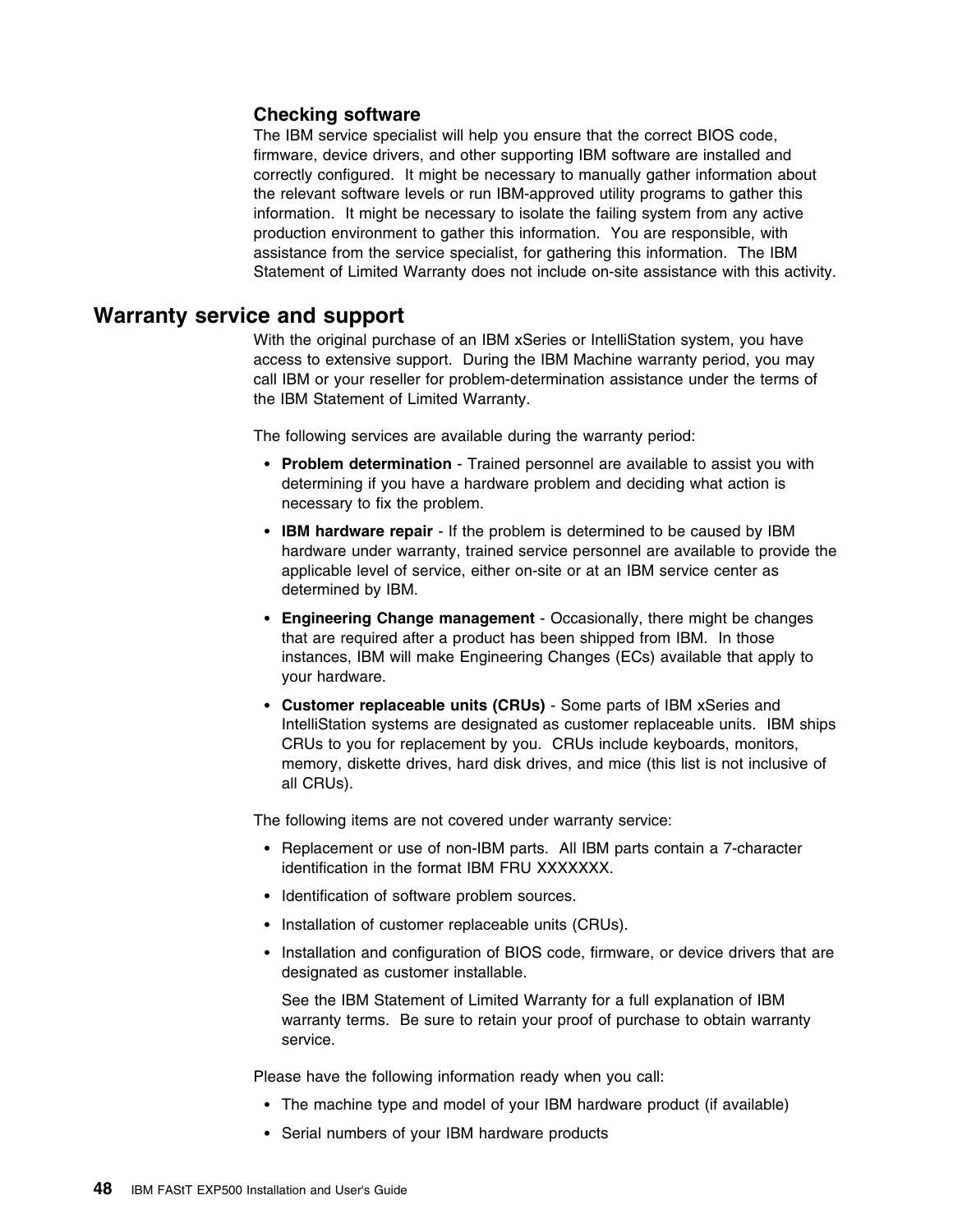### **Checking software**

The IBM service specialist will help you ensure that the correct BIOS code, firmware, device drivers, and other supporting IBM software are installed and correctly configured. It might be necessary to manually gather information about the relevant software levels or run IBM-approved utility programs to gather this information. It might be necessary to isolate the failing system from any active production environment to gather this information. You are responsible, with assistance from the service specialist, for gathering this information. The IBM Statement of Limited Warranty does not include on-site assistance with this activity.

### **Warranty service and support**

With the original purchase of an IBM xSeries or IntelliStation system, you have access to extensive support. During the IBM Machine warranty period, you may call IBM or your reseller for problem-determination assistance under the terms of the IBM Statement of Limited Warranty.

The following services are available during the warranty period:

- **Problem determination** Trained personnel are available to assist you with determining if you have a hardware problem and deciding what action is necessary to fix the problem.
- **IBM hardware repair** If the problem is determined to be caused by IBM hardware under warranty, trained service personnel are available to provide the applicable level of service, either on-site or at an IBM service center as determined by IBM.
- **Engineering Change management** Occasionally, there might be changes that are required after a product has been shipped from IBM. In those instances, IBM will make Engineering Changes (ECs) available that apply to your hardware.
- **Customer replaceable units (CRUs)** Some parts of IBM xSeries and IntelliStation systems are designated as customer replaceable units. IBM ships CRUs to you for replacement by you. CRUs include keyboards, monitors, memory, diskette drives, hard disk drives, and mice (this list is not inclusive of all CRUs).

The following items are not covered under warranty service:

- Replacement or use of non-IBM parts. All IBM parts contain a 7-character identification in the format IBM FRU XXXXXXX.
- Identification of software problem sources.
- Installation of customer replaceable units (CRUs).
- Installation and configuration of BIOS code, firmware, or device drivers that are designated as customer installable.

See the IBM Statement of Limited Warranty for a full explanation of IBM warranty terms. Be sure to retain your proof of purchase to obtain warranty service.

Please have the following information ready when you call:

- The machine type and model of your IBM hardware product (if available)
- Serial numbers of your IBM hardware products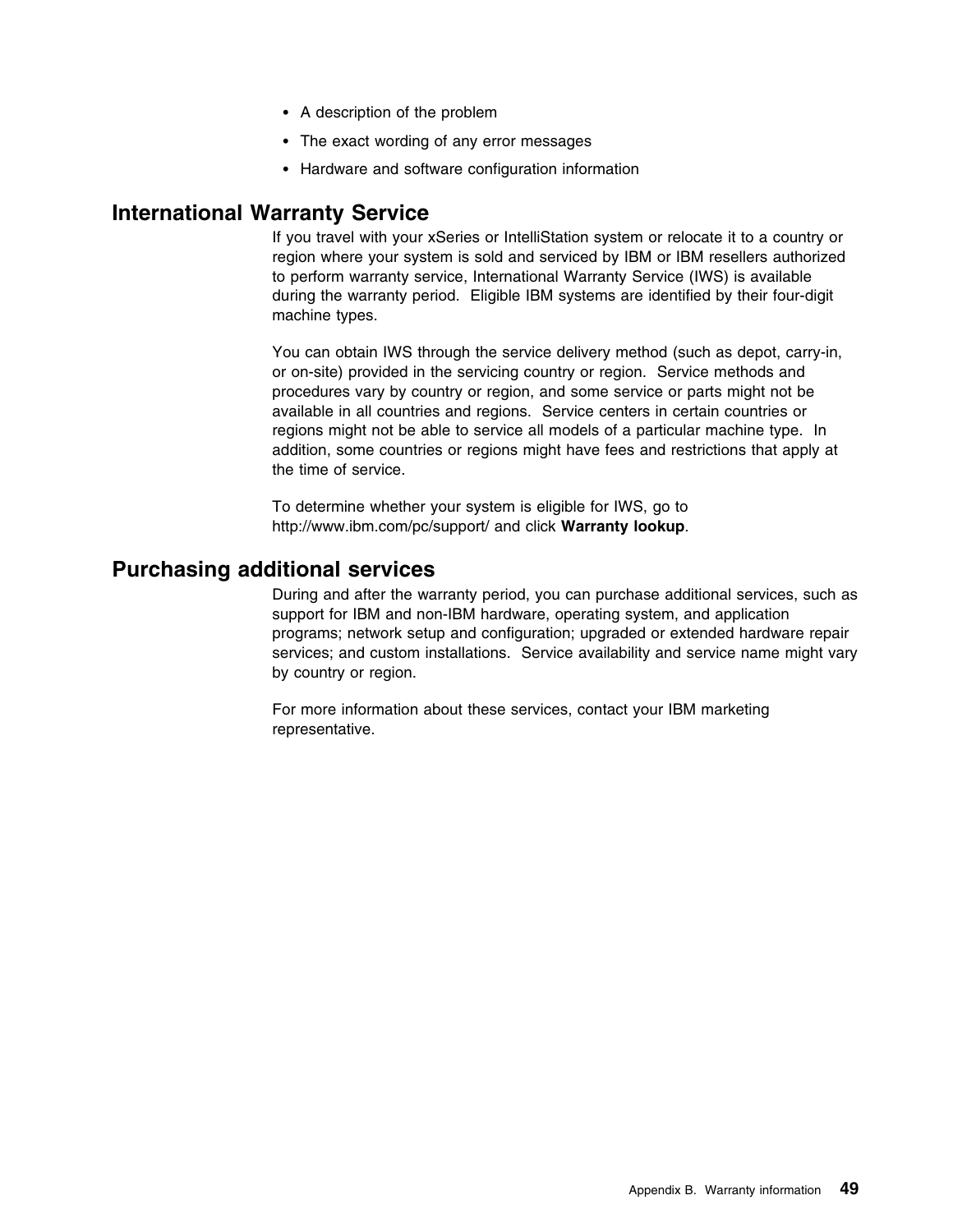- A description of the problem
- The exact wording of any error messages
- Hardware and software configuration information

## **International Warranty Service**

If you travel with your xSeries or IntelliStation system or relocate it to a country or region where your system is sold and serviced by IBM or IBM resellers authorized to perform warranty service, International Warranty Service (IWS) is available during the warranty period. Eligible IBM systems are identified by their four-digit machine types.

You can obtain IWS through the service delivery method (such as depot, carry-in, or on-site) provided in the servicing country or region. Service methods and procedures vary by country or region, and some service or parts might not be available in all countries and regions. Service centers in certain countries or regions might not be able to service all models of a particular machine type. In addition, some countries or regions might have fees and restrictions that apply at the time of service.

To determine whether your system is eligible for IWS, go to http://www.ibm.com/pc/support/ and click **Warranty lookup**.

## **Purchasing additional services**

During and after the warranty period, you can purchase additional services, such as support for IBM and non-IBM hardware, operating system, and application programs; network setup and configuration; upgraded or extended hardware repair services; and custom installations. Service availability and service name might vary by country or region.

For more information about these services, contact your IBM marketing representative.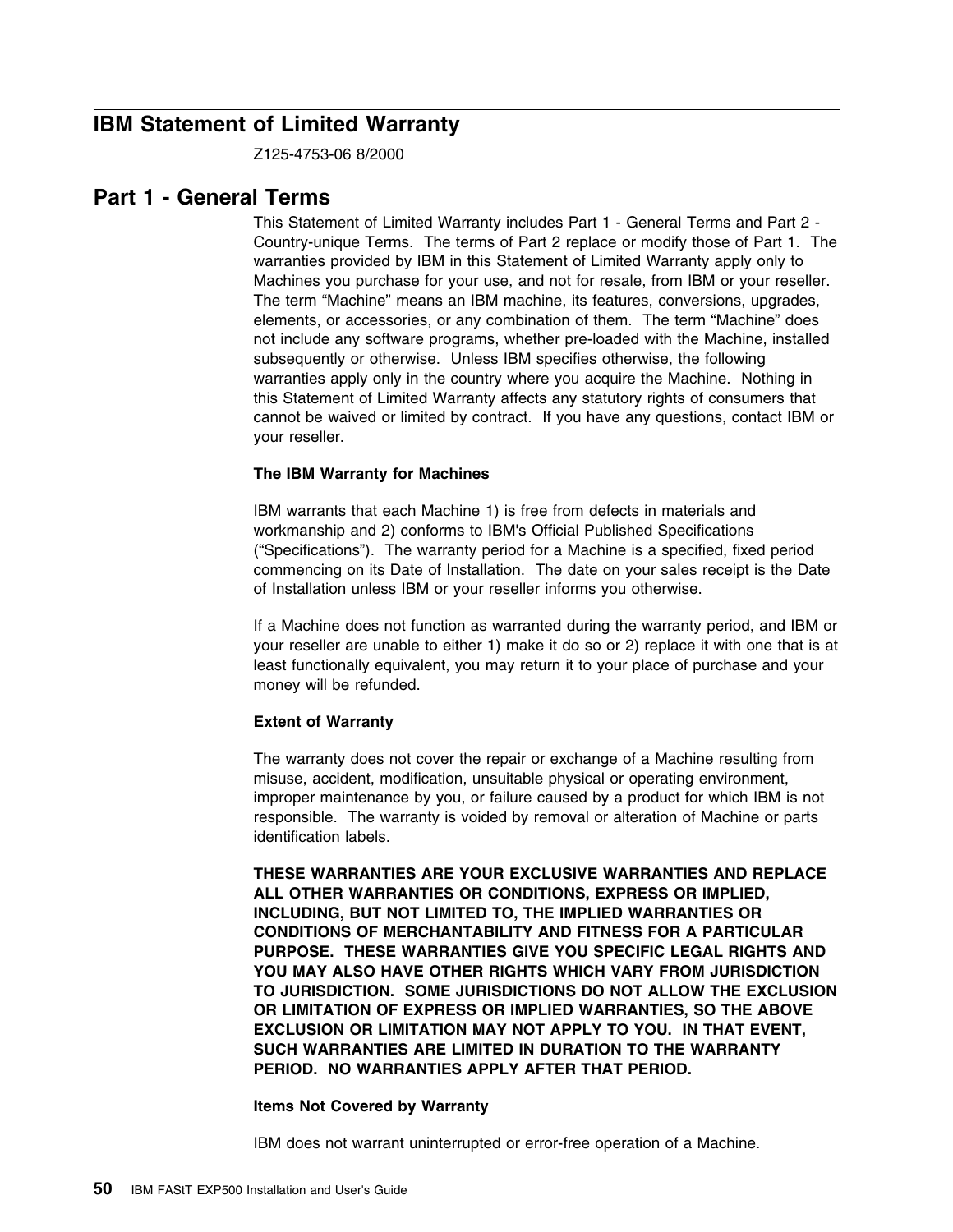## **IBM Statement of Limited Warranty**

Z125-4753-06 8/2000

## **Part 1 - General Terms**

This Statement of Limited Warranty includes Part 1 - General Terms and Part 2 - Country-unique Terms. The terms of Part 2 replace or modify those of Part 1. The warranties provided by IBM in this Statement of Limited Warranty apply only to Machines you purchase for your use, and not for resale, from IBM or your reseller. The term "Machine" means an IBM machine, its features, conversions, upgrades, elements, or accessories, or any combination of them. The term "Machine" does not include any software programs, whether pre-loaded with the Machine, installed subsequently or otherwise. Unless IBM specifies otherwise, the following warranties apply only in the country where you acquire the Machine. Nothing in this Statement of Limited Warranty affects any statutory rights of consumers that cannot be waived or limited by contract. If you have any questions, contact IBM or your reseller.

### **The IBM Warranty for Machines**

IBM warrants that each Machine 1) is free from defects in materials and workmanship and 2) conforms to IBM's Official Published Specifications ("Specifications"). The warranty period for a Machine is a specified, fixed period commencing on its Date of Installation. The date on your sales receipt is the Date of Installation unless IBM or your reseller informs you otherwise.

If a Machine does not function as warranted during the warranty period, and IBM or your reseller are unable to either 1) make it do so or 2) replace it with one that is at least functionally equivalent, you may return it to your place of purchase and your money will be refunded.

#### **Extent of Warranty**

The warranty does not cover the repair or exchange of a Machine resulting from misuse, accident, modification, unsuitable physical or operating environment, improper maintenance by you, or failure caused by a product for which IBM is not responsible. The warranty is voided by removal or alteration of Machine or parts identification labels.

**THESE WARRANTIES ARE YOUR EXCLUSIVE WARRANTIES AND REPLACE ALL OTHER WARRANTIES OR CONDITIONS, EXPRESS OR IMPLIED, INCLUDING, BUT NOT LIMITED TO, THE IMPLIED WARRANTIES OR CONDITIONS OF MERCHANTABILITY AND FITNESS FOR A PARTICULAR PURPOSE. THESE WARRANTIES GIVE YOU SPECIFIC LEGAL RIGHTS AND YOU MAY ALSO HAVE OTHER RIGHTS WHICH VARY FROM JURISDICTION TO JURISDICTION. SOME JURISDICTIONS DO NOT ALLOW THE EXCLUSION OR LIMITATION OF EXPRESS OR IMPLIED WARRANTIES, SO THE ABOVE EXCLUSION OR LIMITATION MAY NOT APPLY TO YOU. IN THAT EVENT, SUCH WARRANTIES ARE LIMITED IN DURATION TO THE WARRANTY PERIOD. NO WARRANTIES APPLY AFTER THAT PERIOD.**

#### **Items Not Covered by Warranty**

IBM does not warrant uninterrupted or error-free operation of a Machine.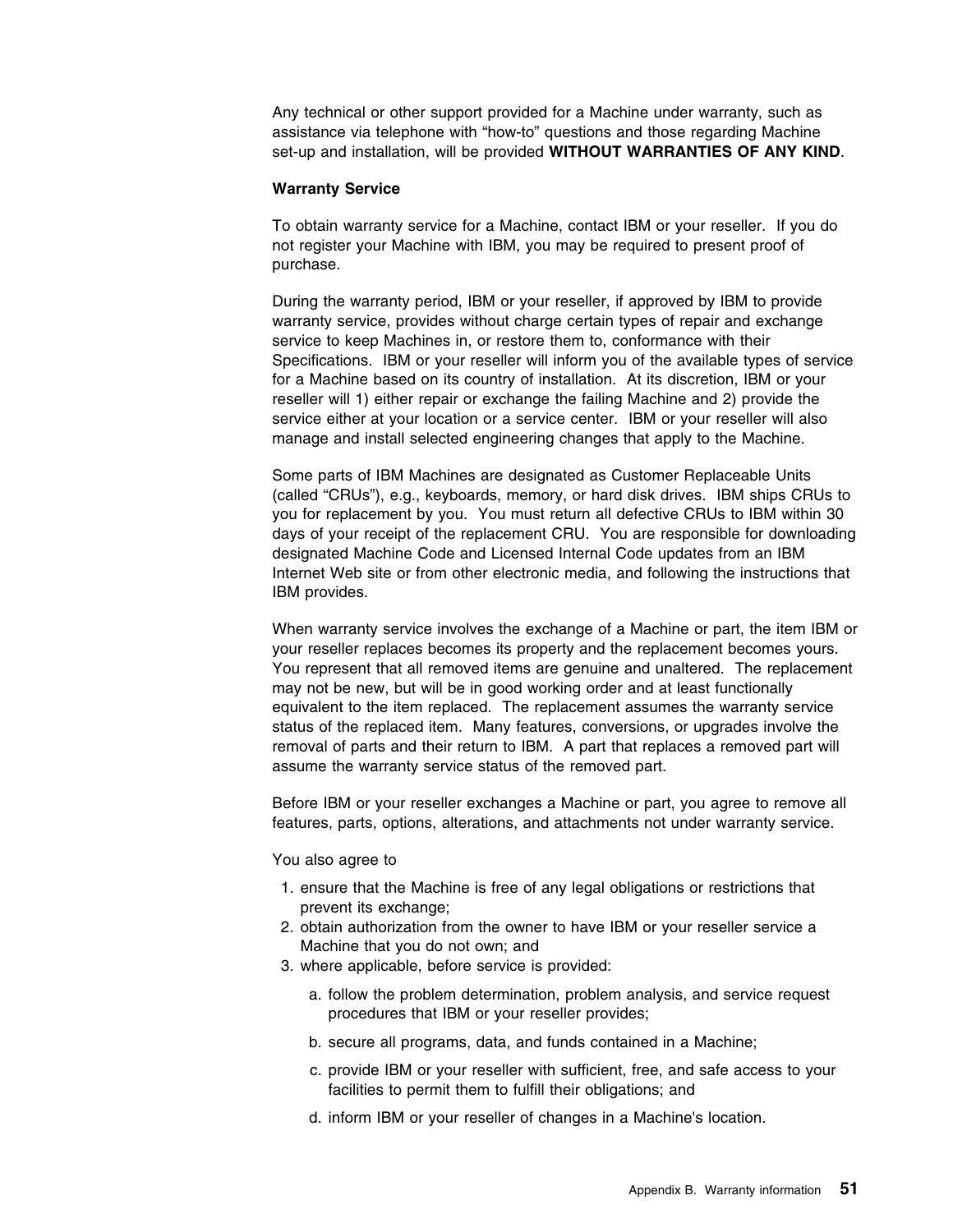Any technical or other support provided for a Machine under warranty, such as assistance via telephone with "how-to" questions and those regarding Machine set-up and installation, will be provided **WITHOUT WARRANTIES OF ANY KIND**.

#### **Warranty Service**

To obtain warranty service for a Machine, contact IBM or your reseller. If you do not register your Machine with IBM, you may be required to present proof of purchase.

During the warranty period, IBM or your reseller, if approved by IBM to provide warranty service, provides without charge certain types of repair and exchange service to keep Machines in, or restore them to, conformance with their Specifications. IBM or your reseller will inform you of the available types of service for a Machine based on its country of installation. At its discretion, IBM or your reseller will 1) either repair or exchange the failing Machine and 2) provide the service either at your location or a service center. IBM or your reseller will also manage and install selected engineering changes that apply to the Machine.

Some parts of IBM Machines are designated as Customer Replaceable Units (called "CRUs"), e.g., keyboards, memory, or hard disk drives. IBM ships CRUs to you for replacement by you. You must return all defective CRUs to IBM within 30 days of your receipt of the replacement CRU. You are responsible for downloading designated Machine Code and Licensed Internal Code updates from an IBM Internet Web site or from other electronic media, and following the instructions that IBM provides.

When warranty service involves the exchange of a Machine or part, the item IBM or your reseller replaces becomes its property and the replacement becomes yours. You represent that all removed items are genuine and unaltered. The replacement may not be new, but will be in good working order and at least functionally equivalent to the item replaced. The replacement assumes the warranty service status of the replaced item. Many features, conversions, or upgrades involve the removal of parts and their return to IBM. A part that replaces a removed part will assume the warranty service status of the removed part.

Before IBM or your reseller exchanges a Machine or part, you agree to remove all features, parts, options, alterations, and attachments not under warranty service.

#### You also agree to

- 1. ensure that the Machine is free of any legal obligations or restrictions that prevent its exchange;
- 2. obtain authorization from the owner to have IBM or your reseller service a Machine that you do not own; and
- 3. where applicable, before service is provided:
	- a. follow the problem determination, problem analysis, and service request procedures that IBM or your reseller provides;
	- b. secure all programs, data, and funds contained in a Machine;
	- c. provide IBM or your reseller with sufficient, free, and safe access to your facilities to permit them to fulfill their obligations; and
	- d. inform IBM or your reseller of changes in a Machine's location.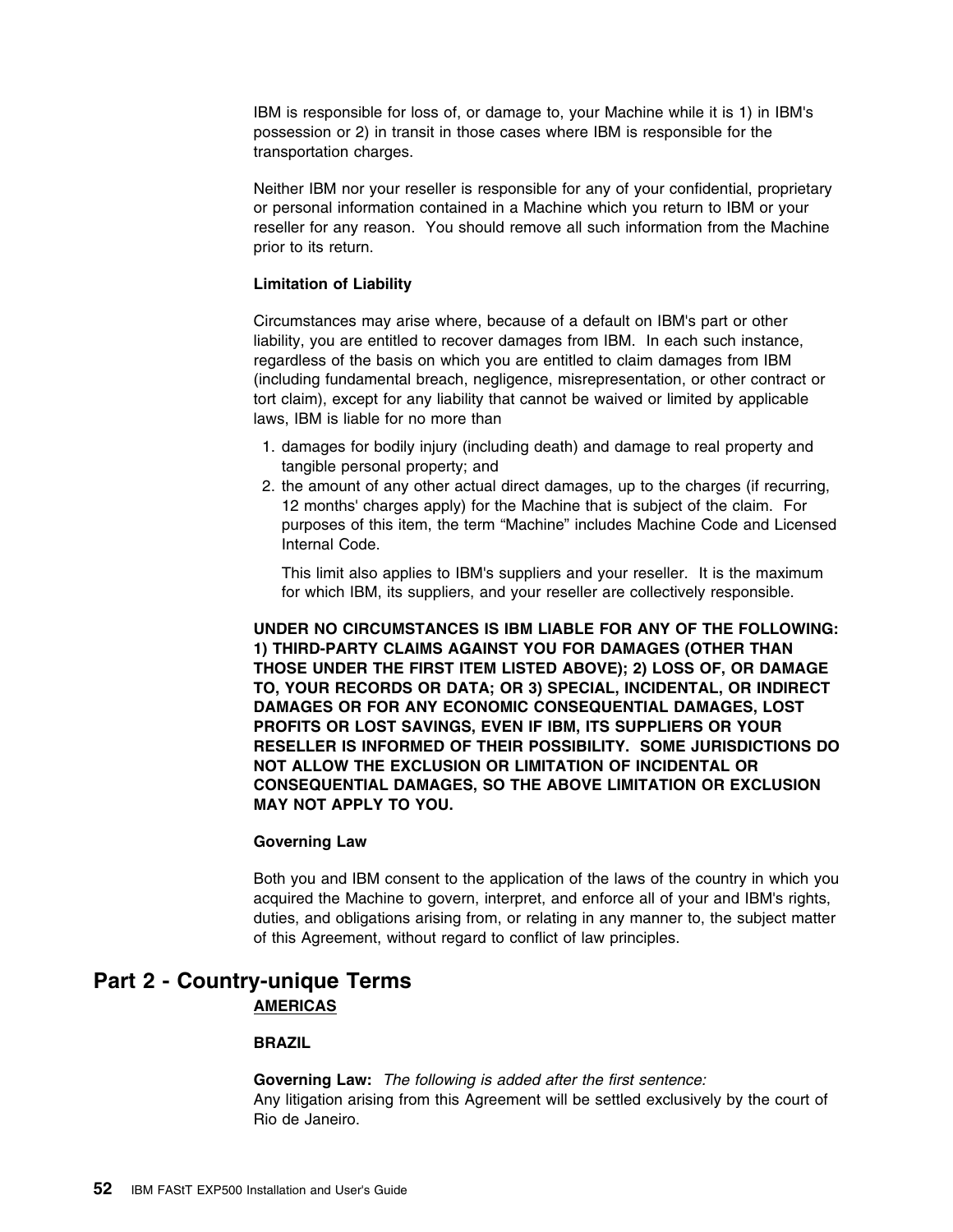IBM is responsible for loss of, or damage to, your Machine while it is 1) in IBM's possession or 2) in transit in those cases where IBM is responsible for the transportation charges.

Neither IBM nor your reseller is responsible for any of your confidential, proprietary or personal information contained in a Machine which you return to IBM or your reseller for any reason. You should remove all such information from the Machine prior to its return.

#### **Limitation of Liability**

Circumstances may arise where, because of a default on IBM's part or other liability, you are entitled to recover damages from IBM. In each such instance, regardless of the basis on which you are entitled to claim damages from IBM (including fundamental breach, negligence, misrepresentation, or other contract or tort claim), except for any liability that cannot be waived or limited by applicable laws, IBM is liable for no more than

- 1. damages for bodily injury (including death) and damage to real property and tangible personal property; and
- 2. the amount of any other actual direct damages, up to the charges (if recurring, 12 months' charges apply) for the Machine that is subject of the claim. For purposes of this item, the term "Machine" includes Machine Code and Licensed Internal Code.

This limit also applies to IBM's suppliers and your reseller. It is the maximum for which IBM, its suppliers, and your reseller are collectively responsible.

**UNDER NO CIRCUMSTANCES IS IBM LIABLE FOR ANY OF THE FOLLOWING: 1) THIRD-PARTY CLAIMS AGAINST YOU FOR DAMAGES (OTHER THAN THOSE UNDER THE FIRST ITEM LISTED ABOVE); 2) LOSS OF, OR DAMAGE TO, YOUR RECORDS OR DATA; OR 3) SPECIAL, INCIDENTAL, OR INDIRECT DAMAGES OR FOR ANY ECONOMIC CONSEQUENTIAL DAMAGES, LOST PROFITS OR LOST SAVINGS, EVEN IF IBM, ITS SUPPLIERS OR YOUR RESELLER IS INFORMED OF THEIR POSSIBILITY. SOME JURISDICTIONS DO NOT ALLOW THE EXCLUSION OR LIMITATION OF INCIDENTAL OR CONSEQUENTIAL DAMAGES, SO THE ABOVE LIMITATION OR EXCLUSION MAY NOT APPLY TO YOU.**

#### **Governing Law**

Both you and IBM consent to the application of the laws of the country in which you acquired the Machine to govern, interpret, and enforce all of your and IBM's rights, duties, and obligations arising from, or relating in any manner to, the subject matter of this Agreement, without regard to conflict of law principles.

## **Part 2 - Country-unique Terms AMERICAS**

#### **BRAZIL**

**Governing Law:** *The following is added after the first sentence:*  Any litigation arising from this Agreement will be settled exclusively by the court of Rio de Janeiro.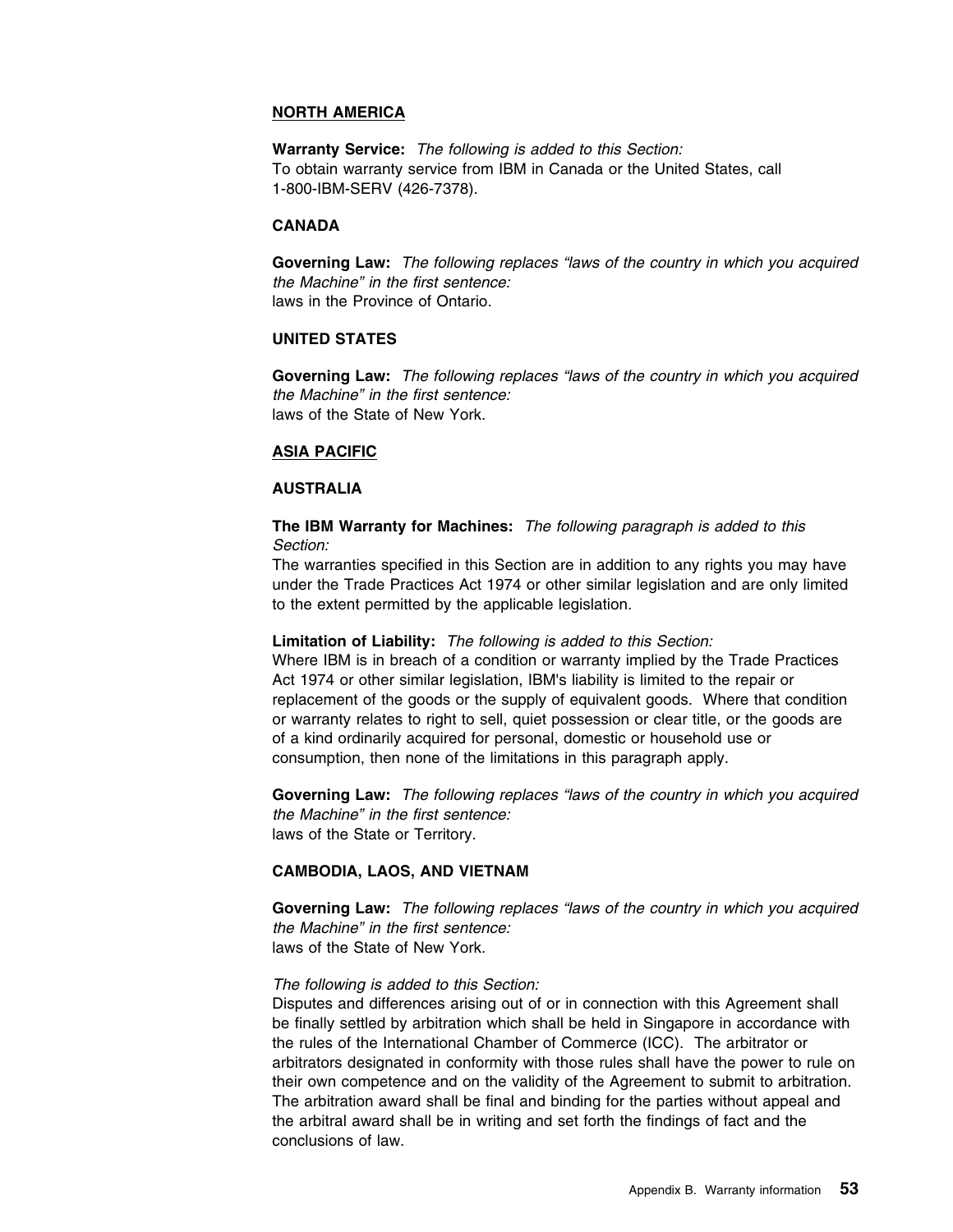#### **NORTH AMERICA**

**Warranty Service:** *The following is added to this Section:*  To obtain warranty service from IBM in Canada or the United States, call 1-800-IBM-SERV (426-7378).

#### **CANADA**

**Governing Law:** *The following replaces "laws of the country in which you acquired the Machine" in the first sentence:*  laws in the Province of Ontario.

#### **UNITED STATES**

**Governing Law:** *The following replaces "laws of the country in which you acquired the Machine" in the first sentence:*  laws of the State of New York.

#### **ASIA PACIFIC**

#### **AUSTRALIA**

**The IBM Warranty for Machines:** *The following paragraph is added to this Section:* 

The warranties specified in this Section are in addition to any rights you may have under the Trade Practices Act 1974 or other similar legislation and are only limited to the extent permitted by the applicable legislation.

#### **Limitation of Liability:** *The following is added to this Section:*

Where IBM is in breach of a condition or warranty implied by the Trade Practices Act 1974 or other similar legislation, IBM's liability is limited to the repair or replacement of the goods or the supply of equivalent goods. Where that condition or warranty relates to right to sell, quiet possession or clear title, or the goods are of a kind ordinarily acquired for personal, domestic or household use or consumption, then none of the limitations in this paragraph apply.

**Governing Law:** *The following replaces "laws of the country in which you acquired the Machine" in the first sentence:*  laws of the State or Territory.

#### **CAMBODIA, LAOS, AND VIETNAM**

**Governing Law:** *The following replaces "laws of the country in which you acquired the Machine" in the first sentence:*  laws of the State of New York.

#### *The following is added to this Section:*

Disputes and differences arising out of or in connection with this Agreement shall be finally settled by arbitration which shall be held in Singapore in accordance with the rules of the International Chamber of Commerce (ICC). The arbitrator or arbitrators designated in conformity with those rules shall have the power to rule on their own competence and on the validity of the Agreement to submit to arbitration. The arbitration award shall be final and binding for the parties without appeal and the arbitral award shall be in writing and set forth the findings of fact and the conclusions of law.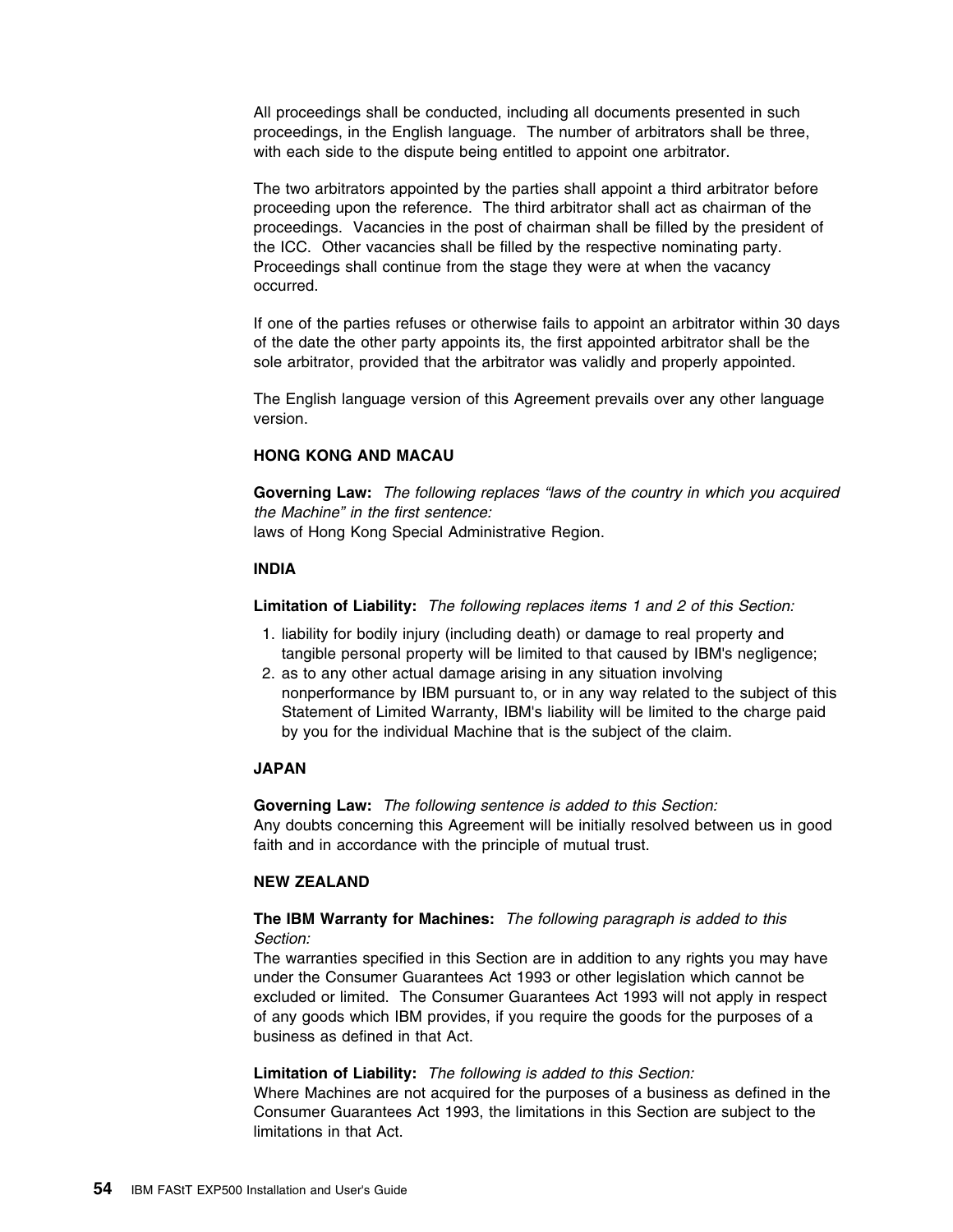All proceedings shall be conducted, including all documents presented in such proceedings, in the English language. The number of arbitrators shall be three, with each side to the dispute being entitled to appoint one arbitrator.

The two arbitrators appointed by the parties shall appoint a third arbitrator before proceeding upon the reference. The third arbitrator shall act as chairman of the proceedings. Vacancies in the post of chairman shall be filled by the president of the ICC. Other vacancies shall be filled by the respective nominating party. Proceedings shall continue from the stage they were at when the vacancy occurred.

If one of the parties refuses or otherwise fails to appoint an arbitrator within 30 days of the date the other party appoints its, the first appointed arbitrator shall be the sole arbitrator, provided that the arbitrator was validly and properly appointed.

The English language version of this Agreement prevails over any other language version.

### **HONG KONG AND MACAU**

**Governing Law:** *The following replaces "laws of the country in which you acquired the Machine" in the first sentence:*  laws of Hong Kong Special Administrative Region.

#### **INDIA**

**Limitation of Liability:** *The following replaces items 1 and 2 of this Section:* 

- 1. liability for bodily injury (including death) or damage to real property and tangible personal property will be limited to that caused by IBM's negligence;
- 2. as to any other actual damage arising in any situation involving nonperformance by IBM pursuant to, or in any way related to the subject of this Statement of Limited Warranty, IBM's liability will be limited to the charge paid by you for the individual Machine that is the subject of the claim.

### **JAPAN**

**Governing Law:** *The following sentence is added to this Section:*  Any doubts concerning this Agreement will be initially resolved between us in good faith and in accordance with the principle of mutual trust.

#### **NEW ZEALAND**

### **The IBM Warranty for Machines:** *The following paragraph is added to this Section:*

The warranties specified in this Section are in addition to any rights you may have under the Consumer Guarantees Act 1993 or other legislation which cannot be excluded or limited. The Consumer Guarantees Act 1993 will not apply in respect of any goods which IBM provides, if you require the goods for the purposes of a business as defined in that Act.

#### **Limitation of Liability:** *The following is added to this Section:*

Where Machines are not acquired for the purposes of a business as defined in the Consumer Guarantees Act 1993, the limitations in this Section are subject to the limitations in that Act.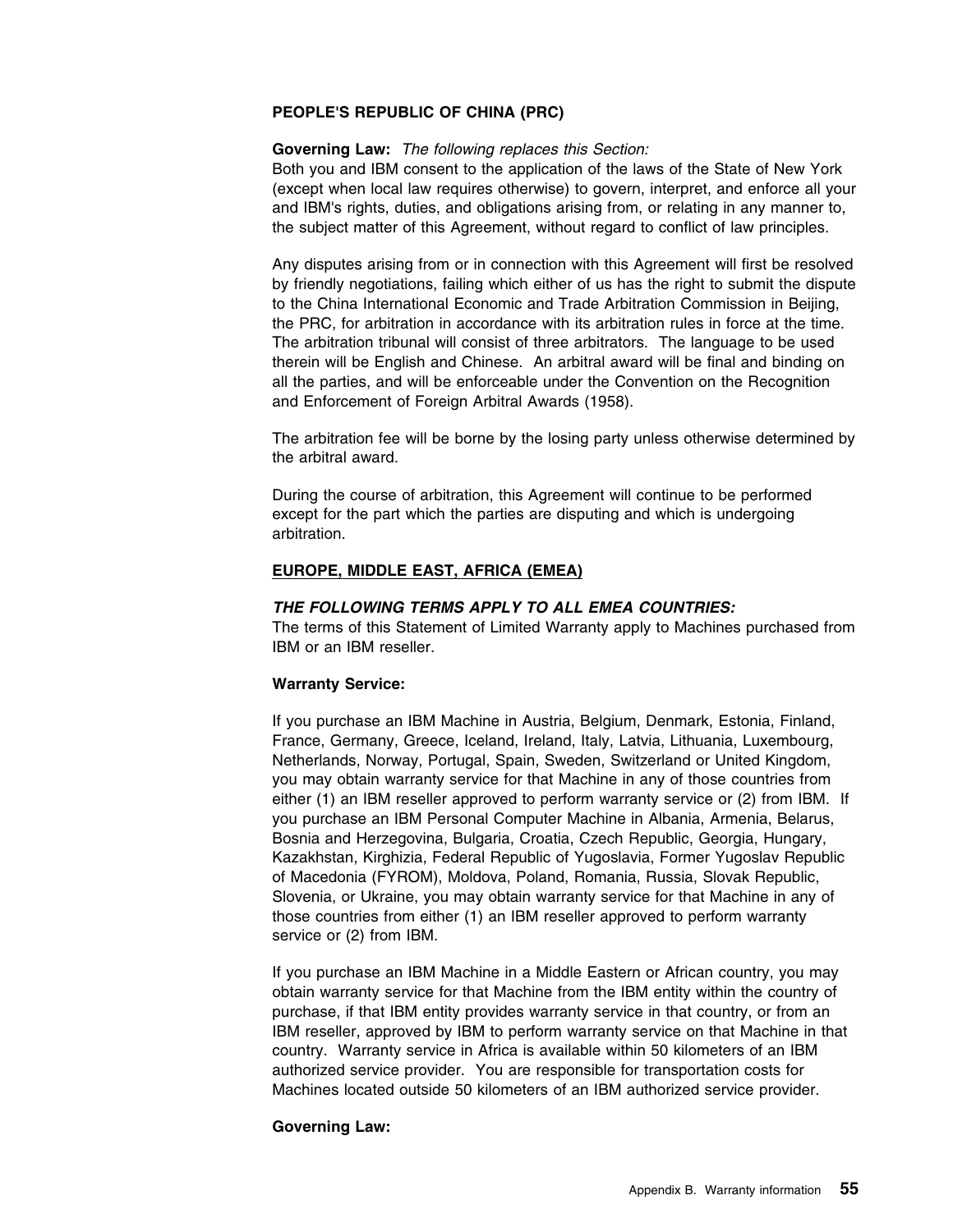#### **PEOPLE'S REPUBLIC OF CHINA (PRC)**

#### **Governing Law:** *The following replaces this Section:*

Both you and IBM consent to the application of the laws of the State of New York (except when local law requires otherwise) to govern, interpret, and enforce all your and IBM's rights, duties, and obligations arising from, or relating in any manner to, the subject matter of this Agreement, without regard to conflict of law principles.

Any disputes arising from or in connection with this Agreement will first be resolved by friendly negotiations, failing which either of us has the right to submit the dispute to the China International Economic and Trade Arbitration Commission in Beijing, the PRC, for arbitration in accordance with its arbitration rules in force at the time. The arbitration tribunal will consist of three arbitrators. The language to be used therein will be English and Chinese. An arbitral award will be final and binding on all the parties, and will be enforceable under the Convention on the Recognition and Enforcement of Foreign Arbitral Awards (1958).

The arbitration fee will be borne by the losing party unless otherwise determined by the arbitral award.

During the course of arbitration, this Agreement will continue to be performed except for the part which the parties are disputing and which is undergoing arbitration.

#### **EUROPE, MIDDLE EAST, AFRICA (EMEA)**

#### *THE FOLLOWING TERMS APPLY TO ALL EMEA COUNTRIES:*

The terms of this Statement of Limited Warranty apply to Machines purchased from IBM or an IBM reseller.

#### **Warranty Service:**

If you purchase an IBM Machine in Austria, Belgium, Denmark, Estonia, Finland, France, Germany, Greece, Iceland, Ireland, Italy, Latvia, Lithuania, Luxembourg, Netherlands, Norway, Portugal, Spain, Sweden, Switzerland or United Kingdom, you may obtain warranty service for that Machine in any of those countries from either (1) an IBM reseller approved to perform warranty service or (2) from IBM. If you purchase an IBM Personal Computer Machine in Albania, Armenia, Belarus, Bosnia and Herzegovina, Bulgaria, Croatia, Czech Republic, Georgia, Hungary, Kazakhstan, Kirghizia, Federal Republic of Yugoslavia, Former Yugoslav Republic of Macedonia (FYROM), Moldova, Poland, Romania, Russia, Slovak Republic, Slovenia, or Ukraine, you may obtain warranty service for that Machine in any of those countries from either (1) an IBM reseller approved to perform warranty service or (2) from IBM.

If you purchase an IBM Machine in a Middle Eastern or African country, you may obtain warranty service for that Machine from the IBM entity within the country of purchase, if that IBM entity provides warranty service in that country, or from an IBM reseller, approved by IBM to perform warranty service on that Machine in that country. Warranty service in Africa is available within 50 kilometers of an IBM authorized service provider. You are responsible for transportation costs for Machines located outside 50 kilometers of an IBM authorized service provider.

#### **Governing Law:**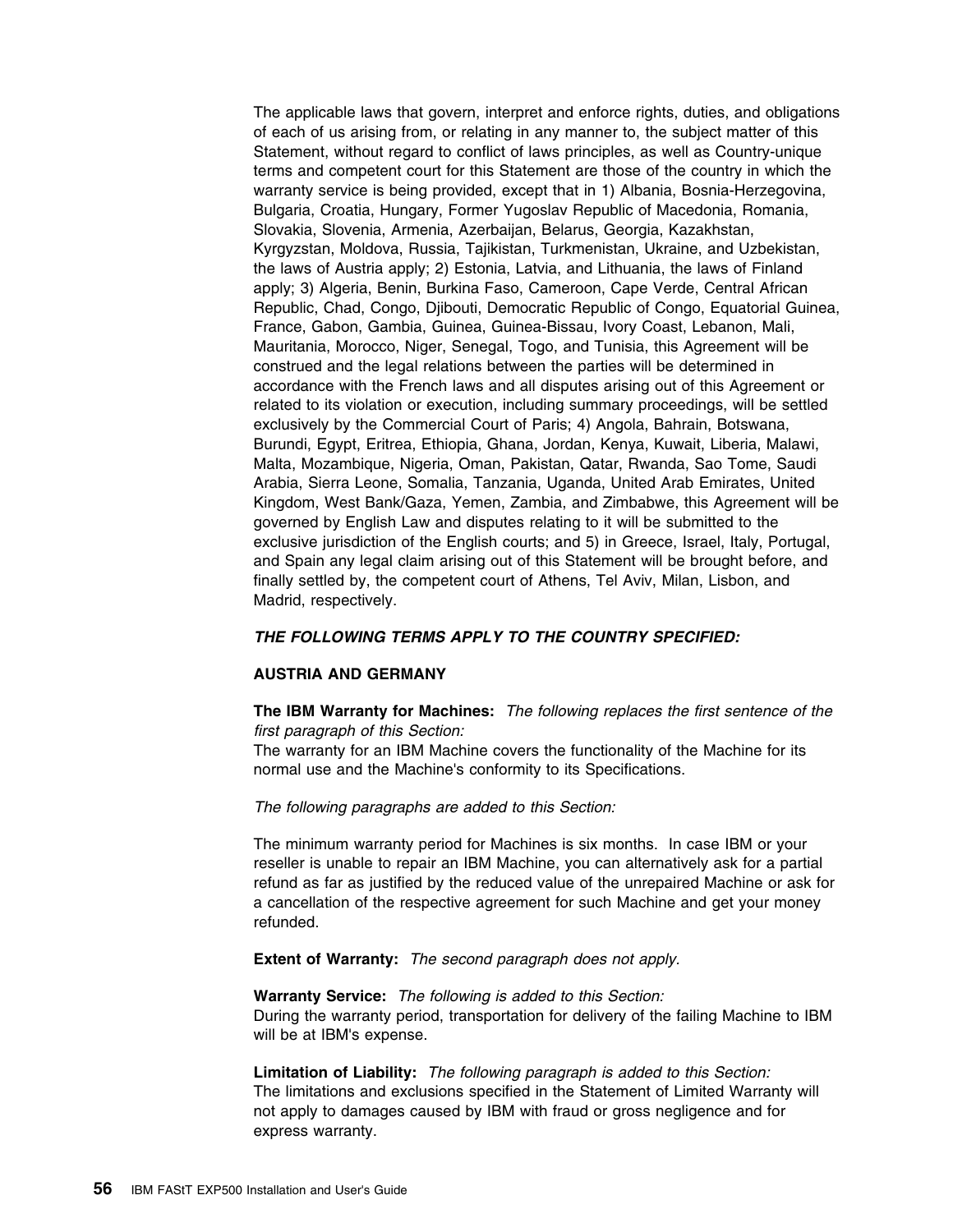The applicable laws that govern, interpret and enforce rights, duties, and obligations of each of us arising from, or relating in any manner to, the subject matter of this Statement, without regard to conflict of laws principles, as well as Country-unique terms and competent court for this Statement are those of the country in which the warranty service is being provided, except that in 1) Albania, Bosnia-Herzegovina, Bulgaria, Croatia, Hungary, Former Yugoslav Republic of Macedonia, Romania, Slovakia, Slovenia, Armenia, Azerbaijan, Belarus, Georgia, Kazakhstan, Kyrgyzstan, Moldova, Russia, Tajikistan, Turkmenistan, Ukraine, and Uzbekistan, the laws of Austria apply; 2) Estonia, Latvia, and Lithuania, the laws of Finland apply; 3) Algeria, Benin, Burkina Faso, Cameroon, Cape Verde, Central African Republic, Chad, Congo, Djibouti, Democratic Republic of Congo, Equatorial Guinea, France, Gabon, Gambia, Guinea, Guinea-Bissau, Ivory Coast, Lebanon, Mali, Mauritania, Morocco, Niger, Senegal, Togo, and Tunisia, this Agreement will be construed and the legal relations between the parties will be determined in accordance with the French laws and all disputes arising out of this Agreement or related to its violation or execution, including summary proceedings, will be settled exclusively by the Commercial Court of Paris; 4) Angola, Bahrain, Botswana, Burundi, Egypt, Eritrea, Ethiopia, Ghana, Jordan, Kenya, Kuwait, Liberia, Malawi, Malta, Mozambique, Nigeria, Oman, Pakistan, Qatar, Rwanda, Sao Tome, Saudi Arabia, Sierra Leone, Somalia, Tanzania, Uganda, United Arab Emirates, United Kingdom, West Bank/Gaza, Yemen, Zambia, and Zimbabwe, this Agreement will be governed by English Law and disputes relating to it will be submitted to the exclusive jurisdiction of the English courts; and 5) in Greece, Israel, Italy, Portugal, and Spain any legal claim arising out of this Statement will be brought before, and finally settled by, the competent court of Athens, Tel Aviv, Milan, Lisbon, and Madrid, respectively.

#### *THE FOLLOWING TERMS APPLY TO THE COUNTRY SPECIFIED:*

#### **AUSTRIA AND GERMANY**

**The IBM Warranty for Machines:** *The following replaces the first sentence of the first paragraph of this Section:* 

The warranty for an IBM Machine covers the functionality of the Machine for its normal use and the Machine's conformity to its Specifications.

*The following paragraphs are added to this Section:* 

The minimum warranty period for Machines is six months. In case IBM or your reseller is unable to repair an IBM Machine, you can alternatively ask for a partial refund as far as justified by the reduced value of the unrepaired Machine or ask for a cancellation of the respective agreement for such Machine and get your money refunded.

**Extent of Warranty:** *The second paragraph does not apply.*

**Warranty Service:** *The following is added to this Section:*  During the warranty period, transportation for delivery of the failing Machine to IBM will be at IBM's expense.

**Limitation of Liability:** *The following paragraph is added to this Section:*  The limitations and exclusions specified in the Statement of Limited Warranty will not apply to damages caused by IBM with fraud or gross negligence and for express warranty.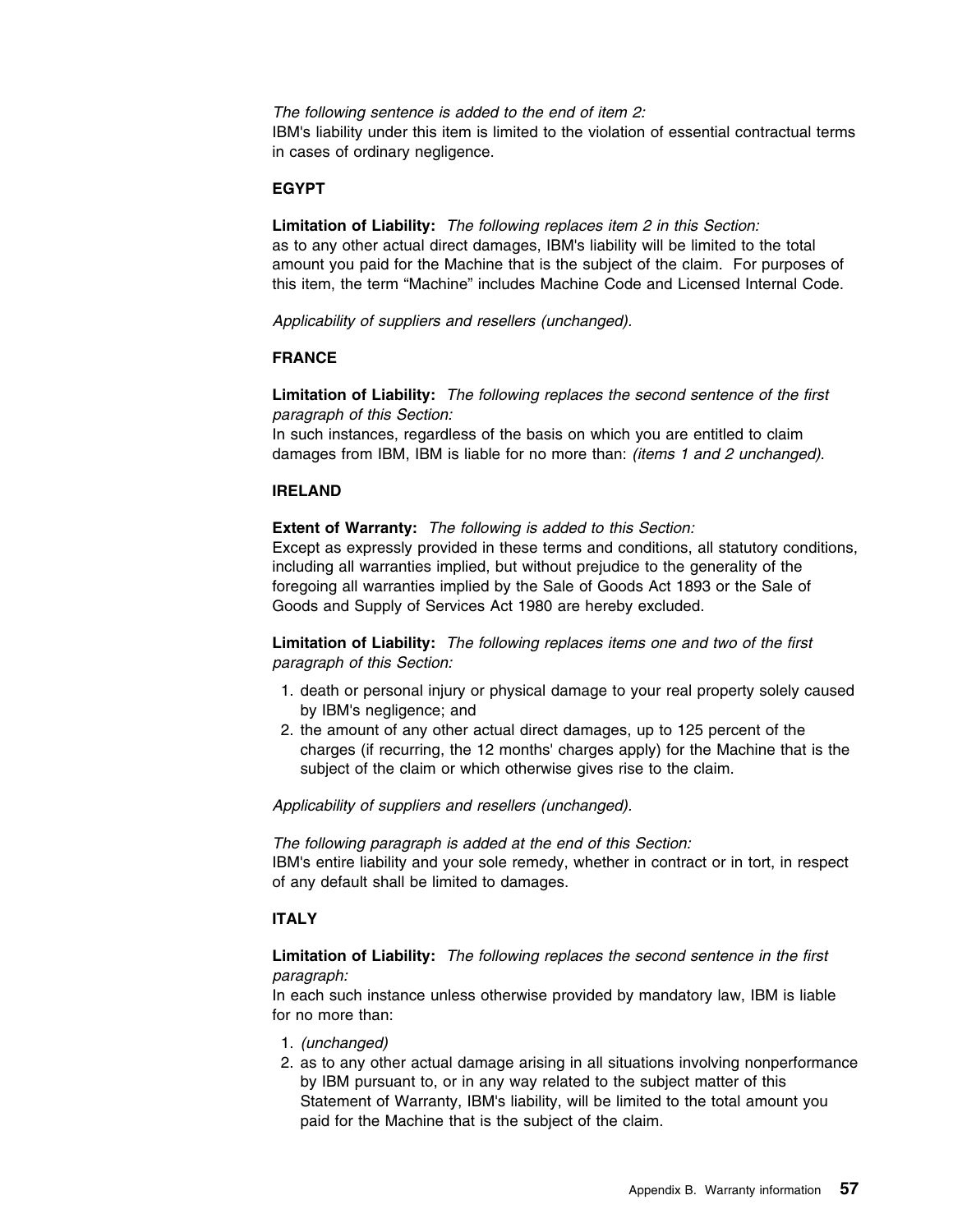*The following sentence is added to the end of item 2:* 

IBM's liability under this item is limited to the violation of essential contractual terms in cases of ordinary negligence.

### **EGYPT**

**Limitation of Liability:** *The following replaces item 2 in this Section:*  as to any other actual direct damages, IBM's liability will be limited to the total amount you paid for the Machine that is the subject of the claim. For purposes of this item, the term "Machine" includes Machine Code and Licensed Internal Code.

*Applicability of suppliers and resellers (unchanged).*

### **FRANCE**

**Limitation of Liability:** *The following replaces the second sentence of the first paragraph of this Section:* 

In such instances, regardless of the basis on which you are entitled to claim damages from IBM, IBM is liable for no more than: *(items 1 and 2 unchanged)*.

#### **IRELAND**

**Extent of Warranty:** *The following is added to this Section:* 

Except as expressly provided in these terms and conditions, all statutory conditions, including all warranties implied, but without prejudice to the generality of the foregoing all warranties implied by the Sale of Goods Act 1893 or the Sale of Goods and Supply of Services Act 1980 are hereby excluded.

**Limitation of Liability:** *The following replaces items one and two of the first paragraph of this Section:* 

- 1. death or personal injury or physical damage to your real property solely caused by IBM's negligence; and
- 2. the amount of any other actual direct damages, up to 125 percent of the charges (if recurring, the 12 months' charges apply) for the Machine that is the subject of the claim or which otherwise gives rise to the claim.

*Applicability of suppliers and resellers (unchanged).*

*The following paragraph is added at the end of this Section:*  IBM's entire liability and your sole remedy, whether in contract or in tort, in respect of any default shall be limited to damages.

### **ITALY**

**Limitation of Liability:** *The following replaces the second sentence in the first paragraph:* 

In each such instance unless otherwise provided by mandatory law, IBM is liable for no more than:

- 1. *(unchanged)*
- 2. as to any other actual damage arising in all situations involving nonperformance by IBM pursuant to, or in any way related to the subject matter of this Statement of Warranty, IBM's liability, will be limited to the total amount you paid for the Machine that is the subject of the claim.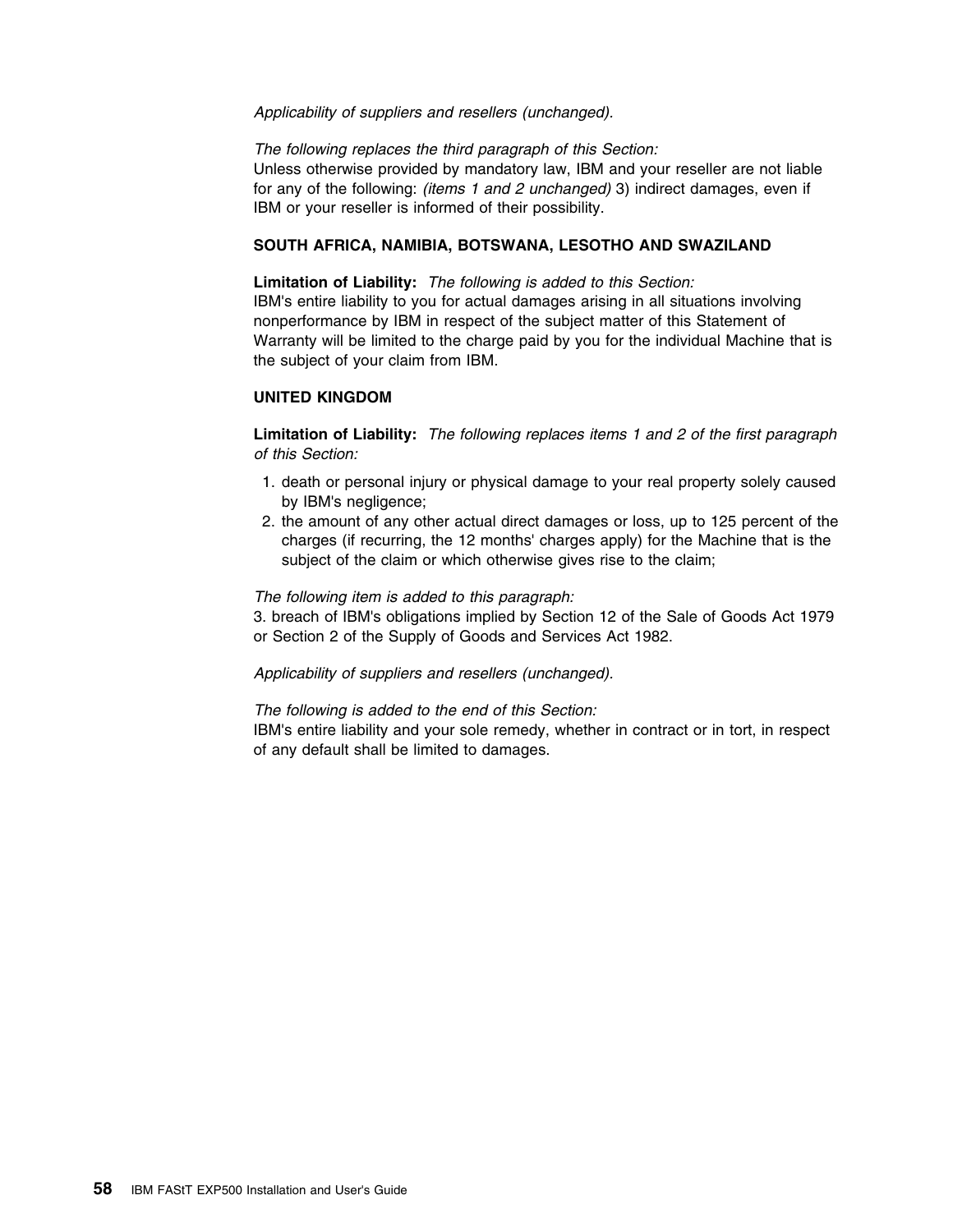#### *Applicability of suppliers and resellers (unchanged).*

*The following replaces the third paragraph of this Section:*  Unless otherwise provided by mandatory law, IBM and your reseller are not liable for any of the following: *(items 1 and 2 unchanged)* 3) indirect damages, even if IBM or your reseller is informed of their possibility.

#### **SOUTH AFRICA, NAMIBIA, BOTSWANA, LESOTHO AND SWAZILAND**

**Limitation of Liability:** *The following is added to this Section:*  IBM's entire liability to you for actual damages arising in all situations involving nonperformance by IBM in respect of the subject matter of this Statement of Warranty will be limited to the charge paid by you for the individual Machine that is the subject of your claim from IBM.

#### **UNITED KINGDOM**

**Limitation of Liability:** *The following replaces items 1 and 2 of the first paragraph of this Section:* 

- 1. death or personal injury or physical damage to your real property solely caused by IBM's negligence;
- 2. the amount of any other actual direct damages or loss, up to 125 percent of the charges (if recurring, the 12 months' charges apply) for the Machine that is the subject of the claim or which otherwise gives rise to the claim;

#### *The following item is added to this paragraph:*

3. breach of IBM's obligations implied by Section 12 of the Sale of Goods Act 1979 or Section 2 of the Supply of Goods and Services Act 1982.

*Applicability of suppliers and resellers (unchanged).*

*The following is added to the end of this Section:* 

IBM's entire liability and your sole remedy, whether in contract or in tort, in respect of any default shall be limited to damages.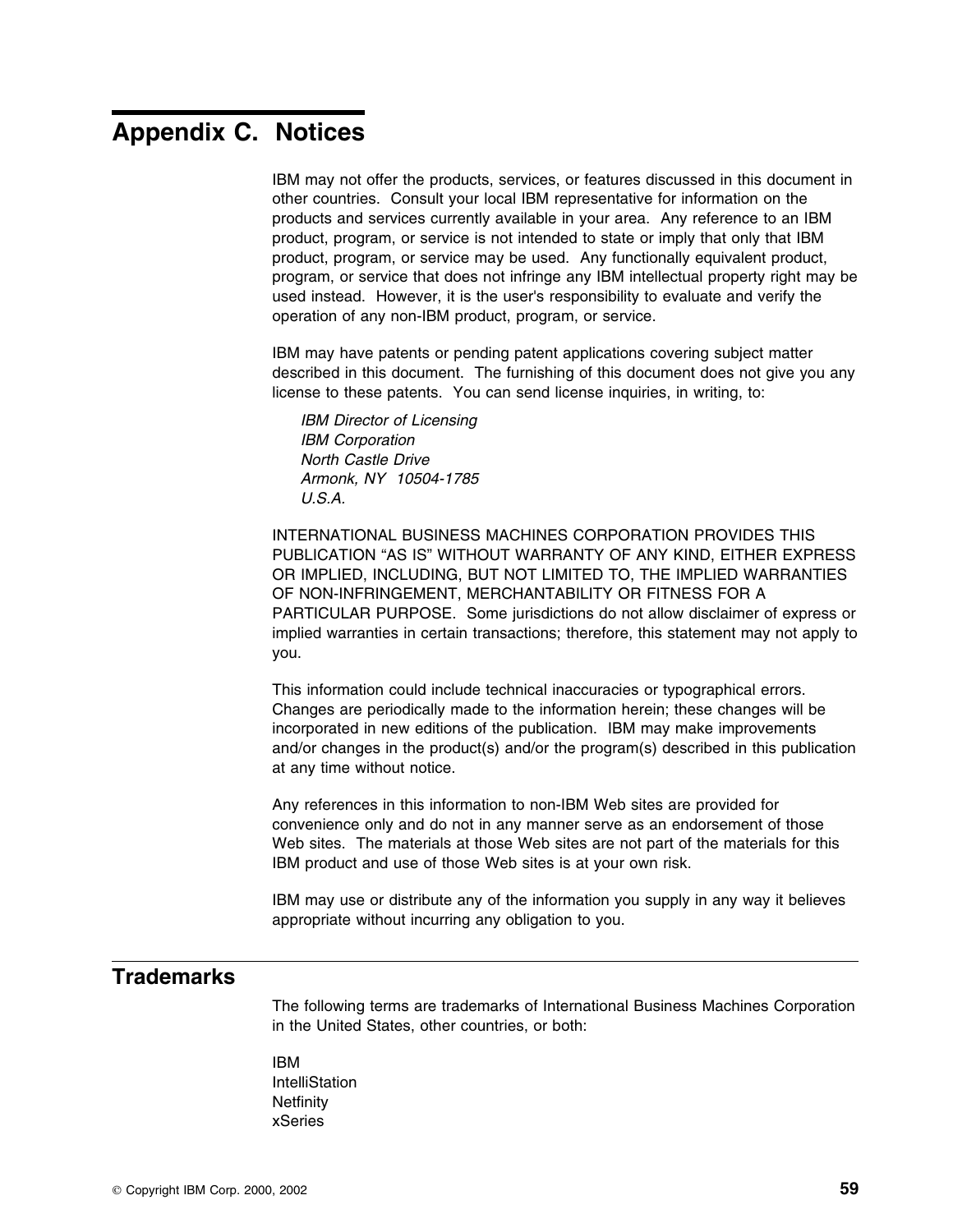# **Appendix C. Notices**

IBM may not offer the products, services, or features discussed in this document in other countries. Consult your local IBM representative for information on the products and services currently available in your area. Any reference to an IBM product, program, or service is not intended to state or imply that only that IBM product, program, or service may be used. Any functionally equivalent product, program, or service that does not infringe any IBM intellectual property right may be used instead. However, it is the user's responsibility to evaluate and verify the operation of any non-IBM product, program, or service.

IBM may have patents or pending patent applications covering subject matter described in this document. The furnishing of this document does not give you any license to these patents. You can send license inquiries, in writing, to:

*IBM Director of Licensing IBM Corporation North Castle Drive Armonk, NY 10504-1785 U.S.A.*

INTERNATIONAL BUSINESS MACHINES CORPORATION PROVIDES THIS PUBLICATION "AS IS" WITHOUT WARRANTY OF ANY KIND, EITHER EXPRESS OR IMPLIED, INCLUDING, BUT NOT LIMITED TO, THE IMPLIED WARRANTIES OF NON-INFRINGEMENT, MERCHANTABILITY OR FITNESS FOR A PARTICULAR PURPOSE. Some jurisdictions do not allow disclaimer of express or implied warranties in certain transactions; therefore, this statement may not apply to you.

This information could include technical inaccuracies or typographical errors. Changes are periodically made to the information herein; these changes will be incorporated in new editions of the publication. IBM may make improvements and/or changes in the product(s) and/or the program(s) described in this publication at any time without notice.

Any references in this information to non-IBM Web sites are provided for convenience only and do not in any manner serve as an endorsement of those Web sites. The materials at those Web sites are not part of the materials for this IBM product and use of those Web sites is at your own risk.

IBM may use or distribute any of the information you supply in any way it believes appropriate without incurring any obligation to you.

## **Trademarks**

The following terms are trademarks of International Business Machines Corporation in the United States, other countries, or both:

#### IBM

IntelliStation **Netfinity** xSeries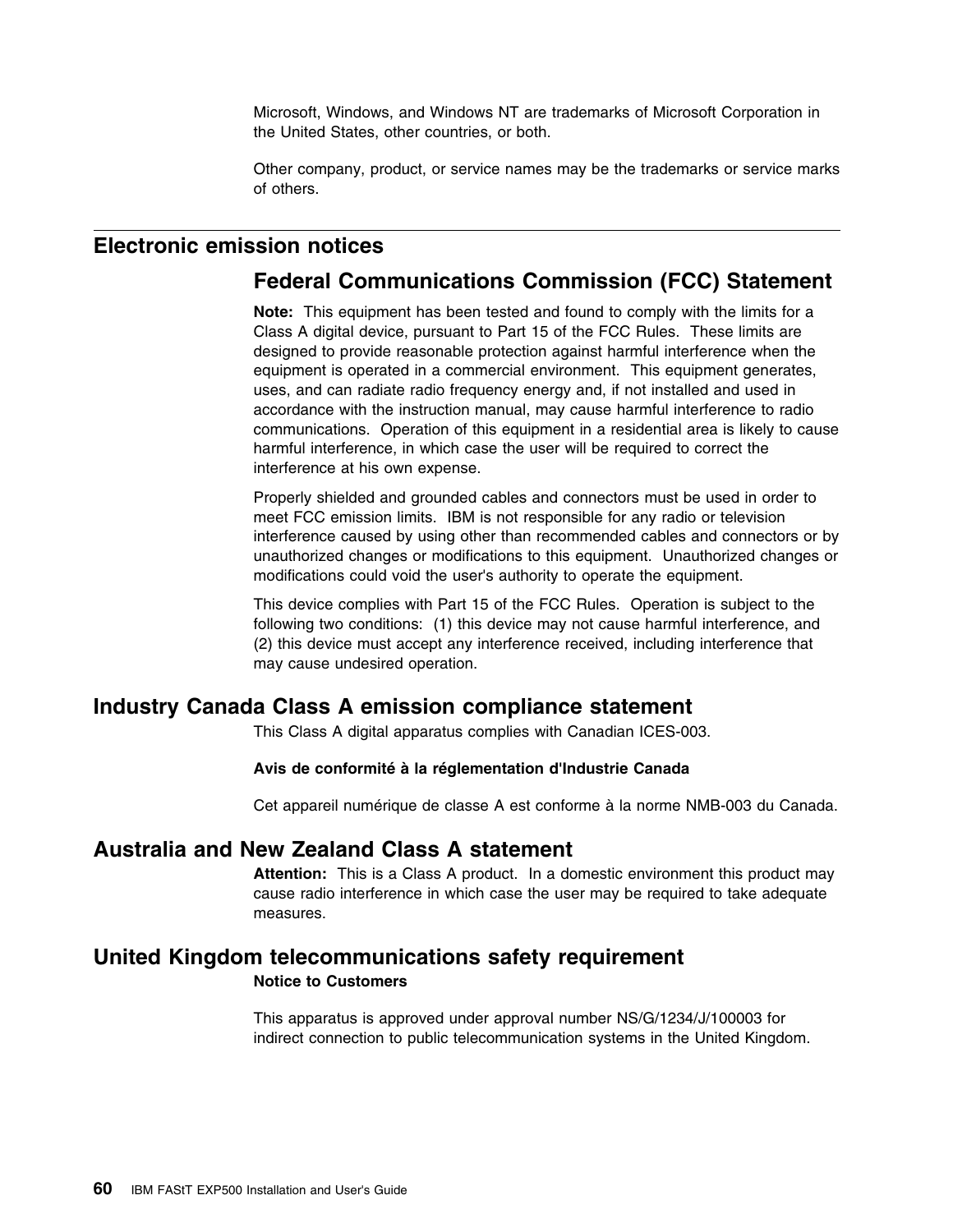Microsoft, Windows, and Windows NT are trademarks of Microsoft Corporation in the United States, other countries, or both.

Other company, product, or service names may be the trademarks or service marks of others.

## **Electronic emission notices**

## **Federal Communications Commission (FCC) Statement**

**Note:** This equipment has been tested and found to comply with the limits for a Class A digital device, pursuant to Part 15 of the FCC Rules. These limits are designed to provide reasonable protection against harmful interference when the equipment is operated in a commercial environment. This equipment generates, uses, and can radiate radio frequency energy and, if not installed and used in accordance with the instruction manual, may cause harmful interference to radio communications. Operation of this equipment in a residential area is likely to cause harmful interference, in which case the user will be required to correct the interference at his own expense.

Properly shielded and grounded cables and connectors must be used in order to meet FCC emission limits. IBM is not responsible for any radio or television interference caused by using other than recommended cables and connectors or by unauthorized changes or modifications to this equipment. Unauthorized changes or modifications could void the user's authority to operate the equipment.

This device complies with Part 15 of the FCC Rules. Operation is subject to the following two conditions: (1) this device may not cause harmful interference, and (2) this device must accept any interference received, including interference that may cause undesired operation.

### **Industry Canada Class A emission compliance statement**

This Class A digital apparatus complies with Canadian ICES-003.

#### **Avis de conformité à la réglementation d'Industrie Canada**

Cet appareil numérique de classe A est conforme à la norme NMB-003 du Canada.

### **Australia and New Zealand Class A statement**

**Attention:** This is a Class A product. In a domestic environment this product may cause radio interference in which case the user may be required to take adequate measures.

### **United Kingdom telecommunications safety requirement**

#### **Notice to Customers**

This apparatus is approved under approval number NS/G/1234/J/100003 for indirect connection to public telecommunication systems in the United Kingdom.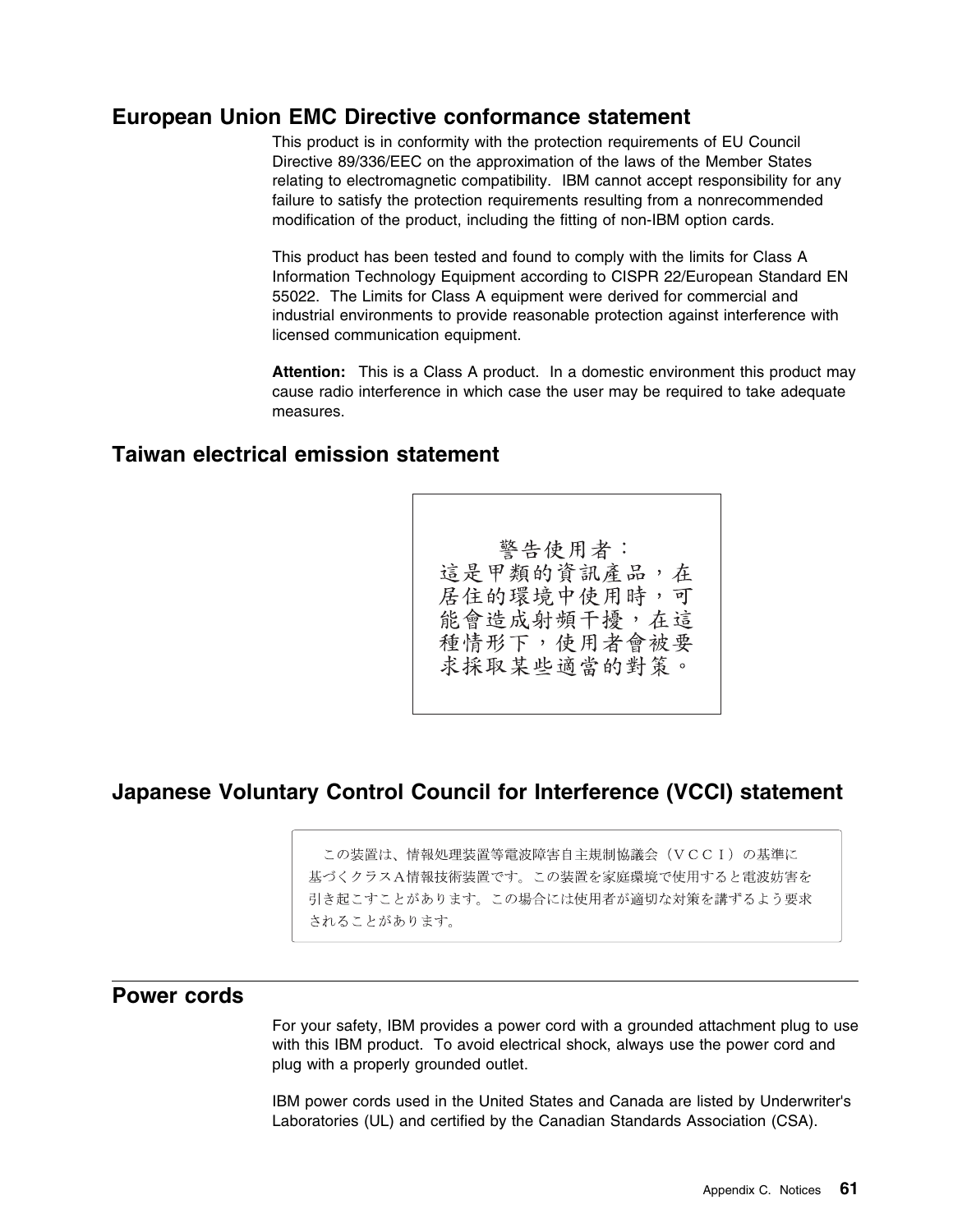#### **European Union EMC Directive conformance statement**

This product is in conformity with the protection requirements of EU Council Directive 89/336/EEC on the approximation of the laws of the Member States relating to electromagnetic compatibility. IBM cannot accept responsibility for any failure to satisfy the protection requirements resulting from a nonrecommended modification of the product, including the fitting of non-IBM option cards.

This product has been tested and found to comply with the limits for Class A Information Technology Equipment according to CISPR 22/European Standard EN 55022. The Limits for Class A equipment were derived for commercial and industrial environments to provide reasonable protection against interference with licensed communication equipment.

**Attention:** This is a Class A product. In a domestic environment this product may cause radio interference in which case the user may be required to take adequate measures.

#### **Taiwan electrical emission statement**

警告使用者: 這是甲類的資訊產品,在 居住的環境中使用時,可 能會造成射頻干擾,在這 種情形下,使用者會被要 求採取某些適當的對策。

#### **Japanese Voluntary Control Council for Interference (VCCI) statement**

この装置は、情報処理装置等電波障害自主規制協議会 (VCCI) の基準に 基づくクラスA情報技術装置です。この装置を家庭環境で使用すると電波妨害を 引き起こすことがあります。この場合には使用者が適切な対策を講ずるよう要求 されることがあります。

#### **Power cords**

For your safety, IBM provides a power cord with a grounded attachment plug to use with this IBM product. To avoid electrical shock, always use the power cord and plug with a properly grounded outlet.

IBM power cords used in the United States and Canada are listed by Underwriter's Laboratories (UL) and certified by the Canadian Standards Association (CSA).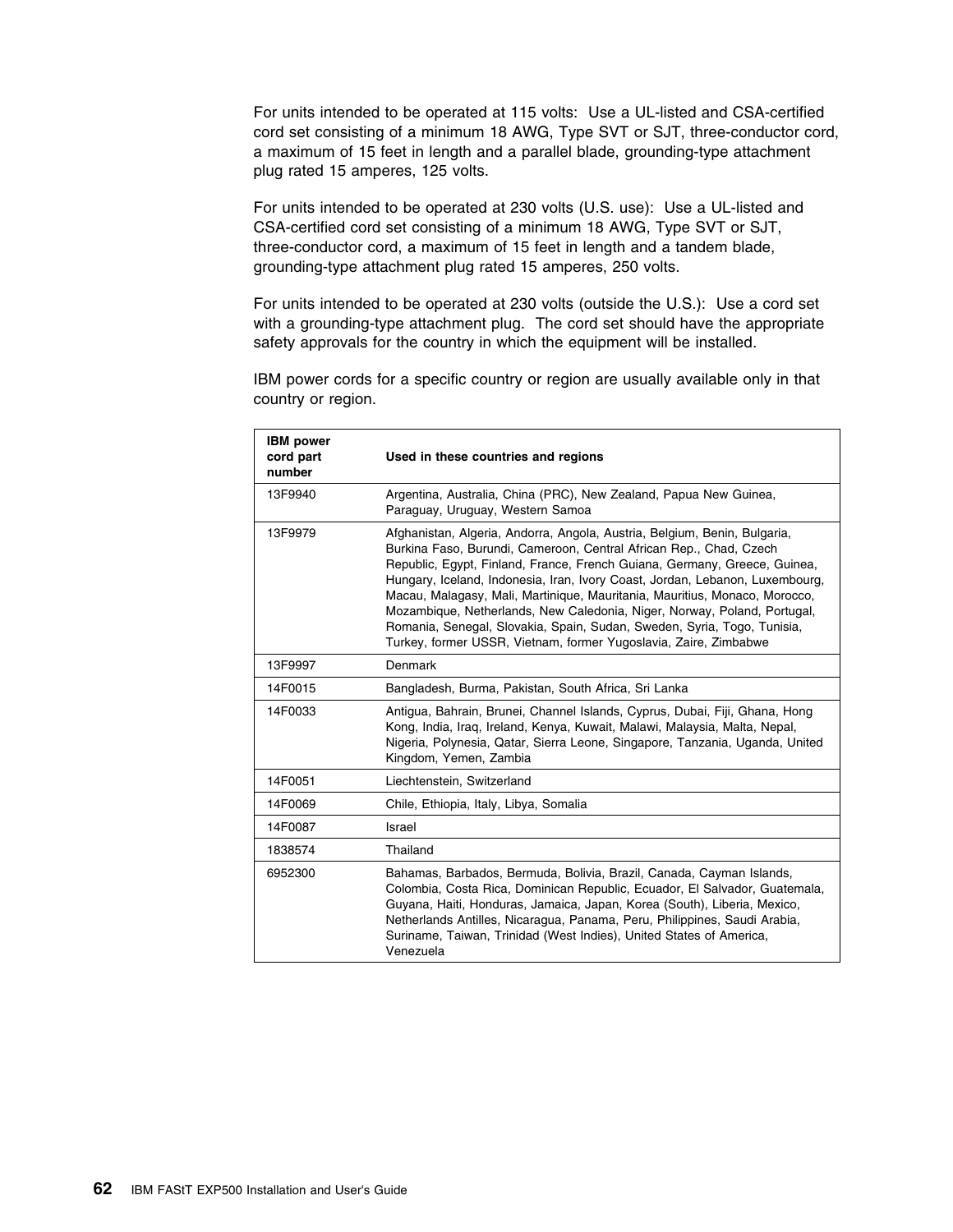For units intended to be operated at 115 volts: Use a UL-listed and CSA-certified cord set consisting of a minimum 18 AWG, Type SVT or SJT, three-conductor cord, a maximum of 15 feet in length and a parallel blade, grounding-type attachment plug rated 15 amperes, 125 volts.

For units intended to be operated at 230 volts (U.S. use): Use a UL-listed and CSA-certified cord set consisting of a minimum 18 AWG, Type SVT or SJT, three-conductor cord, a maximum of 15 feet in length and a tandem blade, grounding-type attachment plug rated 15 amperes, 250 volts.

For units intended to be operated at 230 volts (outside the U.S.): Use a cord set with a grounding-type attachment plug. The cord set should have the appropriate safety approvals for the country in which the equipment will be installed.

IBM power cords for a specific country or region are usually available only in that country or region.

| <b>IBM</b> power<br>cord part<br>number | Used in these countries and regions                                                                                                                                                                                                                                                                                                                                                                                                                                                                                                                                                                                   |
|-----------------------------------------|-----------------------------------------------------------------------------------------------------------------------------------------------------------------------------------------------------------------------------------------------------------------------------------------------------------------------------------------------------------------------------------------------------------------------------------------------------------------------------------------------------------------------------------------------------------------------------------------------------------------------|
| 13F9940                                 | Argentina, Australia, China (PRC), New Zealand, Papua New Guinea,<br>Paraguay, Uruguay, Western Samoa                                                                                                                                                                                                                                                                                                                                                                                                                                                                                                                 |
| 13F9979                                 | Afghanistan, Algeria, Andorra, Angola, Austria, Belgium, Benin, Bulgaria,<br>Burkina Faso, Burundi, Cameroon, Central African Rep., Chad, Czech<br>Republic, Egypt, Finland, France, French Guiana, Germany, Greece, Guinea,<br>Hungary, Iceland, Indonesia, Iran, Ivory Coast, Jordan, Lebanon, Luxembourg,<br>Macau, Malagasy, Mali, Martinique, Mauritania, Mauritius, Monaco, Morocco,<br>Mozambique, Netherlands, New Caledonia, Niger, Norway, Poland, Portugal,<br>Romania, Senegal, Slovakia, Spain, Sudan, Sweden, Syria, Togo, Tunisia,<br>Turkey, former USSR, Vietnam, former Yugoslavia, Zaire, Zimbabwe |
| 13F9997                                 | Denmark                                                                                                                                                                                                                                                                                                                                                                                                                                                                                                                                                                                                               |
| 14F0015                                 | Bangladesh, Burma, Pakistan, South Africa, Sri Lanka                                                                                                                                                                                                                                                                                                                                                                                                                                                                                                                                                                  |
| 14F0033                                 | Antigua, Bahrain, Brunei, Channel Islands, Cyprus, Dubai, Fiji, Ghana, Hong<br>Kong, India, Iraq, Ireland, Kenya, Kuwait, Malawi, Malaysia, Malta, Nepal,<br>Nigeria, Polynesia, Qatar, Sierra Leone, Singapore, Tanzania, Uganda, United<br>Kingdom, Yemen, Zambia                                                                                                                                                                                                                                                                                                                                                   |
| 14F0051                                 | Liechtenstein, Switzerland                                                                                                                                                                                                                                                                                                                                                                                                                                                                                                                                                                                            |
| 14F0069                                 | Chile, Ethiopia, Italy, Libya, Somalia                                                                                                                                                                                                                                                                                                                                                                                                                                                                                                                                                                                |
| 14F0087                                 | Israel                                                                                                                                                                                                                                                                                                                                                                                                                                                                                                                                                                                                                |
| 1838574                                 | Thailand                                                                                                                                                                                                                                                                                                                                                                                                                                                                                                                                                                                                              |
| 6952300                                 | Bahamas, Barbados, Bermuda, Bolivia, Brazil, Canada, Cayman Islands,<br>Colombia, Costa Rica, Dominican Republic, Ecuador, El Salvador, Guatemala,<br>Guyana, Haiti, Honduras, Jamaica, Japan, Korea (South), Liberia, Mexico,<br>Netherlands Antilles, Nicaragua, Panama, Peru, Philippines, Saudi Arabia,<br>Suriname, Taiwan, Trinidad (West Indies), United States of America,<br>Venezuela                                                                                                                                                                                                                       |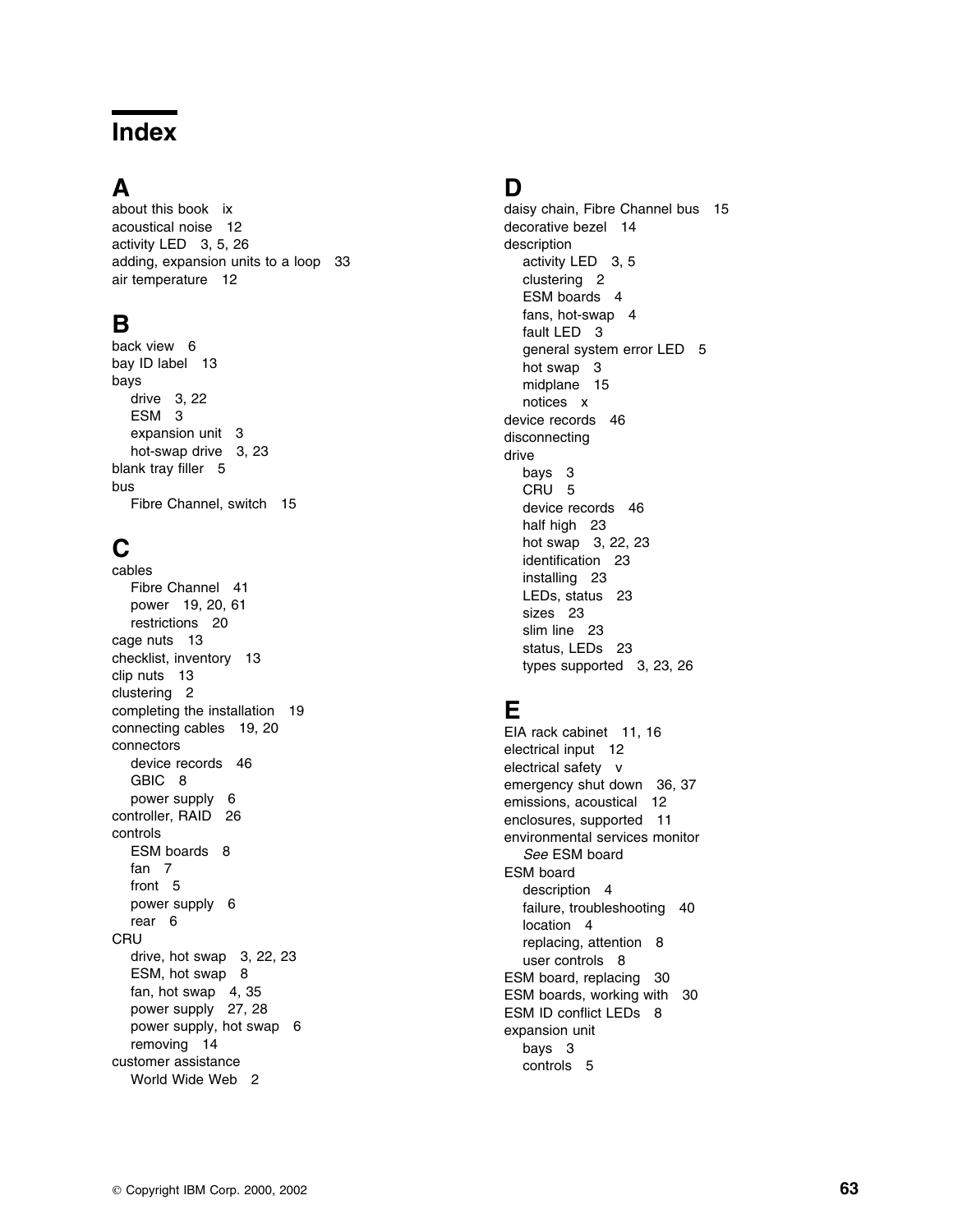# **Index**

### **A**

about this book ix acoustical noise 12 activity LED 3, 5, 26 adding, expansion units to a loop 33 air temperature 12

# **B**

back view 6 bay ID label 13 bays drive 3, 22 ESM 3 expansion unit 3 hot-swap drive 3, 23 blank tray filler 5 bus Fibre Channel, switch 15

# **C**

cables Fibre Channel 41 power 19, 20, 61 restrictions 20 cage nuts 13 checklist, inventory 13 clip nuts 13 clustering 2 completing the installation 19 connecting cables 19, 20 connectors device records 46 GBIC 8 power supply 6 controller, RAID 26 controls ESM boards 8 fan 7 front 5 power supply 6 rear 6 **CRU** drive, hot swap 3, 22, 23 ESM, hot swap 8 fan, hot swap 4, 35 power supply 27, 28 power supply, hot swap 6 removing 14 customer assistance World Wide Web 2

#### **D**

daisy chain, Fibre Channel bus 15 decorative bezel 14 description activity LED 3, 5 clustering 2 ESM boards 4 fans, hot-swap 4 fault LED 3 general system error LED 5 hot swap 3 midplane 15 notices x device records 46 disconnecting drive bays 3 CRU 5 device records 46 half high 23 hot swap 3, 22, 23 identification 23 installing 23 LEDs, status 23 sizes 23 slim line 23 status, LEDs 23 types supported 3, 23, 26

# **E**

EIA rack cabinet 11, 16 electrical input 12 electrical safety v emergency shut down 36, 37 emissions, acoustical 12 enclosures, supported 11 environmental services monitor *See* ESM board ESM board description 4 failure, troubleshooting 40 location 4 replacing, attention 8 user controls 8 ESM board, replacing 30 ESM boards, working with 30 ESM ID conflict LEDs 8 expansion unit bays 3 controls 5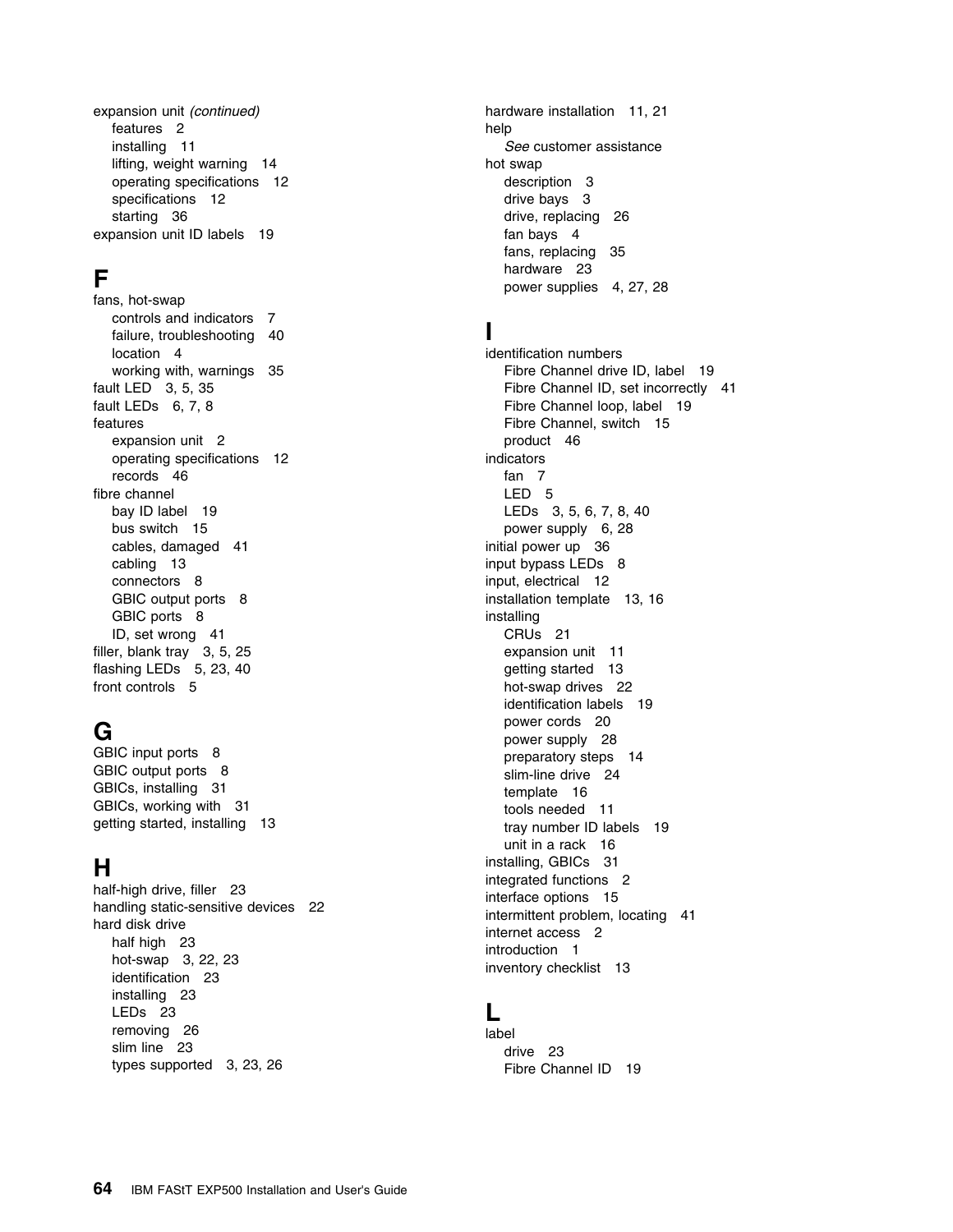expansion unit *(continued)* features 2 installing 11 lifting, weight warning 14 operating specifications 12 specifications 12 starting 36 expansion unit ID labels 19

### **F**

fans, hot-swap controls and indicators 7 failure, troubleshooting 40 location 4 working with, warnings 35 fault LED 3, 5, 35 fault LEDs 6, 7, 8 features expansion unit 2 operating specifications 12 records 46 fibre channel bay ID label 19 bus switch 15 cables, damaged 41 cabling 13 connectors 8 GBIC output ports 8 GBIC ports 8 ID, set wrong 41 filler, blank tray 3, 5, 25 flashing LEDs 5, 23, 40 front controls 5

# **G**

GBIC input ports 8 GBIC output ports 8 GBICs, installing 31 GBICs, working with 31 getting started, installing 13

# **H**

half-high drive, filler 23 handling static-sensitive devices 22 hard disk drive half high 23 hot-swap 3, 22, 23 identification 23 installing 23 LEDs 23 removing 26 slim line 23 types supported 3, 23, 26

hardware installation 11, 21 help *See* customer assistance hot swap description 3 drive bays 3 drive, replacing 26 fan bays 4 fans, replacing 35 hardware 23 power supplies 4, 27, 28

#### **I**

identification numbers Fibre Channel drive ID, label 19 Fibre Channel ID, set incorrectly 41 Fibre Channel loop, label 19 Fibre Channel, switch 15 product 46 indicators fan 7 LED 5 LEDs 3, 5, 6, 7, 8, 40 power supply 6, 28 initial power up 36 input bypass LEDs 8 input, electrical 12 installation template 13, 16 installing CRUs 21 expansion unit 11 getting started 13 hot-swap drives 22 identification labels 19 power cords 20 power supply 28 preparatory steps 14 slim-line drive 24 template 16 tools needed 11 tray number ID labels 19 unit in a rack 16 installing, GBICs 31 integrated functions 2 interface options 15 intermittent problem, locating 41 internet access 2 introduction 1 inventory checklist 13

#### **L**

label drive 23 Fibre Channel ID 19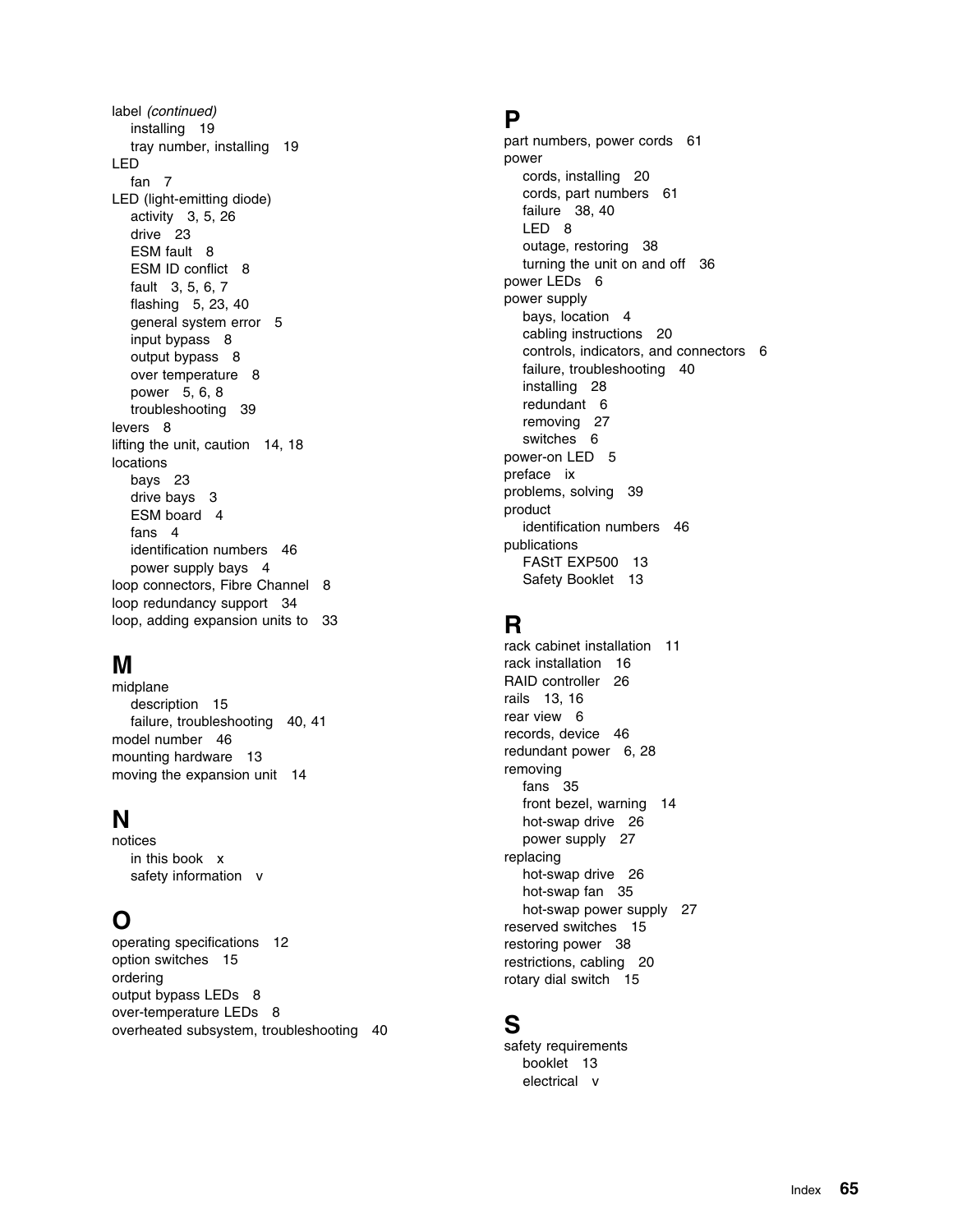label *(continued)* installing 19 tray number, installing 19 LED fan 7 LED (light-emitting diode) activity 3, 5, 26 drive 23 ESM fault 8 ESM ID conflict 8 fault 3, 5, 6, 7 flashing 5, 23, 40 general system error 5 input bypass 8 output bypass 8 over temperature 8 power 5, 6, 8 troubleshooting 39 levers 8 lifting the unit, caution 14, 18 locations bays 23 drive bays 3 ESM board 4 fans 4 identification numbers 46 power supply bays 4 loop connectors, Fibre Channel 8 loop redundancy support 34 loop, adding expansion units to 33

# **M**

midplane description 15 failure, troubleshooting 40, 41 model number 46 mounting hardware 13 moving the expansion unit 14

# **N**

notices in this book x safety information v

# **O**

operating specifications 12 option switches 15 ordering output bypass LEDs 8 over-temperature LEDs 8 overheated subsystem, troubleshooting 40

#### **P**

part numbers, power cords 61 power cords, installing 20 cords, part numbers 61 failure 38, 40 LED 8 outage, restoring 38 turning the unit on and off 36 power LEDs 6 power supply bays, location 4 cabling instructions 20 controls, indicators, and connectors 6 failure, troubleshooting 40 installing 28 redundant 6 removing 27 switches 6 power-on LED 5 preface ix problems, solving 39 product identification numbers 46 publications FAStT EXP500 13 Safety Booklet 13

# **R**

rack cabinet installation 11 rack installation 16 RAID controller 26 rails 13, 16 rear view 6 records, device 46 redundant power 6, 28 removing fans 35 front bezel, warning 14 hot-swap drive 26 power supply 27 replacing hot-swap drive 26 hot-swap fan 35 hot-swap power supply 27 reserved switches 15 restoring power 38 restrictions, cabling 20 rotary dial switch 15

#### **S**

safety requirements booklet 13 electrical v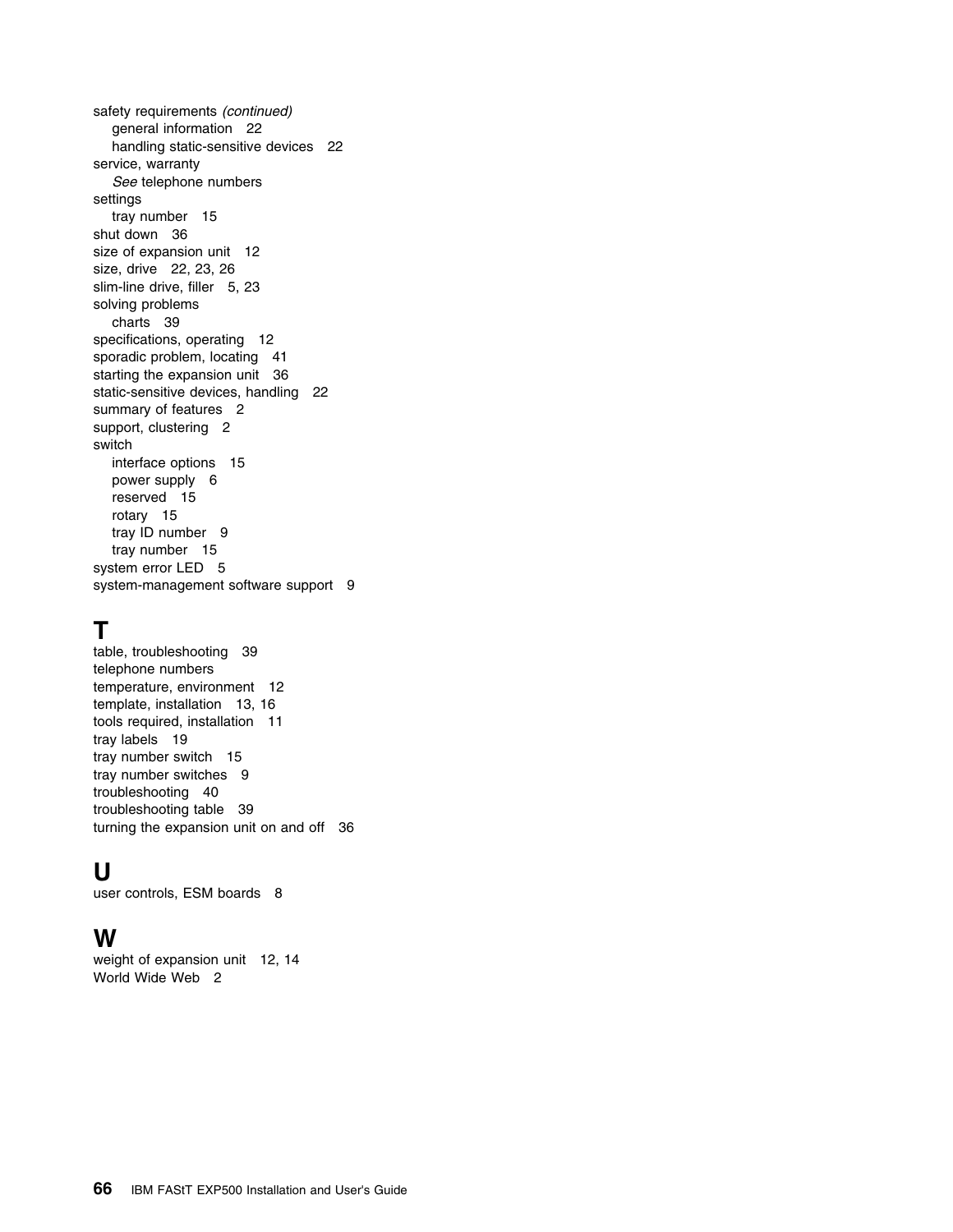safety requirements *(continued)* general information 22 handling static-sensitive devices 22 service, warranty *See* telephone numbers settings tray number 15 shut down 36 size of expansion unit 12 size, drive 22, 23, 26 slim-line drive, filler 5, 23 solving problems charts 39 specifications, operating 12 sporadic problem, locating 41 starting the expansion unit 36 static-sensitive devices, handling 22 summary of features 2 support, clustering 2 switch interface options 15 power supply 6 reserved 15 rotary 15 tray ID number 9 tray number 15 system error LED 5 system-management software support 9

# **T**

table, troubleshooting 39 telephone numbers temperature, environment 12 template, installation 13, 16 tools required, installation 11 tray labels 19 tray number switch 15 tray number switches 9 troubleshooting 40 troubleshooting table 39 turning the expansion unit on and off 36

# **U**

user controls, ESM boards 8

# **W**

weight of expansion unit 12, 14 World Wide Web 2